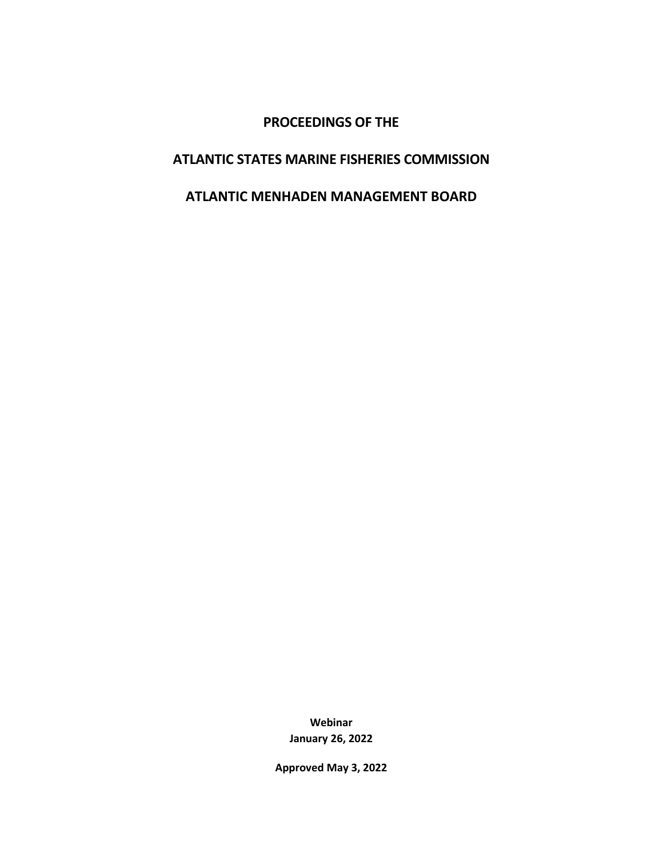# **PROCEEDINGS OF THE**

# **ATLANTIC STATES MARINE FISHERIES COMMISSION**

# **ATLANTIC MENHADEN MANAGEMENT BOARD**

**Webinar January 26, 2022**

**Approved May 3, 2022**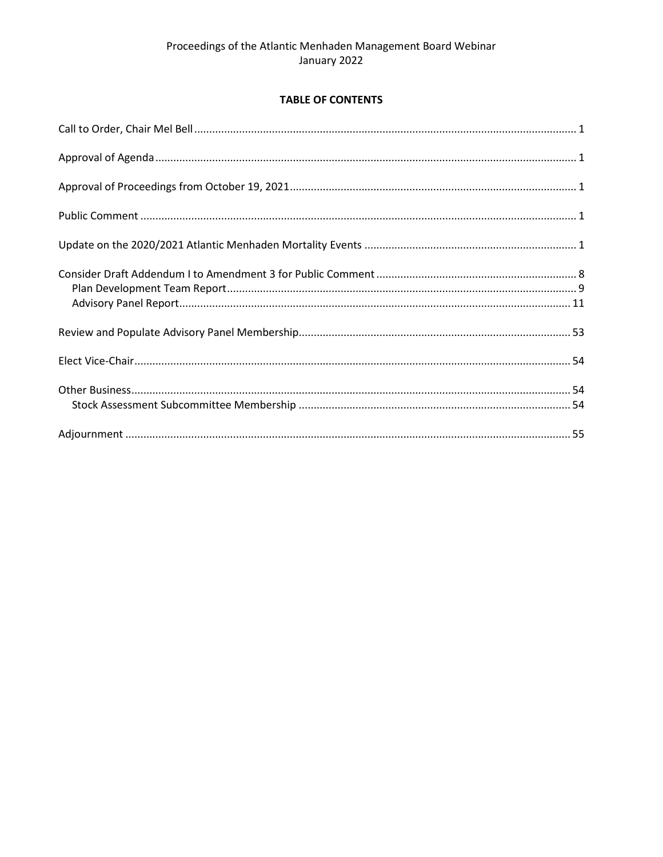# **TABLE OF CONTENTS**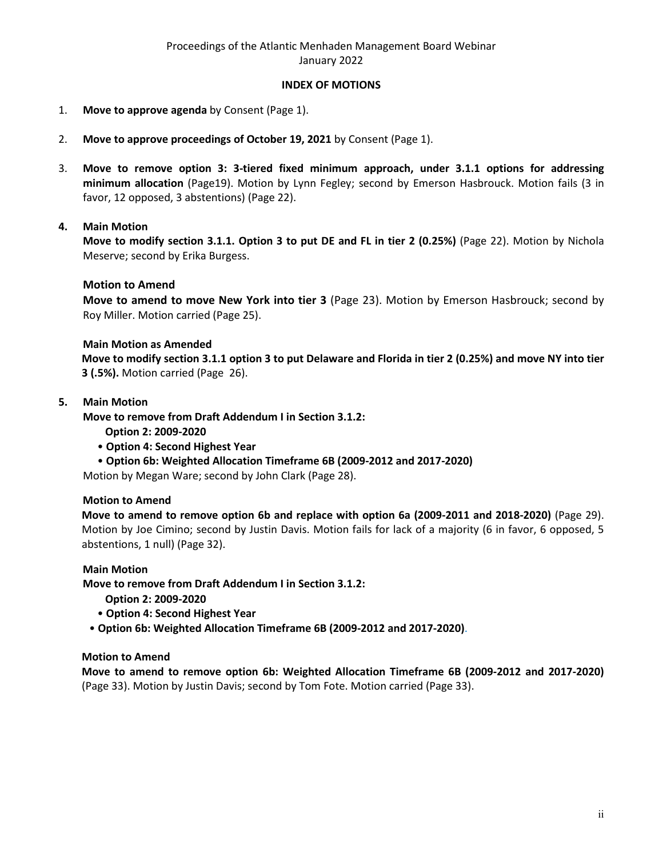### **INDEX OF MOTIONS**

- 1. **Move to approve agenda** by Consent (Page 1).
- 2. **Move to approve proceedings of October 19, 2021** by Consent (Page 1).
- 3. **Move to remove option 3: 3-tiered fixed minimum approach, under 3.1.1 options for addressing minimum allocation** (Page19). Motion by Lynn Fegley; second by Emerson Hasbrouck. Motion fails (3 in favor, 12 opposed, 3 abstentions) (Page 22).

### **4. Main Motion**

**Move to modify section 3.1.1. Option 3 to put DE and FL in tier 2 (0.25%)** (Page 22). Motion by Nichola Meserve; second by Erika Burgess.

#### **Motion to Amend**

**Move to amend to move New York into tier 3** (Page 23). Motion by Emerson Hasbrouck; second by Roy Miller. Motion carried (Page 25).

#### **Main Motion as Amended**

**Move to modify section 3.1.1 option 3 to put Delaware and Florida in tier 2 (0.25%) and move NY into tier 3 (.5%).** Motion carried (Page 26).

#### **5. Main Motion**

**Move to remove from Draft Addendum I in Section 3.1.2:**

**Option 2: 2009-2020** 

- **Option 4: Second Highest Year**
- **Option 6b: Weighted Allocation Timeframe 6B (2009-2012 and 2017-2020)**

Motion by Megan Ware; second by John Clark (Page 28).

#### **Motion to Amend**

**Move to amend to remove option 6b and replace with option 6a (2009-2011 and 2018-2020)** (Page 29). Motion by Joe Cimino; second by Justin Davis. Motion fails for lack of a majority (6 in favor, 6 opposed, 5 abstentions, 1 null) (Page 32).

#### **Main Motion**

**Move to remove from Draft Addendum I in Section 3.1.2:**

- **Option 2: 2009-2020**
- **Option 4: Second Highest Year**
- **Option 6b: Weighted Allocation Timeframe 6B (2009-2012 and 2017-2020)**.

### **Motion to Amend**

**Move to amend to remove option 6b: Weighted Allocation Timeframe 6B (2009-2012 and 2017-2020)**  (Page 33). Motion by Justin Davis; second by Tom Fote. Motion carried (Page 33).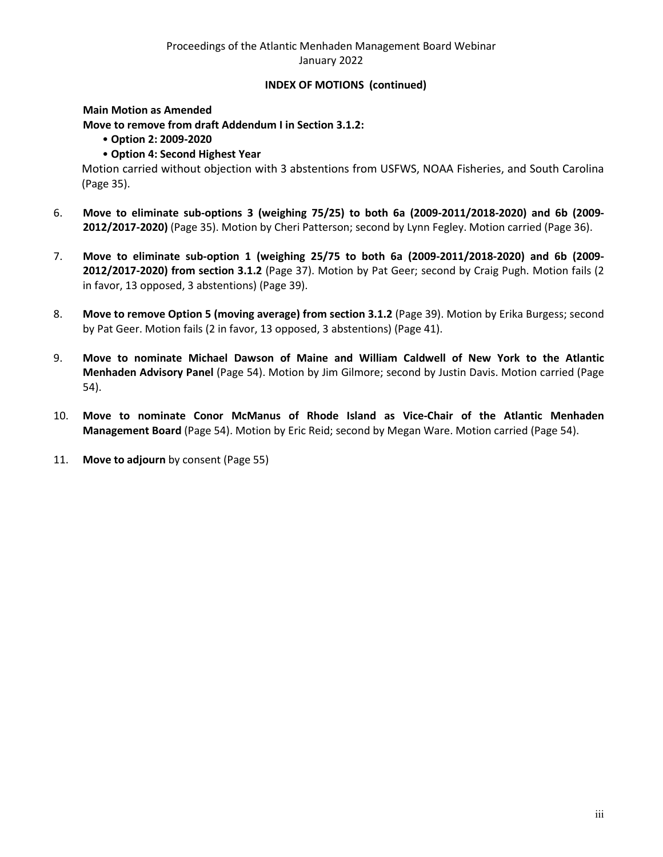# Proceedings of the Atlantic Menhaden Management Board Webinar January 2022

### **INDEX OF MOTIONS (continued)**

### **Main Motion as Amended**

**Move to remove from draft Addendum I in Section 3.1.2:** 

- **Option 2: 2009-2020**
- **Option 4: Second Highest Year**

Motion carried without objection with 3 abstentions from USFWS, NOAA Fisheries, and South Carolina (Page 35).

- 6. **Move to eliminate sub-options 3 (weighing 75/25) to both 6a (2009-2011/2018-2020) and 6b (2009- 2012/2017-2020)** (Page 35). Motion by Cheri Patterson; second by Lynn Fegley. Motion carried (Page 36).
- 7. **Move to eliminate sub-option 1 (weighing 25/75 to both 6a (2009-2011/2018-2020) and 6b (2009- 2012/2017-2020) from section 3.1.2** (Page 37). Motion by Pat Geer; second by Craig Pugh. Motion fails (2 in favor, 13 opposed, 3 abstentions) (Page 39).
- 8. **Move to remove Option 5 (moving average) from section 3.1.2** (Page 39). Motion by Erika Burgess; second by Pat Geer. Motion fails (2 in favor, 13 opposed, 3 abstentions) (Page 41).
- 9. **Move to nominate Michael Dawson of Maine and William Caldwell of New York to the Atlantic Menhaden Advisory Panel** (Page 54). Motion by Jim Gilmore; second by Justin Davis. Motion carried (Page 54).
- 10. **Move to nominate Conor McManus of Rhode Island as Vice-Chair of the Atlantic Menhaden Management Board** (Page 54). Motion by Eric Reid; second by Megan Ware. Motion carried (Page 54).
- 11. **Move to adjourn** by consent (Page 55)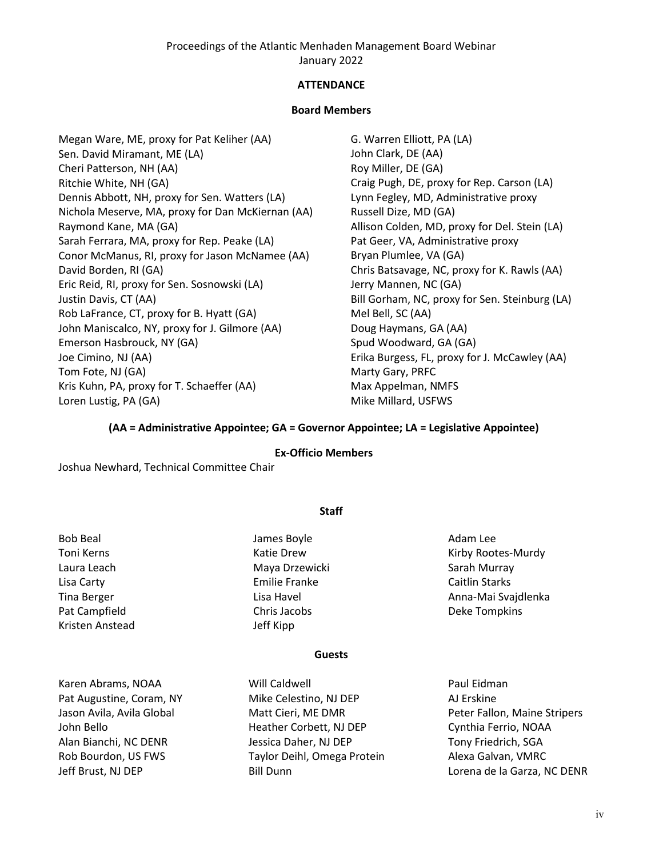Proceedings of the Atlantic Menhaden Management Board Webinar January 2022

### **ATTENDANCE**

#### **Board Members**

Megan Ware, ME, proxy for Pat Keliher (AA) Sen. David Miramant, ME (LA) Cheri Patterson, NH (AA) Ritchie White, NH (GA) Dennis Abbott, NH, proxy for Sen. Watters (LA) Nichola Meserve, MA, proxy for Dan McKiernan (AA) Raymond Kane, MA (GA) Sarah Ferrara, MA, proxy for Rep. Peake (LA) Conor McManus, RI, proxy for Jason McNamee (AA) David Borden, RI (GA) Eric Reid, RI, proxy for Sen. Sosnowski (LA) Justin Davis, CT (AA) Rob LaFrance, CT, proxy for B. Hyatt (GA) John Maniscalco, NY, proxy for J. Gilmore (AA) Emerson Hasbrouck, NY (GA) Joe Cimino, NJ (AA) Tom Fote, NJ (GA) Kris Kuhn, PA, proxy for T. Schaeffer (AA) Loren Lustig, PA (GA)

G. Warren Elliott, PA (LA) John Clark, DE (AA) Roy Miller, DE (GA) Craig Pugh, DE, proxy for Rep. Carson (LA) Lynn Fegley, MD, Administrative proxy Russell Dize, MD (GA) Allison Colden, MD, proxy for Del. Stein (LA) Pat Geer, VA, Administrative proxy Bryan Plumlee, VA (GA) Chris Batsavage, NC, proxy for K. Rawls (AA) Jerry Mannen, NC (GA) Bill Gorham, NC, proxy for Sen. Steinburg (LA) Mel Bell, SC (AA) Doug Haymans, GA (AA) Spud Woodward, GA (GA) Erika Burgess, FL, proxy for J. McCawley (AA) Marty Gary, PRFC Max Appelman, NMFS Mike Millard, USFWS

#### **(AA = Administrative Appointee; GA = Governor Appointee; LA = Legislative Appointee)**

#### **Ex-Officio Members**

**Staff**

Joshua Newhard, Technical Committee Chair

| <b>Bob Beal</b>    | James Boyle          | Adam Lee              |
|--------------------|----------------------|-----------------------|
| Toni Kerns         | Katie Drew           | Kirby Rootes-Murdy    |
| Laura Leach        | Maya Drzewicki       | Sarah Murray          |
| Lisa Carty         | <b>Emilie Franke</b> | <b>Caitlin Starks</b> |
| <b>Tina Berger</b> | Lisa Havel           | Anna-Mai Svajdlenka   |
| Pat Campfield      | Chris Jacobs         | Deke Tompkins         |
| Kristen Anstead    | Jeff Kipp            |                       |
|                    | <b>Guests</b>        |                       |

Karen Abrams, NOAA Pat Augustine, Coram, NY Jason Avila, Avila Global John Bello Alan Bianchi, NC DENR Rob Bourdon, US FWS Jeff Brust, NJ DEP

# Will Caldwell Mike Celestino, NJ DEP Matt Cieri, ME DMR Heather Corbett, NJ DEP Jessica Daher, NJ DEP Taylor Deihl, Omega Protein Bill Dunn

Paul Eidman AJ Erskine Peter Fallon, Maine Stripers Cynthia Ferrio, NOAA Tony Friedrich, SGA Alexa Galvan, VMRC Lorena de la Garza, NC DENR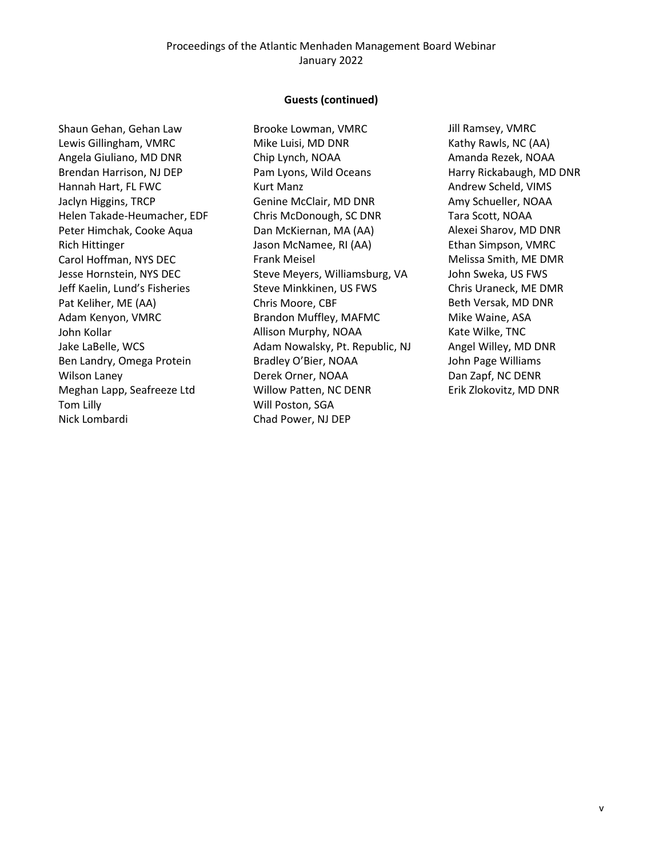### Proceedings of the Atlantic Menhaden Management Board Webinar January 2022

#### **Guests (continued)**

Shaun Gehan, Gehan Law Lewis Gillingham, VMRC Angela Giuliano, MD DNR Brendan Harrison, NJ DEP Hannah Hart, FL FWC Jaclyn Higgins, TRCP Helen Takade-Heumacher, EDF Peter Himchak, Cooke Aqua Rich Hittinger Carol Hoffman, NYS DEC Jesse Hornstein, NYS DEC Jeff Kaelin, Lund's Fisheries Pat Keliher, ME (AA) Adam Kenyon, VMRC John Kollar Jake LaBelle, WCS Ben Landry, Omega Protein Wilson Laney Meghan Lapp, Seafreeze Ltd Tom Lilly Nick Lombardi

Brooke Lowman, VMRC Mike Luisi, MD DNR Chip Lynch, NOAA Pam Lyons, Wild Oceans Kurt Manz Genine McClair, MD DNR Chris McDonough, SC DNR Dan McKiernan, MA (AA) Jason McNamee, RI (AA) Frank Meisel Steve Meyers, Williamsburg, VA Steve Minkkinen, US FWS Chris Moore, CBF Brandon Muffley, MAFMC Allison Murphy, NOAA Adam Nowalsky, Pt. Republic, NJ Bradley O'Bier, NOAA Derek Orner, NOAA Willow Patten, NC DENR Will Poston, SGA Chad Power, NJ DEP

Jill Ramsey, VMRC Kathy Rawls, NC (AA) Amanda Rezek, NOAA Harry Rickabaugh, MD DNR Andrew Scheld, VIMS Amy Schueller, NOAA Tara Scott, NOAA Alexei Sharov, MD DNR Ethan Simpson, VMRC Melissa Smith, ME DMR John Sweka, US FWS Chris Uraneck, ME DMR Beth Versak, MD DNR Mike Waine, ASA Kate Wilke, TNC Angel Willey, MD DNR John Page Williams Dan Zapf, NC DENR Erik Zlokovitz, MD DNR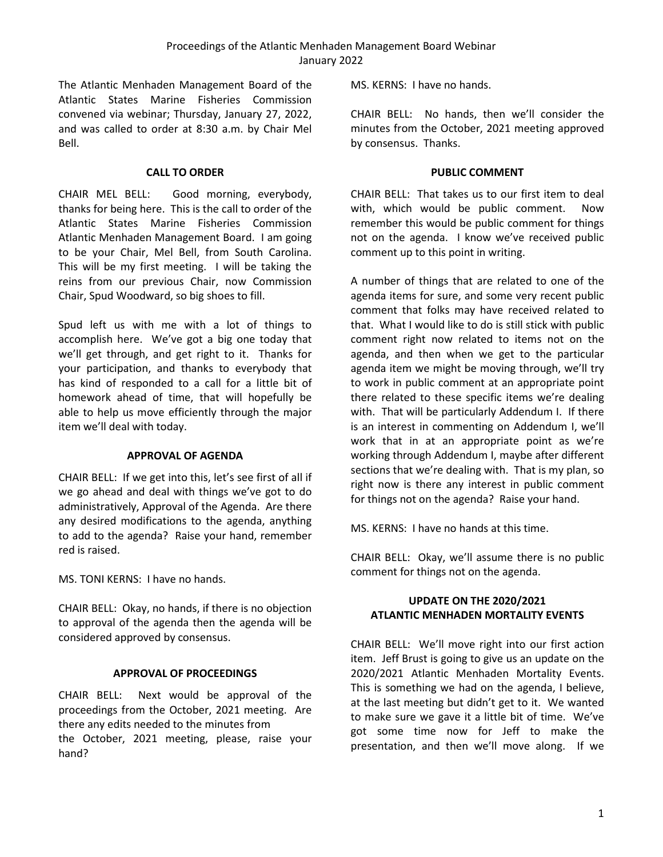The Atlantic Menhaden Management Board of the Atlantic States Marine Fisheries Commission convened via webinar; Thursday, January 27, 2022, and was called to order at 8:30 a.m. by Chair Mel Bell.

### **CALL TO ORDER**

<span id="page-6-0"></span>CHAIR MEL BELL: Good morning, everybody, thanks for being here. This is the call to order of the Atlantic States Marine Fisheries Commission Atlantic Menhaden Management Board. I am going to be your Chair, Mel Bell, from South Carolina. This will be my first meeting. I will be taking the reins from our previous Chair, now Commission Chair, Spud Woodward, so big shoes to fill.

Spud left us with me with a lot of things to accomplish here. We've got a big one today that we'll get through, and get right to it. Thanks for your participation, and thanks to everybody that has kind of responded to a call for a little bit of homework ahead of time, that will hopefully be able to help us move efficiently through the major item we'll deal with today.

### **APPROVAL OF AGENDA**

<span id="page-6-1"></span>CHAIR BELL: If we get into this, let's see first of all if we go ahead and deal with things we've got to do administratively, Approval of the Agenda. Are there any desired modifications to the agenda, anything to add to the agenda? Raise your hand, remember red is raised.

MS. TONI KERNS: I have no hands.

CHAIR BELL: Okay, no hands, if there is no objection to approval of the agenda then the agenda will be considered approved by consensus.

# **APPROVAL OF PROCEEDINGS**

<span id="page-6-2"></span>CHAIR BELL: Next would be approval of the proceedings from the October, 2021 meeting. Are there any edits needed to the minutes from the October, 2021 meeting, please, raise your hand?

MS. KERNS: I have no hands.

CHAIR BELL: No hands, then we'll consider the minutes from the October, 2021 meeting approved by consensus. Thanks.

### **PUBLIC COMMENT**

<span id="page-6-3"></span>CHAIR BELL: That takes us to our first item to deal with, which would be public comment. Now remember this would be public comment for things not on the agenda. I know we've received public comment up to this point in writing.

A number of things that are related to one of the agenda items for sure, and some very recent public comment that folks may have received related to that. What I would like to do is still stick with public comment right now related to items not on the agenda, and then when we get to the particular agenda item we might be moving through, we'll try to work in public comment at an appropriate point there related to these specific items we're dealing with. That will be particularly Addendum I. If there is an interest in commenting on Addendum I, we'll work that in at an appropriate point as we're working through Addendum I, maybe after different sections that we're dealing with. That is my plan, so right now is there any interest in public comment for things not on the agenda? Raise your hand.

MS. KERNS: I have no hands at this time.

CHAIR BELL: Okay, we'll assume there is no public comment for things not on the agenda.

# <span id="page-6-4"></span>**UPDATE ON THE 2020/2021 ATLANTIC MENHADEN MORTALITY EVENTS**

CHAIR BELL: We'll move right into our first action item. Jeff Brust is going to give us an update on the 2020/2021 Atlantic Menhaden Mortality Events. This is something we had on the agenda, I believe, at the last meeting but didn't get to it. We wanted to make sure we gave it a little bit of time. We've got some time now for Jeff to make the presentation, and then we'll move along. If we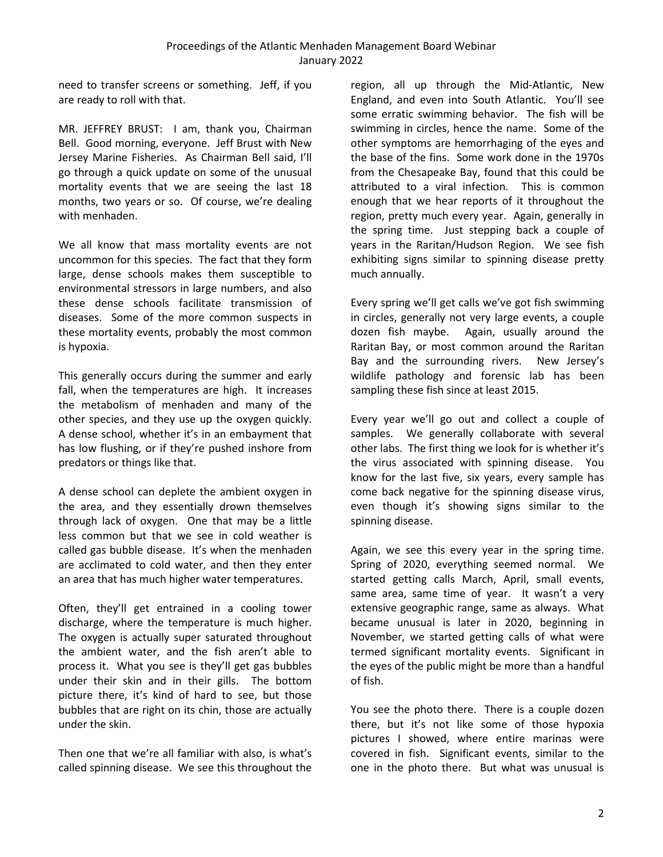need to transfer screens or something. Jeff, if you are ready to roll with that.

MR. JEFFREY BRUST: I am, thank you, Chairman Bell. Good morning, everyone. Jeff Brust with New Jersey Marine Fisheries. As Chairman Bell said, I'll go through a quick update on some of the unusual mortality events that we are seeing the last 18 months, two years or so. Of course, we're dealing with menhaden.

We all know that mass mortality events are not uncommon for this species. The fact that they form large, dense schools makes them susceptible to environmental stressors in large numbers, and also these dense schools facilitate transmission of diseases. Some of the more common suspects in these mortality events, probably the most common is hypoxia.

This generally occurs during the summer and early fall, when the temperatures are high. It increases the metabolism of menhaden and many of the other species, and they use up the oxygen quickly. A dense school, whether it's in an embayment that has low flushing, or if they're pushed inshore from predators or things like that.

A dense school can deplete the ambient oxygen in the area, and they essentially drown themselves through lack of oxygen. One that may be a little less common but that we see in cold weather is called gas bubble disease. It's when the menhaden are acclimated to cold water, and then they enter an area that has much higher water temperatures.

Often, they'll get entrained in a cooling tower discharge, where the temperature is much higher. The oxygen is actually super saturated throughout the ambient water, and the fish aren't able to process it. What you see is they'll get gas bubbles under their skin and in their gills. The bottom picture there, it's kind of hard to see, but those bubbles that are right on its chin, those are actually under the skin.

Then one that we're all familiar with also, is what's called spinning disease. We see this throughout the

region, all up through the Mid-Atlantic, New England, and even into South Atlantic. You'll see some erratic swimming behavior. The fish will be swimming in circles, hence the name. Some of the other symptoms are hemorrhaging of the eyes and the base of the fins. Some work done in the 1970s from the Chesapeake Bay, found that this could be attributed to a viral infection. This is common enough that we hear reports of it throughout the region, pretty much every year. Again, generally in the spring time. Just stepping back a couple of years in the Raritan/Hudson Region. We see fish exhibiting signs similar to spinning disease pretty much annually.

Every spring we'll get calls we've got fish swimming in circles, generally not very large events, a couple dozen fish maybe. Again, usually around the Raritan Bay, or most common around the Raritan Bay and the surrounding rivers. New Jersey's wildlife pathology and forensic lab has been sampling these fish since at least 2015.

Every year we'll go out and collect a couple of samples. We generally collaborate with several other labs. The first thing we look for is whether it's the virus associated with spinning disease. You know for the last five, six years, every sample has come back negative for the spinning disease virus, even though it's showing signs similar to the spinning disease.

Again, we see this every year in the spring time. Spring of 2020, everything seemed normal. We started getting calls March, April, small events, same area, same time of year. It wasn't a very extensive geographic range, same as always. What became unusual is later in 2020, beginning in November, we started getting calls of what were termed significant mortality events. Significant in the eyes of the public might be more than a handful of fish.

You see the photo there. There is a couple dozen there, but it's not like some of those hypoxia pictures I showed, where entire marinas were covered in fish. Significant events, similar to the one in the photo there. But what was unusual is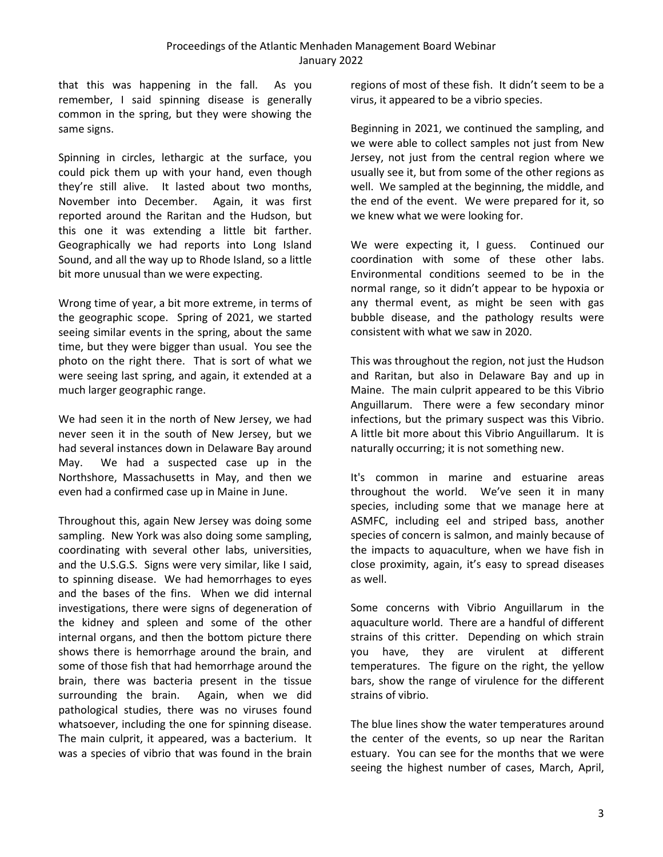that this was happening in the fall. As you remember, I said spinning disease is generally common in the spring, but they were showing the same signs.

Spinning in circles, lethargic at the surface, you could pick them up with your hand, even though they're still alive. It lasted about two months, November into December. Again, it was first reported around the Raritan and the Hudson, but this one it was extending a little bit farther. Geographically we had reports into Long Island Sound, and all the way up to Rhode Island, so a little bit more unusual than we were expecting.

Wrong time of year, a bit more extreme, in terms of the geographic scope. Spring of 2021, we started seeing similar events in the spring, about the same time, but they were bigger than usual. You see the photo on the right there. That is sort of what we were seeing last spring, and again, it extended at a much larger geographic range.

We had seen it in the north of New Jersey, we had never seen it in the south of New Jersey, but we had several instances down in Delaware Bay around May. We had a suspected case up in the Northshore, Massachusetts in May, and then we even had a confirmed case up in Maine in June.

Throughout this, again New Jersey was doing some sampling. New York was also doing some sampling, coordinating with several other labs, universities, and the U.S.G.S. Signs were very similar, like I said, to spinning disease. We had hemorrhages to eyes and the bases of the fins. When we did internal investigations, there were signs of degeneration of the kidney and spleen and some of the other internal organs, and then the bottom picture there shows there is hemorrhage around the brain, and some of those fish that had hemorrhage around the brain, there was bacteria present in the tissue surrounding the brain. Again, when we did pathological studies, there was no viruses found whatsoever, including the one for spinning disease. The main culprit, it appeared, was a bacterium. It was a species of vibrio that was found in the brain

regions of most of these fish. It didn't seem to be a virus, it appeared to be a vibrio species.

Beginning in 2021, we continued the sampling, and we were able to collect samples not just from New Jersey, not just from the central region where we usually see it, but from some of the other regions as well. We sampled at the beginning, the middle, and the end of the event. We were prepared for it, so we knew what we were looking for.

We were expecting it, I guess. Continued our coordination with some of these other labs. Environmental conditions seemed to be in the normal range, so it didn't appear to be hypoxia or any thermal event, as might be seen with gas bubble disease, and the pathology results were consistent with what we saw in 2020.

This was throughout the region, not just the Hudson and Raritan, but also in Delaware Bay and up in Maine. The main culprit appeared to be this Vibrio Anguillarum. There were a few secondary minor infections, but the primary suspect was this Vibrio. A little bit more about this Vibrio Anguillarum. It is naturally occurring; it is not something new.

It's common in marine and estuarine areas throughout the world. We've seen it in many species, including some that we manage here at ASMFC, including eel and striped bass, another species of concern is salmon, and mainly because of the impacts to aquaculture, when we have fish in close proximity, again, it's easy to spread diseases as well.

Some concerns with Vibrio Anguillarum in the aquaculture world. There are a handful of different strains of this critter. Depending on which strain you have, they are virulent at different temperatures. The figure on the right, the yellow bars, show the range of virulence for the different strains of vibrio.

The blue lines show the water temperatures around the center of the events, so up near the Raritan estuary. You can see for the months that we were seeing the highest number of cases, March, April,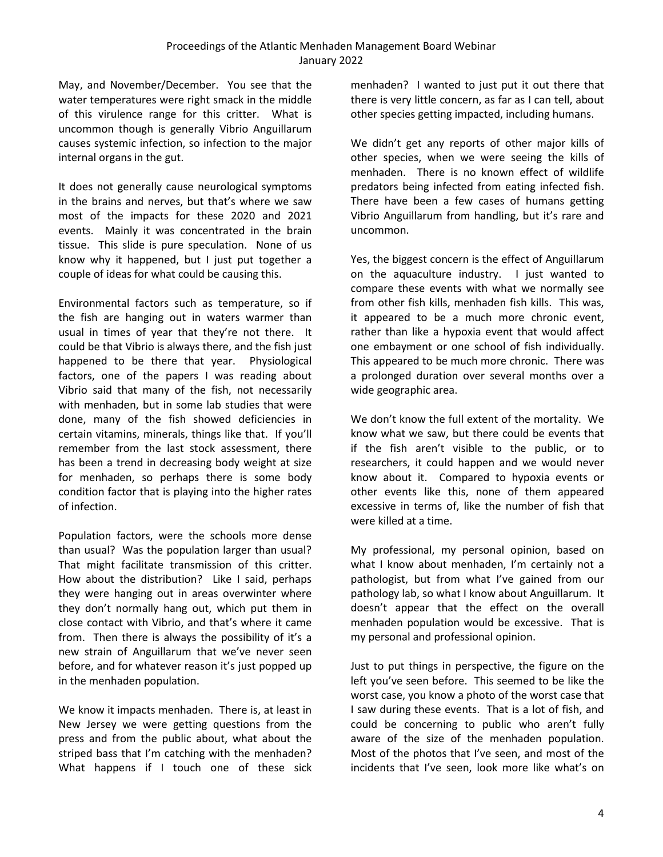May, and November/December. You see that the water temperatures were right smack in the middle of this virulence range for this critter. What is uncommon though is generally Vibrio Anguillarum causes systemic infection, so infection to the major internal organs in the gut.

It does not generally cause neurological symptoms in the brains and nerves, but that's where we saw most of the impacts for these 2020 and 2021 events. Mainly it was concentrated in the brain tissue. This slide is pure speculation. None of us know why it happened, but I just put together a couple of ideas for what could be causing this.

Environmental factors such as temperature, so if the fish are hanging out in waters warmer than usual in times of year that they're not there. It could be that Vibrio is always there, and the fish just happened to be there that year. Physiological factors, one of the papers I was reading about Vibrio said that many of the fish, not necessarily with menhaden, but in some lab studies that were done, many of the fish showed deficiencies in certain vitamins, minerals, things like that. If you'll remember from the last stock assessment, there has been a trend in decreasing body weight at size for menhaden, so perhaps there is some body condition factor that is playing into the higher rates of infection.

Population factors, were the schools more dense than usual? Was the population larger than usual? That might facilitate transmission of this critter. How about the distribution? Like I said, perhaps they were hanging out in areas overwinter where they don't normally hang out, which put them in close contact with Vibrio, and that's where it came from. Then there is always the possibility of it's a new strain of Anguillarum that we've never seen before, and for whatever reason it's just popped up in the menhaden population.

We know it impacts menhaden. There is, at least in New Jersey we were getting questions from the press and from the public about, what about the striped bass that I'm catching with the menhaden? What happens if I touch one of these sick menhaden? I wanted to just put it out there that there is very little concern, as far as I can tell, about other species getting impacted, including humans.

We didn't get any reports of other major kills of other species, when we were seeing the kills of menhaden. There is no known effect of wildlife predators being infected from eating infected fish. There have been a few cases of humans getting Vibrio Anguillarum from handling, but it's rare and uncommon.

Yes, the biggest concern is the effect of Anguillarum on the aquaculture industry. I just wanted to compare these events with what we normally see from other fish kills, menhaden fish kills. This was, it appeared to be a much more chronic event, rather than like a hypoxia event that would affect one embayment or one school of fish individually. This appeared to be much more chronic. There was a prolonged duration over several months over a wide geographic area.

We don't know the full extent of the mortality. We know what we saw, but there could be events that if the fish aren't visible to the public, or to researchers, it could happen and we would never know about it. Compared to hypoxia events or other events like this, none of them appeared excessive in terms of, like the number of fish that were killed at a time.

My professional, my personal opinion, based on what I know about menhaden, I'm certainly not a pathologist, but from what I've gained from our pathology lab, so what I know about Anguillarum. It doesn't appear that the effect on the overall menhaden population would be excessive. That is my personal and professional opinion.

Just to put things in perspective, the figure on the left you've seen before. This seemed to be like the worst case, you know a photo of the worst case that I saw during these events. That is a lot of fish, and could be concerning to public who aren't fully aware of the size of the menhaden population. Most of the photos that I've seen, and most of the incidents that I've seen, look more like what's on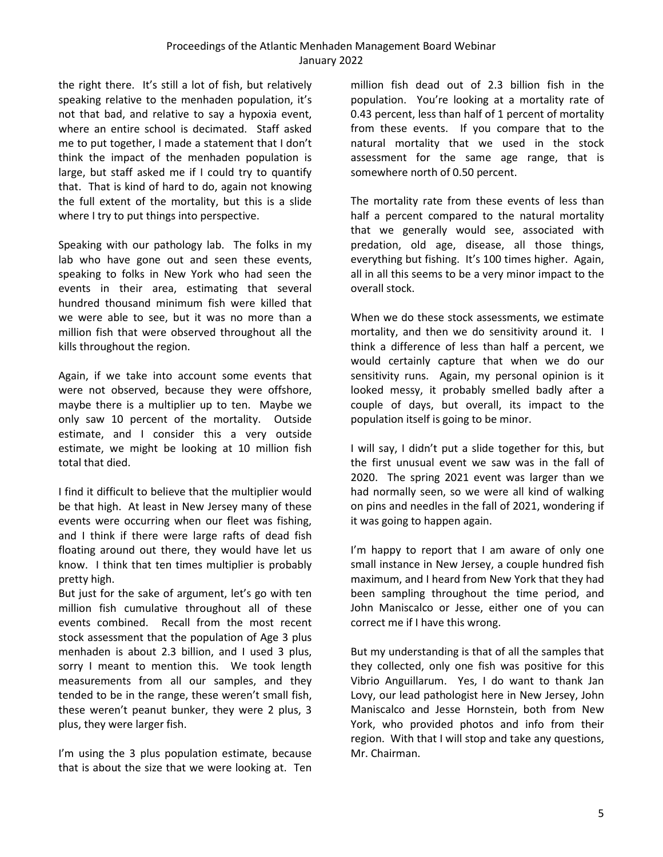the right there. It's still a lot of fish, but relatively speaking relative to the menhaden population, it's not that bad, and relative to say a hypoxia event, where an entire school is decimated. Staff asked me to put together, I made a statement that I don't think the impact of the menhaden population is large, but staff asked me if I could try to quantify that. That is kind of hard to do, again not knowing the full extent of the mortality, but this is a slide where I try to put things into perspective.

Speaking with our pathology lab. The folks in my lab who have gone out and seen these events, speaking to folks in New York who had seen the events in their area, estimating that several hundred thousand minimum fish were killed that we were able to see, but it was no more than a million fish that were observed throughout all the kills throughout the region.

Again, if we take into account some events that were not observed, because they were offshore, maybe there is a multiplier up to ten. Maybe we only saw 10 percent of the mortality. Outside estimate, and I consider this a very outside estimate, we might be looking at 10 million fish total that died.

I find it difficult to believe that the multiplier would be that high. At least in New Jersey many of these events were occurring when our fleet was fishing, and I think if there were large rafts of dead fish floating around out there, they would have let us know. I think that ten times multiplier is probably pretty high.

But just for the sake of argument, let's go with ten million fish cumulative throughout all of these events combined. Recall from the most recent stock assessment that the population of Age 3 plus menhaden is about 2.3 billion, and I used 3 plus, sorry I meant to mention this. We took length measurements from all our samples, and they tended to be in the range, these weren't small fish, these weren't peanut bunker, they were 2 plus, 3 plus, they were larger fish.

I'm using the 3 plus population estimate, because that is about the size that we were looking at. Ten

million fish dead out of 2.3 billion fish in the population. You're looking at a mortality rate of 0.43 percent, less than half of 1 percent of mortality from these events. If you compare that to the natural mortality that we used in the stock assessment for the same age range, that is somewhere north of 0.50 percent.

The mortality rate from these events of less than half a percent compared to the natural mortality that we generally would see, associated with predation, old age, disease, all those things, everything but fishing. It's 100 times higher. Again, all in all this seems to be a very minor impact to the overall stock.

When we do these stock assessments, we estimate mortality, and then we do sensitivity around it. I think a difference of less than half a percent, we would certainly capture that when we do our sensitivity runs. Again, my personal opinion is it looked messy, it probably smelled badly after a couple of days, but overall, its impact to the population itself is going to be minor.

I will say, I didn't put a slide together for this, but the first unusual event we saw was in the fall of 2020. The spring 2021 event was larger than we had normally seen, so we were all kind of walking on pins and needles in the fall of 2021, wondering if it was going to happen again.

I'm happy to report that I am aware of only one small instance in New Jersey, a couple hundred fish maximum, and I heard from New York that they had been sampling throughout the time period, and John Maniscalco or Jesse, either one of you can correct me if I have this wrong.

But my understanding is that of all the samples that they collected, only one fish was positive for this Vibrio Anguillarum. Yes, I do want to thank Jan Lovy, our lead pathologist here in New Jersey, John Maniscalco and Jesse Hornstein, both from New York, who provided photos and info from their region. With that I will stop and take any questions, Mr. Chairman.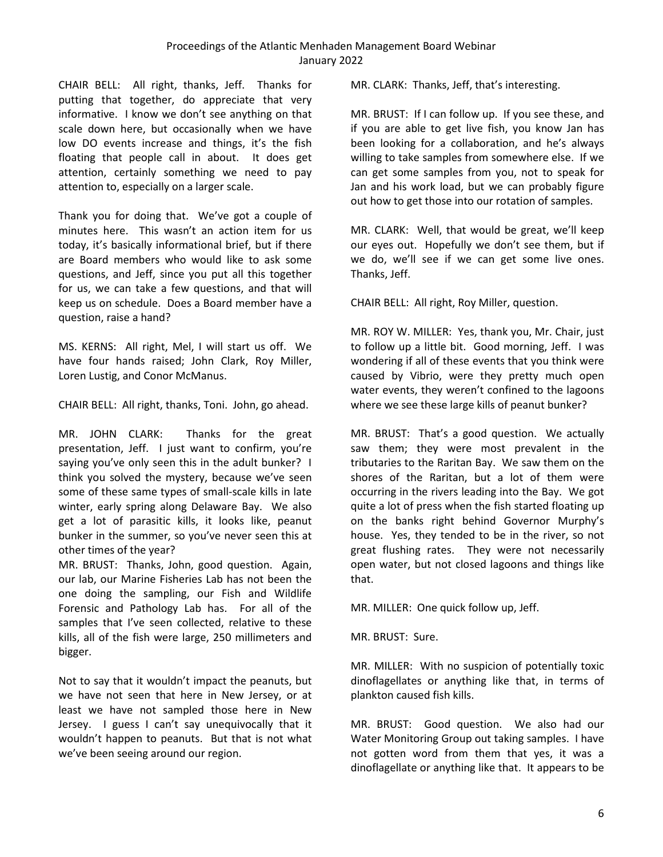CHAIR BELL: All right, thanks, Jeff. Thanks for putting that together, do appreciate that very informative. I know we don't see anything on that scale down here, but occasionally when we have low DO events increase and things, it's the fish floating that people call in about. It does get attention, certainly something we need to pay attention to, especially on a larger scale.

Thank you for doing that. We've got a couple of minutes here. This wasn't an action item for us today, it's basically informational brief, but if there are Board members who would like to ask some questions, and Jeff, since you put all this together for us, we can take a few questions, and that will keep us on schedule. Does a Board member have a question, raise a hand?

MS. KERNS: All right, Mel, I will start us off. We have four hands raised; John Clark, Roy Miller, Loren Lustig, and Conor McManus.

CHAIR BELL: All right, thanks, Toni. John, go ahead.

MR. JOHN CLARK: Thanks for the great presentation, Jeff. I just want to confirm, you're saying you've only seen this in the adult bunker? I think you solved the mystery, because we've seen some of these same types of small-scale kills in late winter, early spring along Delaware Bay. We also get a lot of parasitic kills, it looks like, peanut bunker in the summer, so you've never seen this at other times of the year?

MR. BRUST: Thanks, John, good question. Again, our lab, our Marine Fisheries Lab has not been the one doing the sampling, our Fish and Wildlife Forensic and Pathology Lab has. For all of the samples that I've seen collected, relative to these kills, all of the fish were large, 250 millimeters and bigger.

Not to say that it wouldn't impact the peanuts, but we have not seen that here in New Jersey, or at least we have not sampled those here in New Jersey. I guess I can't say unequivocally that it wouldn't happen to peanuts. But that is not what we've been seeing around our region.

MR. CLARK: Thanks, Jeff, that's interesting.

MR. BRUST: If I can follow up. If you see these, and if you are able to get live fish, you know Jan has been looking for a collaboration, and he's always willing to take samples from somewhere else. If we can get some samples from you, not to speak for Jan and his work load, but we can probably figure out how to get those into our rotation of samples.

MR. CLARK: Well, that would be great, we'll keep our eyes out. Hopefully we don't see them, but if we do, we'll see if we can get some live ones. Thanks, Jeff.

CHAIR BELL: All right, Roy Miller, question.

MR. ROY W. MILLER: Yes, thank you, Mr. Chair, just to follow up a little bit. Good morning, Jeff. I was wondering if all of these events that you think were caused by Vibrio, were they pretty much open water events, they weren't confined to the lagoons where we see these large kills of peanut bunker?

MR. BRUST: That's a good question. We actually saw them; they were most prevalent in the tributaries to the Raritan Bay. We saw them on the shores of the Raritan, but a lot of them were occurring in the rivers leading into the Bay. We got quite a lot of press when the fish started floating up on the banks right behind Governor Murphy's house. Yes, they tended to be in the river, so not great flushing rates. They were not necessarily open water, but not closed lagoons and things like that.

MR. MILLER: One quick follow up, Jeff.

MR. BRUST: Sure.

MR. MILLER: With no suspicion of potentially toxic dinoflagellates or anything like that, in terms of plankton caused fish kills.

MR. BRUST: Good question. We also had our Water Monitoring Group out taking samples. I have not gotten word from them that yes, it was a dinoflagellate or anything like that. It appears to be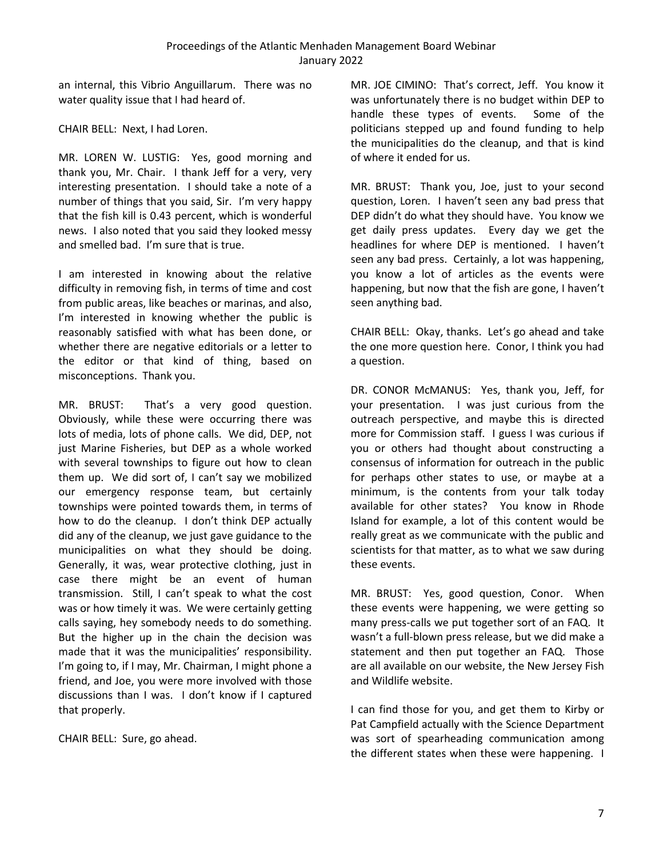an internal, this Vibrio Anguillarum. There was no water quality issue that I had heard of.

CHAIR BELL: Next, I had Loren.

MR. LOREN W. LUSTIG: Yes, good morning and thank you, Mr. Chair. I thank Jeff for a very, very interesting presentation. I should take a note of a number of things that you said, Sir. I'm very happy that the fish kill is 0.43 percent, which is wonderful news. I also noted that you said they looked messy and smelled bad. I'm sure that is true.

I am interested in knowing about the relative difficulty in removing fish, in terms of time and cost from public areas, like beaches or marinas, and also, I'm interested in knowing whether the public is reasonably satisfied with what has been done, or whether there are negative editorials or a letter to the editor or that kind of thing, based on misconceptions. Thank you.

MR. BRUST: That's a very good question. Obviously, while these were occurring there was lots of media, lots of phone calls. We did, DEP, not just Marine Fisheries, but DEP as a whole worked with several townships to figure out how to clean them up. We did sort of, I can't say we mobilized our emergency response team, but certainly townships were pointed towards them, in terms of how to do the cleanup. I don't think DEP actually did any of the cleanup, we just gave guidance to the municipalities on what they should be doing. Generally, it was, wear protective clothing, just in case there might be an event of human transmission. Still, I can't speak to what the cost was or how timely it was. We were certainly getting calls saying, hey somebody needs to do something. But the higher up in the chain the decision was made that it was the municipalities' responsibility. I'm going to, if I may, Mr. Chairman, I might phone a friend, and Joe, you were more involved with those discussions than I was. I don't know if I captured that properly.

CHAIR BELL: Sure, go ahead.

MR. JOE CIMINO: That's correct, Jeff. You know it was unfortunately there is no budget within DEP to handle these types of events. Some of the politicians stepped up and found funding to help the municipalities do the cleanup, and that is kind of where it ended for us.

MR. BRUST: Thank you, Joe, just to your second question, Loren. I haven't seen any bad press that DEP didn't do what they should have. You know we get daily press updates. Every day we get the headlines for where DEP is mentioned. I haven't seen any bad press. Certainly, a lot was happening, you know a lot of articles as the events were happening, but now that the fish are gone, I haven't seen anything bad.

CHAIR BELL: Okay, thanks. Let's go ahead and take the one more question here. Conor, I think you had a question.

DR. CONOR McMANUS: Yes, thank you, Jeff, for your presentation. I was just curious from the outreach perspective, and maybe this is directed more for Commission staff. I guess I was curious if you or others had thought about constructing a consensus of information for outreach in the public for perhaps other states to use, or maybe at a minimum, is the contents from your talk today available for other states? You know in Rhode Island for example, a lot of this content would be really great as we communicate with the public and scientists for that matter, as to what we saw during these events.

MR. BRUST: Yes, good question, Conor. When these events were happening, we were getting so many press-calls we put together sort of an FAQ. It wasn't a full-blown press release, but we did make a statement and then put together an FAQ. Those are all available on our website, the New Jersey Fish and Wildlife website.

I can find those for you, and get them to Kirby or Pat Campfield actually with the Science Department was sort of spearheading communication among the different states when these were happening. I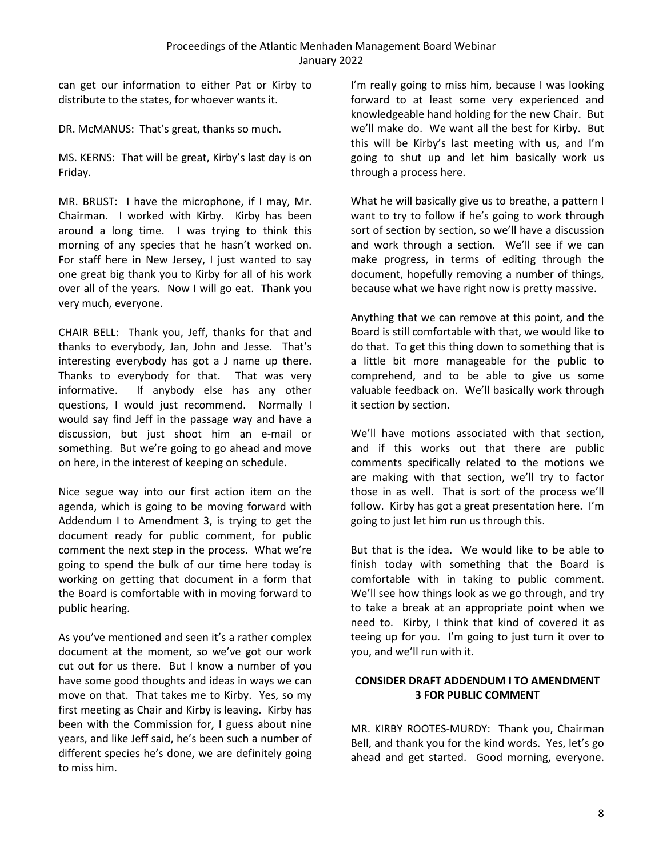can get our information to either Pat or Kirby to distribute to the states, for whoever wants it.

DR. McMANUS: That's great, thanks so much.

MS. KERNS: That will be great, Kirby's last day is on Friday.

MR. BRUST: I have the microphone, if I may, Mr. Chairman. I worked with Kirby. Kirby has been around a long time. I was trying to think this morning of any species that he hasn't worked on. For staff here in New Jersey, I just wanted to say one great big thank you to Kirby for all of his work over all of the years. Now I will go eat. Thank you very much, everyone.

CHAIR BELL: Thank you, Jeff, thanks for that and thanks to everybody, Jan, John and Jesse. That's interesting everybody has got a J name up there. Thanks to everybody for that. That was very informative. If anybody else has any other questions, I would just recommend. Normally I would say find Jeff in the passage way and have a discussion, but just shoot him an e-mail or something. But we're going to go ahead and move on here, in the interest of keeping on schedule.

Nice segue way into our first action item on the agenda, which is going to be moving forward with Addendum I to Amendment 3, is trying to get the document ready for public comment, for public comment the next step in the process. What we're going to spend the bulk of our time here today is working on getting that document in a form that the Board is comfortable with in moving forward to public hearing.

As you've mentioned and seen it's a rather complex document at the moment, so we've got our work cut out for us there. But I know a number of you have some good thoughts and ideas in ways we can move on that. That takes me to Kirby. Yes, so my first meeting as Chair and Kirby is leaving. Kirby has been with the Commission for, I guess about nine years, and like Jeff said, he's been such a number of different species he's done, we are definitely going to miss him.

I'm really going to miss him, because I was looking forward to at least some very experienced and knowledgeable hand holding for the new Chair. But we'll make do. We want all the best for Kirby. But this will be Kirby's last meeting with us, and I'm going to shut up and let him basically work us through a process here.

What he will basically give us to breathe, a pattern I want to try to follow if he's going to work through sort of section by section, so we'll have a discussion and work through a section. We'll see if we can make progress, in terms of editing through the document, hopefully removing a number of things, because what we have right now is pretty massive.

Anything that we can remove at this point, and the Board is still comfortable with that, we would like to do that. To get this thing down to something that is a little bit more manageable for the public to comprehend, and to be able to give us some valuable feedback on. We'll basically work through it section by section.

We'll have motions associated with that section, and if this works out that there are public comments specifically related to the motions we are making with that section, we'll try to factor those in as well. That is sort of the process we'll follow. Kirby has got a great presentation here. I'm going to just let him run us through this.

But that is the idea. We would like to be able to finish today with something that the Board is comfortable with in taking to public comment. We'll see how things look as we go through, and try to take a break at an appropriate point when we need to. Kirby, I think that kind of covered it as teeing up for you. I'm going to just turn it over to you, and we'll run with it.

# <span id="page-13-0"></span>**CONSIDER DRAFT ADDENDUM I TO AMENDMENT 3 FOR PUBLIC COMMENT**

MR. KIRBY ROOTES-MURDY: Thank you, Chairman Bell, and thank you for the kind words. Yes, let's go ahead and get started. Good morning, everyone.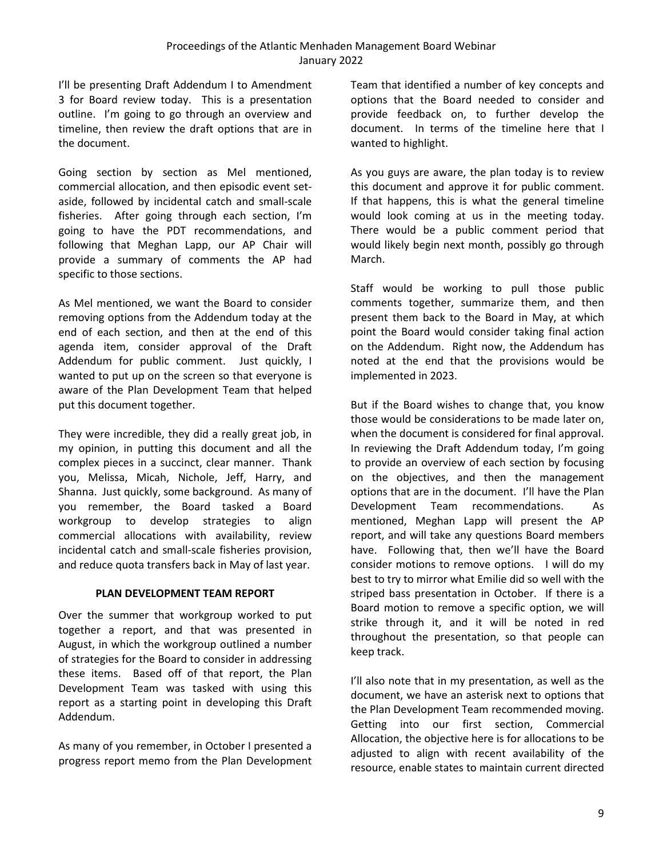I'll be presenting Draft Addendum I to Amendment 3 for Board review today. This is a presentation outline. I'm going to go through an overview and timeline, then review the draft options that are in the document.

Going section by section as Mel mentioned, commercial allocation, and then episodic event setaside, followed by incidental catch and small-scale fisheries. After going through each section, I'm going to have the PDT recommendations, and following that Meghan Lapp, our AP Chair will provide a summary of comments the AP had specific to those sections.

As Mel mentioned, we want the Board to consider removing options from the Addendum today at the end of each section, and then at the end of this agenda item, consider approval of the Draft Addendum for public comment. Just quickly, I wanted to put up on the screen so that everyone is aware of the Plan Development Team that helped put this document together.

They were incredible, they did a really great job, in my opinion, in putting this document and all the complex pieces in a succinct, clear manner. Thank you, Melissa, Micah, Nichole, Jeff, Harry, and Shanna. Just quickly, some background. As many of you remember, the Board tasked a Board workgroup to develop strategies to align commercial allocations with availability, review incidental catch and small-scale fisheries provision, and reduce quota transfers back in May of last year.

### **PLAN DEVELOPMENT TEAM REPORT**

<span id="page-14-0"></span>Over the summer that workgroup worked to put together a report, and that was presented in August, in which the workgroup outlined a number of strategies for the Board to consider in addressing these items. Based off of that report, the Plan Development Team was tasked with using this report as a starting point in developing this Draft Addendum.

As many of you remember, in October I presented a progress report memo from the Plan Development Team that identified a number of key concepts and options that the Board needed to consider and provide feedback on, to further develop the document. In terms of the timeline here that I wanted to highlight.

As you guys are aware, the plan today is to review this document and approve it for public comment. If that happens, this is what the general timeline would look coming at us in the meeting today. There would be a public comment period that would likely begin next month, possibly go through March.

Staff would be working to pull those public comments together, summarize them, and then present them back to the Board in May, at which point the Board would consider taking final action on the Addendum. Right now, the Addendum has noted at the end that the provisions would be implemented in 2023.

But if the Board wishes to change that, you know those would be considerations to be made later on, when the document is considered for final approval. In reviewing the Draft Addendum today, I'm going to provide an overview of each section by focusing on the objectives, and then the management options that are in the document. I'll have the Plan Development Team recommendations. As mentioned, Meghan Lapp will present the AP report, and will take any questions Board members have. Following that, then we'll have the Board consider motions to remove options. I will do my best to try to mirror what Emilie did so well with the striped bass presentation in October. If there is a Board motion to remove a specific option, we will strike through it, and it will be noted in red throughout the presentation, so that people can keep track.

I'll also note that in my presentation, as well as the document, we have an asterisk next to options that the Plan Development Team recommended moving. Getting into our first section, Commercial Allocation, the objective here is for allocations to be adjusted to align with recent availability of the resource, enable states to maintain current directed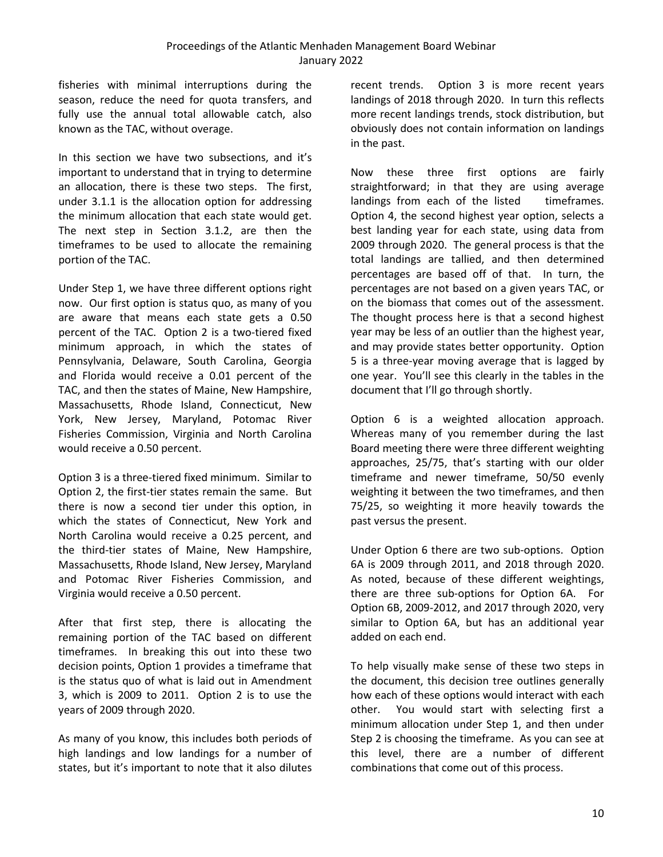fisheries with minimal interruptions during the season, reduce the need for quota transfers, and fully use the annual total allowable catch, also known as the TAC, without overage.

In this section we have two subsections, and it's important to understand that in trying to determine an allocation, there is these two steps. The first, under 3.1.1 is the allocation option for addressing the minimum allocation that each state would get. The next step in Section 3.1.2, are then the timeframes to be used to allocate the remaining portion of the TAC.

Under Step 1, we have three different options right now. Our first option is status quo, as many of you are aware that means each state gets a 0.50 percent of the TAC. Option 2 is a two-tiered fixed minimum approach, in which the states of Pennsylvania, Delaware, South Carolina, Georgia and Florida would receive a 0.01 percent of the TAC, and then the states of Maine, New Hampshire, Massachusetts, Rhode Island, Connecticut, New York, New Jersey, Maryland, Potomac River Fisheries Commission, Virginia and North Carolina would receive a 0.50 percent.

Option 3 is a three-tiered fixed minimum. Similar to Option 2, the first-tier states remain the same. But there is now a second tier under this option, in which the states of Connecticut, New York and North Carolina would receive a 0.25 percent, and the third-tier states of Maine, New Hampshire, Massachusetts, Rhode Island, New Jersey, Maryland and Potomac River Fisheries Commission, and Virginia would receive a 0.50 percent.

After that first step, there is allocating the remaining portion of the TAC based on different timeframes. In breaking this out into these two decision points, Option 1 provides a timeframe that is the status quo of what is laid out in Amendment 3, which is 2009 to 2011. Option 2 is to use the years of 2009 through 2020.

As many of you know, this includes both periods of high landings and low landings for a number of states, but it's important to note that it also dilutes

recent trends. Option 3 is more recent years landings of 2018 through 2020. In turn this reflects more recent landings trends, stock distribution, but obviously does not contain information on landings in the past.

Now these three first options are fairly straightforward; in that they are using average landings from each of the listed timeframes. Option 4, the second highest year option, selects a best landing year for each state, using data from 2009 through 2020. The general process is that the total landings are tallied, and then determined percentages are based off of that. In turn, the percentages are not based on a given years TAC, or on the biomass that comes out of the assessment. The thought process here is that a second highest year may be less of an outlier than the highest year, and may provide states better opportunity. Option 5 is a three-year moving average that is lagged by one year. You'll see this clearly in the tables in the document that I'll go through shortly.

Option 6 is a weighted allocation approach. Whereas many of you remember during the last Board meeting there were three different weighting approaches, 25/75, that's starting with our older timeframe and newer timeframe, 50/50 evenly weighting it between the two timeframes, and then 75/25, so weighting it more heavily towards the past versus the present.

Under Option 6 there are two sub-options. Option 6A is 2009 through 2011, and 2018 through 2020. As noted, because of these different weightings, there are three sub-options for Option 6A. For Option 6B, 2009-2012, and 2017 through 2020, very similar to Option 6A, but has an additional year added on each end.

To help visually make sense of these two steps in the document, this decision tree outlines generally how each of these options would interact with each other. You would start with selecting first a minimum allocation under Step 1, and then under Step 2 is choosing the timeframe. As you can see at this level, there are a number of different combinations that come out of this process.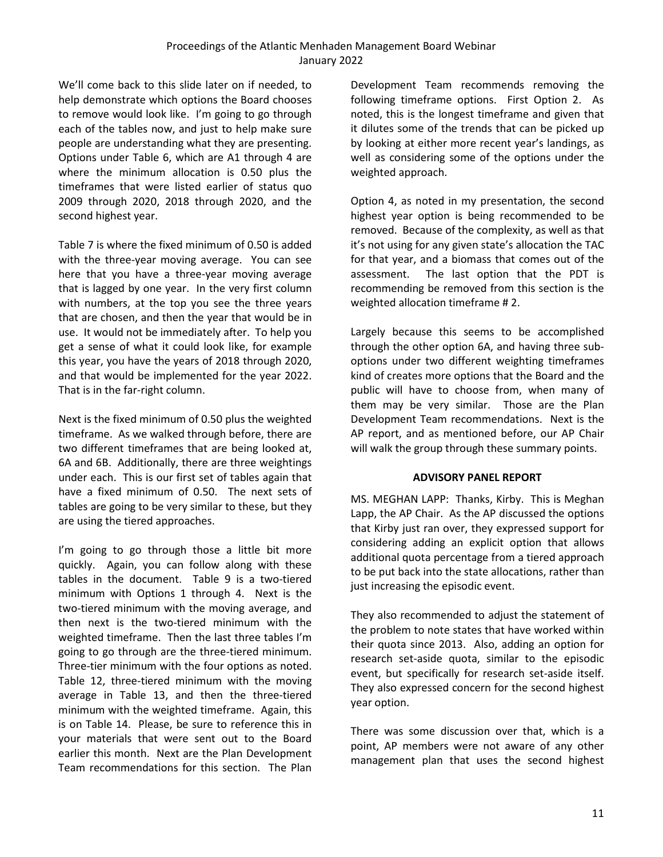We'll come back to this slide later on if needed, to help demonstrate which options the Board chooses to remove would look like. I'm going to go through each of the tables now, and just to help make sure people are understanding what they are presenting. Options under Table 6, which are A1 through 4 are where the minimum allocation is 0.50 plus the timeframes that were listed earlier of status quo 2009 through 2020, 2018 through 2020, and the second highest year.

Table 7 is where the fixed minimum of 0.50 is added with the three-year moving average. You can see here that you have a three-year moving average that is lagged by one year. In the very first column with numbers, at the top you see the three years that are chosen, and then the year that would be in use. It would not be immediately after. To help you get a sense of what it could look like, for example this year, you have the years of 2018 through 2020, and that would be implemented for the year 2022. That is in the far-right column.

Next is the fixed minimum of 0.50 plus the weighted timeframe. As we walked through before, there are two different timeframes that are being looked at, 6A and 6B. Additionally, there are three weightings under each. This is our first set of tables again that have a fixed minimum of 0.50. The next sets of tables are going to be very similar to these, but they are using the tiered approaches.

I'm going to go through those a little bit more quickly. Again, you can follow along with these tables in the document. Table 9 is a two-tiered minimum with Options 1 through 4. Next is the two-tiered minimum with the moving average, and then next is the two-tiered minimum with the weighted timeframe. Then the last three tables I'm going to go through are the three-tiered minimum. Three-tier minimum with the four options as noted. Table 12, three-tiered minimum with the moving average in Table 13, and then the three-tiered minimum with the weighted timeframe. Again, this is on Table 14. Please, be sure to reference this in your materials that were sent out to the Board earlier this month. Next are the Plan Development Team recommendations for this section. The Plan

Development Team recommends removing the following timeframe options. First Option 2. As noted, this is the longest timeframe and given that it dilutes some of the trends that can be picked up by looking at either more recent year's landings, as well as considering some of the options under the weighted approach.

Option 4, as noted in my presentation, the second highest year option is being recommended to be removed. Because of the complexity, as well as that it's not using for any given state's allocation the TAC for that year, and a biomass that comes out of the assessment. The last option that the PDT is recommending be removed from this section is the weighted allocation timeframe # 2.

Largely because this seems to be accomplished through the other option 6A, and having three suboptions under two different weighting timeframes kind of creates more options that the Board and the public will have to choose from, when many of them may be very similar. Those are the Plan Development Team recommendations. Next is the AP report, and as mentioned before, our AP Chair will walk the group through these summary points.

### **ADVISORY PANEL REPORT**

<span id="page-16-0"></span>MS. MEGHAN LAPP: Thanks, Kirby. This is Meghan Lapp, the AP Chair. As the AP discussed the options that Kirby just ran over, they expressed support for considering adding an explicit option that allows additional quota percentage from a tiered approach to be put back into the state allocations, rather than just increasing the episodic event.

They also recommended to adjust the statement of the problem to note states that have worked within their quota since 2013. Also, adding an option for research set-aside quota, similar to the episodic event, but specifically for research set-aside itself. They also expressed concern for the second highest year option.

There was some discussion over that, which is a point, AP members were not aware of any other management plan that uses the second highest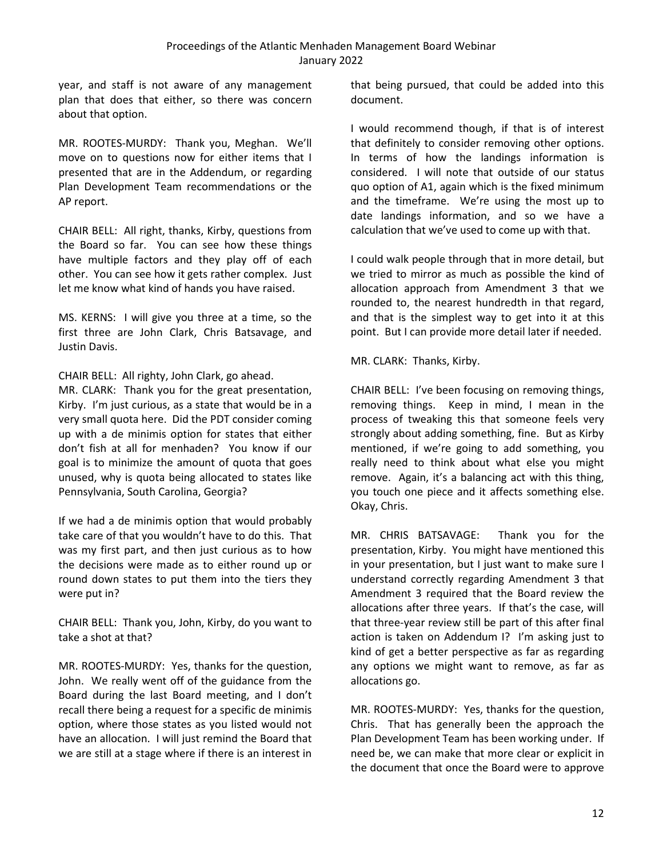year, and staff is not aware of any management plan that does that either, so there was concern about that option.

MR. ROOTES-MURDY: Thank you, Meghan. We'll move on to questions now for either items that I presented that are in the Addendum, or regarding Plan Development Team recommendations or the AP report.

CHAIR BELL: All right, thanks, Kirby, questions from the Board so far. You can see how these things have multiple factors and they play off of each other. You can see how it gets rather complex. Just let me know what kind of hands you have raised.

MS. KERNS: I will give you three at a time, so the first three are John Clark, Chris Batsavage, and Justin Davis.

CHAIR BELL: All righty, John Clark, go ahead.

MR. CLARK: Thank you for the great presentation, Kirby. I'm just curious, as a state that would be in a very small quota here. Did the PDT consider coming up with a de minimis option for states that either don't fish at all for menhaden? You know if our goal is to minimize the amount of quota that goes unused, why is quota being allocated to states like Pennsylvania, South Carolina, Georgia?

If we had a de minimis option that would probably take care of that you wouldn't have to do this. That was my first part, and then just curious as to how the decisions were made as to either round up or round down states to put them into the tiers they were put in?

CHAIR BELL: Thank you, John, Kirby, do you want to take a shot at that?

MR. ROOTES-MURDY: Yes, thanks for the question, John. We really went off of the guidance from the Board during the last Board meeting, and I don't recall there being a request for a specific de minimis option, where those states as you listed would not have an allocation. I will just remind the Board that we are still at a stage where if there is an interest in that being pursued, that could be added into this document.

I would recommend though, if that is of interest that definitely to consider removing other options. In terms of how the landings information is considered. I will note that outside of our status quo option of A1, again which is the fixed minimum and the timeframe. We're using the most up to date landings information, and so we have a calculation that we've used to come up with that.

I could walk people through that in more detail, but we tried to mirror as much as possible the kind of allocation approach from Amendment 3 that we rounded to, the nearest hundredth in that regard, and that is the simplest way to get into it at this point. But I can provide more detail later if needed.

MR. CLARK: Thanks, Kirby.

CHAIR BELL: I've been focusing on removing things, removing things. Keep in mind, I mean in the process of tweaking this that someone feels very strongly about adding something, fine. But as Kirby mentioned, if we're going to add something, you really need to think about what else you might remove. Again, it's a balancing act with this thing, you touch one piece and it affects something else. Okay, Chris.

MR. CHRIS BATSAVAGE: Thank you for the presentation, Kirby. You might have mentioned this in your presentation, but I just want to make sure I understand correctly regarding Amendment 3 that Amendment 3 required that the Board review the allocations after three years. If that's the case, will that three-year review still be part of this after final action is taken on Addendum I? I'm asking just to kind of get a better perspective as far as regarding any options we might want to remove, as far as allocations go.

MR. ROOTES-MURDY: Yes, thanks for the question, Chris. That has generally been the approach the Plan Development Team has been working under. If need be, we can make that more clear or explicit in the document that once the Board were to approve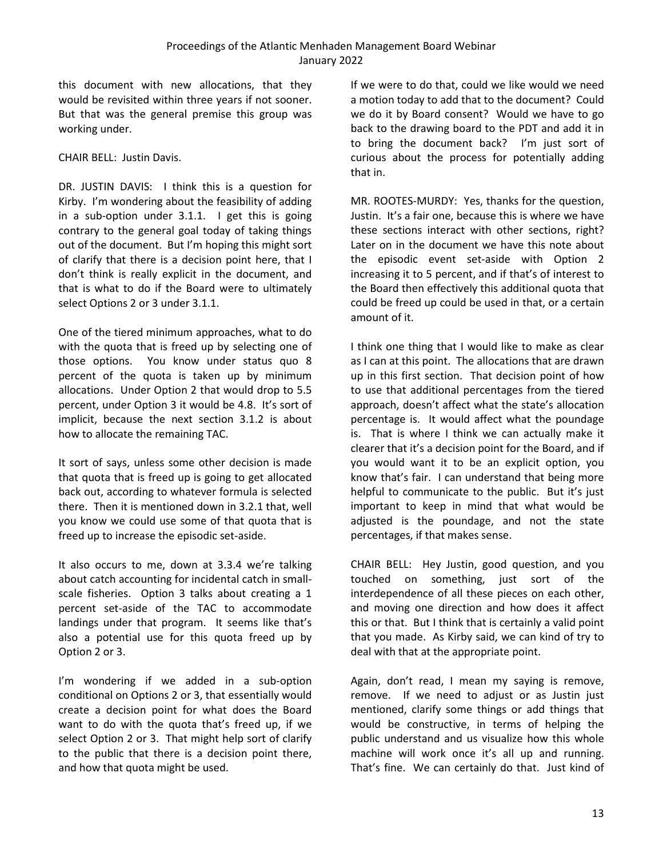this document with new allocations, that they would be revisited within three years if not sooner. But that was the general premise this group was working under.

CHAIR BELL: Justin Davis.

DR. JUSTIN DAVIS: I think this is a question for Kirby. I'm wondering about the feasibility of adding in a sub-option under 3.1.1. I get this is going contrary to the general goal today of taking things out of the document. But I'm hoping this might sort of clarify that there is a decision point here, that I don't think is really explicit in the document, and that is what to do if the Board were to ultimately select Options 2 or 3 under 3.1.1.

One of the tiered minimum approaches, what to do with the quota that is freed up by selecting one of those options. You know under status quo 8 percent of the quota is taken up by minimum allocations. Under Option 2 that would drop to 5.5 percent, under Option 3 it would be 4.8. It's sort of implicit, because the next section 3.1.2 is about how to allocate the remaining TAC.

It sort of says, unless some other decision is made that quota that is freed up is going to get allocated back out, according to whatever formula is selected there. Then it is mentioned down in 3.2.1 that, well you know we could use some of that quota that is freed up to increase the episodic set-aside.

It also occurs to me, down at 3.3.4 we're talking about catch accounting for incidental catch in smallscale fisheries. Option 3 talks about creating a 1 percent set-aside of the TAC to accommodate landings under that program. It seems like that's also a potential use for this quota freed up by Option 2 or 3.

I'm wondering if we added in a sub-option conditional on Options 2 or 3, that essentially would create a decision point for what does the Board want to do with the quota that's freed up, if we select Option 2 or 3. That might help sort of clarify to the public that there is a decision point there, and how that quota might be used.

If we were to do that, could we like would we need a motion today to add that to the document? Could we do it by Board consent? Would we have to go back to the drawing board to the PDT and add it in to bring the document back? I'm just sort of curious about the process for potentially adding that in.

MR. ROOTES-MURDY: Yes, thanks for the question, Justin. It's a fair one, because this is where we have these sections interact with other sections, right? Later on in the document we have this note about the episodic event set-aside with Option 2 increasing it to 5 percent, and if that's of interest to the Board then effectively this additional quota that could be freed up could be used in that, or a certain amount of it.

I think one thing that I would like to make as clear as I can at this point. The allocations that are drawn up in this first section. That decision point of how to use that additional percentages from the tiered approach, doesn't affect what the state's allocation percentage is. It would affect what the poundage is. That is where I think we can actually make it clearer that it's a decision point for the Board, and if you would want it to be an explicit option, you know that's fair. I can understand that being more helpful to communicate to the public. But it's just important to keep in mind that what would be adjusted is the poundage, and not the state percentages, if that makes sense.

CHAIR BELL: Hey Justin, good question, and you touched on something, just sort of the interdependence of all these pieces on each other, and moving one direction and how does it affect this or that. But I think that is certainly a valid point that you made. As Kirby said, we can kind of try to deal with that at the appropriate point.

Again, don't read, I mean my saying is remove, remove. If we need to adjust or as Justin just mentioned, clarify some things or add things that would be constructive, in terms of helping the public understand and us visualize how this whole machine will work once it's all up and running. That's fine. We can certainly do that. Just kind of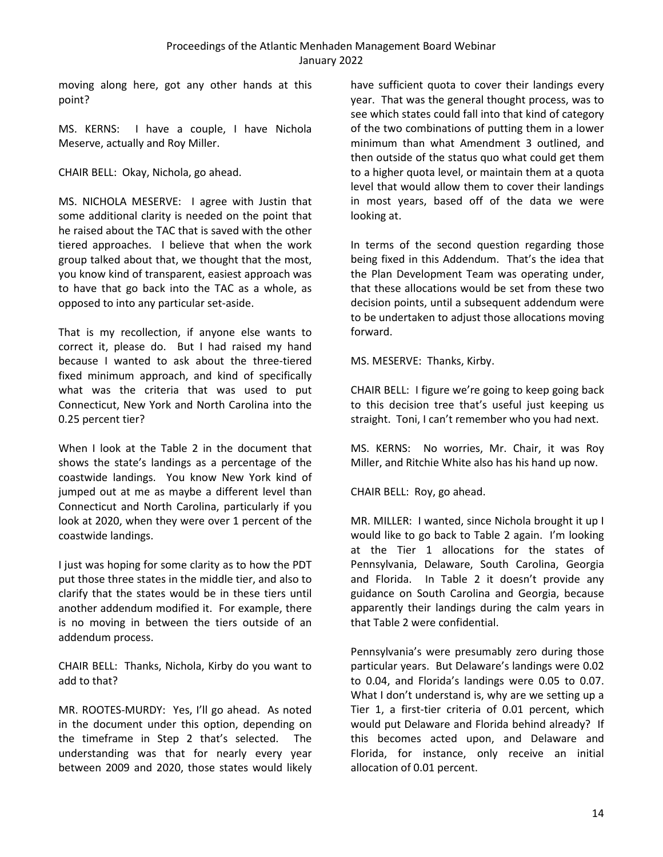moving along here, got any other hands at this point?

MS. KERNS: I have a couple, I have Nichola Meserve, actually and Roy Miller.

CHAIR BELL: Okay, Nichola, go ahead.

MS. NICHOLA MESERVE: I agree with Justin that some additional clarity is needed on the point that he raised about the TAC that is saved with the other tiered approaches. I believe that when the work group talked about that, we thought that the most, you know kind of transparent, easiest approach was to have that go back into the TAC as a whole, as opposed to into any particular set-aside.

That is my recollection, if anyone else wants to correct it, please do. But I had raised my hand because I wanted to ask about the three-tiered fixed minimum approach, and kind of specifically what was the criteria that was used to put Connecticut, New York and North Carolina into the 0.25 percent tier?

When I look at the Table 2 in the document that shows the state's landings as a percentage of the coastwide landings. You know New York kind of jumped out at me as maybe a different level than Connecticut and North Carolina, particularly if you look at 2020, when they were over 1 percent of the coastwide landings.

I just was hoping for some clarity as to how the PDT put those three states in the middle tier, and also to clarify that the states would be in these tiers until another addendum modified it. For example, there is no moving in between the tiers outside of an addendum process.

CHAIR BELL: Thanks, Nichola, Kirby do you want to add to that?

MR. ROOTES-MURDY: Yes, I'll go ahead. As noted in the document under this option, depending on the timeframe in Step 2 that's selected. The understanding was that for nearly every year between 2009 and 2020, those states would likely

have sufficient quota to cover their landings every year. That was the general thought process, was to see which states could fall into that kind of category of the two combinations of putting them in a lower minimum than what Amendment 3 outlined, and then outside of the status quo what could get them to a higher quota level, or maintain them at a quota level that would allow them to cover their landings in most years, based off of the data we were looking at.

In terms of the second question regarding those being fixed in this Addendum. That's the idea that the Plan Development Team was operating under, that these allocations would be set from these two decision points, until a subsequent addendum were to be undertaken to adjust those allocations moving forward.

MS. MESERVE: Thanks, Kirby.

CHAIR BELL: I figure we're going to keep going back to this decision tree that's useful just keeping us straight. Toni, I can't remember who you had next.

MS. KERNS: No worries, Mr. Chair, it was Roy Miller, and Ritchie White also has his hand up now.

CHAIR BELL: Roy, go ahead.

MR. MILLER: I wanted, since Nichola brought it up I would like to go back to Table 2 again. I'm looking at the Tier 1 allocations for the states of Pennsylvania, Delaware, South Carolina, Georgia and Florida. In Table 2 it doesn't provide any guidance on South Carolina and Georgia, because apparently their landings during the calm years in that Table 2 were confidential.

Pennsylvania's were presumably zero during those particular years. But Delaware's landings were 0.02 to 0.04, and Florida's landings were 0.05 to 0.07. What I don't understand is, why are we setting up a Tier 1, a first-tier criteria of 0.01 percent, which would put Delaware and Florida behind already? If this becomes acted upon, and Delaware and Florida, for instance, only receive an initial allocation of 0.01 percent.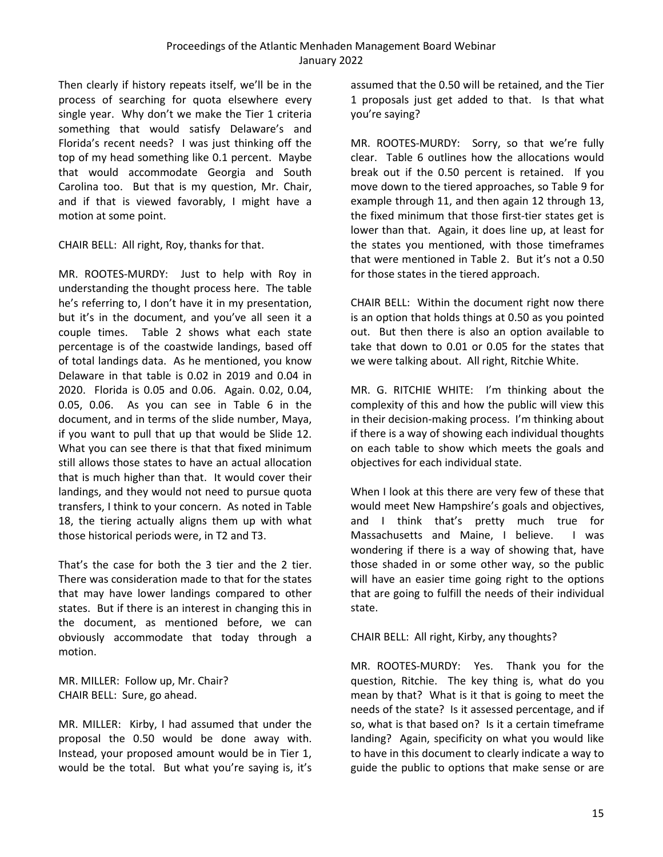Then clearly if history repeats itself, we'll be in the process of searching for quota elsewhere every single year. Why don't we make the Tier 1 criteria something that would satisfy Delaware's and Florida's recent needs? I was just thinking off the top of my head something like 0.1 percent. Maybe that would accommodate Georgia and South Carolina too. But that is my question, Mr. Chair, and if that is viewed favorably, I might have a motion at some point.

CHAIR BELL: All right, Roy, thanks for that.

MR. ROOTES-MURDY: Just to help with Roy in understanding the thought process here. The table he's referring to, I don't have it in my presentation, but it's in the document, and you've all seen it a couple times. Table 2 shows what each state percentage is of the coastwide landings, based off of total landings data. As he mentioned, you know Delaware in that table is 0.02 in 2019 and 0.04 in 2020. Florida is 0.05 and 0.06. Again. 0.02, 0.04, 0.05, 0.06. As you can see in Table 6 in the document, and in terms of the slide number, Maya, if you want to pull that up that would be Slide 12. What you can see there is that that fixed minimum still allows those states to have an actual allocation that is much higher than that. It would cover their landings, and they would not need to pursue quota transfers, I think to your concern. As noted in Table 18, the tiering actually aligns them up with what those historical periods were, in T2 and T3.

That's the case for both the 3 tier and the 2 tier. There was consideration made to that for the states that may have lower landings compared to other states. But if there is an interest in changing this in the document, as mentioned before, we can obviously accommodate that today through a motion.

MR. MILLER: Follow up, Mr. Chair? CHAIR BELL: Sure, go ahead.

MR. MILLER: Kirby, I had assumed that under the proposal the 0.50 would be done away with. Instead, your proposed amount would be in Tier 1, would be the total. But what you're saying is, it's

assumed that the 0.50 will be retained, and the Tier 1 proposals just get added to that. Is that what you're saying?

MR. ROOTES-MURDY: Sorry, so that we're fully clear. Table 6 outlines how the allocations would break out if the 0.50 percent is retained. If you move down to the tiered approaches, so Table 9 for example through 11, and then again 12 through 13, the fixed minimum that those first-tier states get is lower than that. Again, it does line up, at least for the states you mentioned, with those timeframes that were mentioned in Table 2. But it's not a 0.50 for those states in the tiered approach.

CHAIR BELL: Within the document right now there is an option that holds things at 0.50 as you pointed out. But then there is also an option available to take that down to 0.01 or 0.05 for the states that we were talking about. All right, Ritchie White.

MR. G. RITCHIE WHITE: I'm thinking about the complexity of this and how the public will view this in their decision-making process. I'm thinking about if there is a way of showing each individual thoughts on each table to show which meets the goals and objectives for each individual state.

When I look at this there are very few of these that would meet New Hampshire's goals and objectives, and I think that's pretty much true for Massachusetts and Maine, I believe. I was wondering if there is a way of showing that, have those shaded in or some other way, so the public will have an easier time going right to the options that are going to fulfill the needs of their individual state.

# CHAIR BELL: All right, Kirby, any thoughts?

MR. ROOTES-MURDY: Yes. Thank you for the question, Ritchie. The key thing is, what do you mean by that? What is it that is going to meet the needs of the state? Is it assessed percentage, and if so, what is that based on? Is it a certain timeframe landing? Again, specificity on what you would like to have in this document to clearly indicate a way to guide the public to options that make sense or are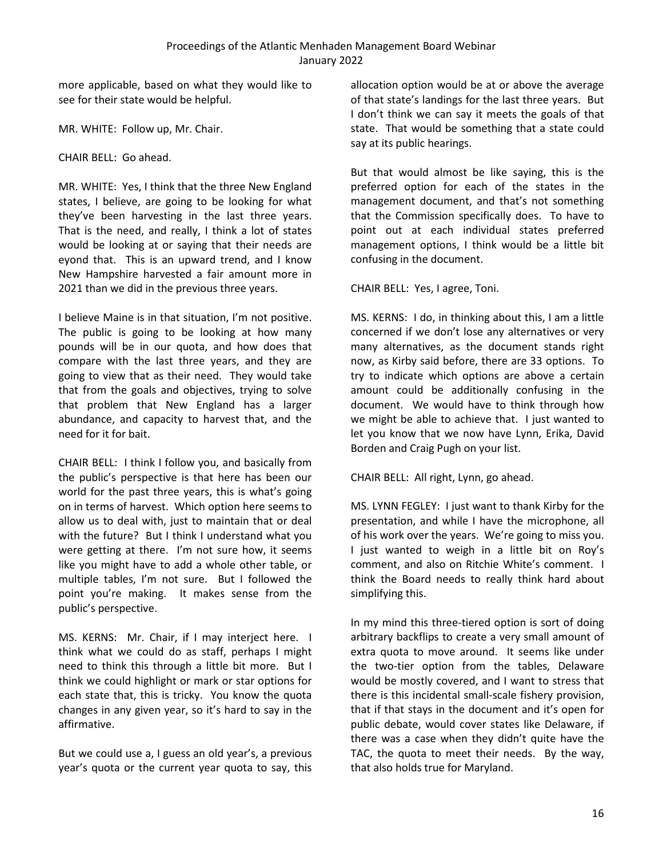more applicable, based on what they would like to see for their state would be helpful.

MR. WHITE: Follow up, Mr. Chair.

CHAIR BELL: Go ahead.

MR. WHITE: Yes, I think that the three New England states, I believe, are going to be looking for what they've been harvesting in the last three years. That is the need, and really, I think a lot of states would be looking at or saying that their needs are eyond that. This is an upward trend, and I know New Hampshire harvested a fair amount more in 2021 than we did in the previous three years.

I believe Maine is in that situation, I'm not positive. The public is going to be looking at how many pounds will be in our quota, and how does that compare with the last three years, and they are going to view that as their need. They would take that from the goals and objectives, trying to solve that problem that New England has a larger abundance, and capacity to harvest that, and the need for it for bait.

CHAIR BELL: I think I follow you, and basically from the public's perspective is that here has been our world for the past three years, this is what's going on in terms of harvest. Which option here seems to allow us to deal with, just to maintain that or deal with the future? But I think I understand what you were getting at there. I'm not sure how, it seems like you might have to add a whole other table, or multiple tables, I'm not sure. But I followed the point you're making. It makes sense from the public's perspective.

MS. KERNS: Mr. Chair, if I may interject here. I think what we could do as staff, perhaps I might need to think this through a little bit more. But I think we could highlight or mark or star options for each state that, this is tricky. You know the quota changes in any given year, so it's hard to say in the affirmative.

But we could use a, I guess an old year's, a previous year's quota or the current year quota to say, this

allocation option would be at or above the average of that state's landings for the last three years. But I don't think we can say it meets the goals of that state. That would be something that a state could say at its public hearings.

But that would almost be like saying, this is the preferred option for each of the states in the management document, and that's not something that the Commission specifically does. To have to point out at each individual states preferred management options, I think would be a little bit confusing in the document.

CHAIR BELL: Yes, I agree, Toni.

MS. KERNS: I do, in thinking about this, I am a little concerned if we don't lose any alternatives or very many alternatives, as the document stands right now, as Kirby said before, there are 33 options. To try to indicate which options are above a certain amount could be additionally confusing in the document. We would have to think through how we might be able to achieve that. I just wanted to let you know that we now have Lynn, Erika, David Borden and Craig Pugh on your list.

CHAIR BELL: All right, Lynn, go ahead.

MS. LYNN FEGLEY: I just want to thank Kirby for the presentation, and while I have the microphone, all of his work over the years. We're going to miss you. I just wanted to weigh in a little bit on Roy's comment, and also on Ritchie White's comment. I think the Board needs to really think hard about simplifying this.

In my mind this three-tiered option is sort of doing arbitrary backflips to create a very small amount of extra quota to move around. It seems like under the two-tier option from the tables, Delaware would be mostly covered, and I want to stress that there is this incidental small-scale fishery provision, that if that stays in the document and it's open for public debate, would cover states like Delaware, if there was a case when they didn't quite have the TAC, the quota to meet their needs. By the way, that also holds true for Maryland.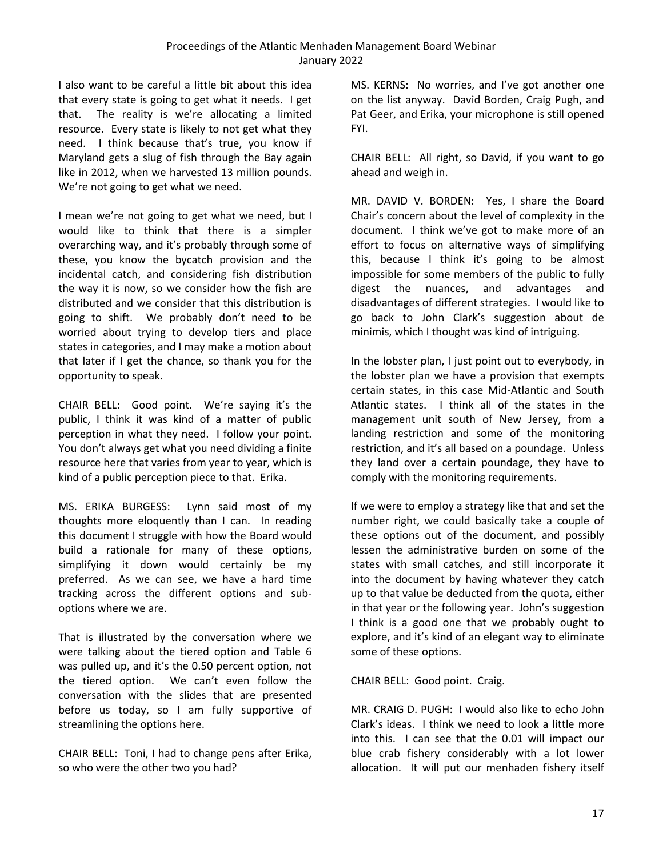I also want to be careful a little bit about this idea that every state is going to get what it needs. I get that. The reality is we're allocating a limited resource. Every state is likely to not get what they need. I think because that's true, you know if Maryland gets a slug of fish through the Bay again like in 2012, when we harvested 13 million pounds. We're not going to get what we need.

I mean we're not going to get what we need, but I would like to think that there is a simpler overarching way, and it's probably through some of these, you know the bycatch provision and the incidental catch, and considering fish distribution the way it is now, so we consider how the fish are distributed and we consider that this distribution is going to shift. We probably don't need to be worried about trying to develop tiers and place states in categories, and I may make a motion about that later if I get the chance, so thank you for the opportunity to speak.

CHAIR BELL: Good point. We're saying it's the public, I think it was kind of a matter of public perception in what they need. I follow your point. You don't always get what you need dividing a finite resource here that varies from year to year, which is kind of a public perception piece to that. Erika.

MS. ERIKA BURGESS: Lynn said most of my thoughts more eloquently than I can. In reading this document I struggle with how the Board would build a rationale for many of these options, simplifying it down would certainly be my preferred. As we can see, we have a hard time tracking across the different options and suboptions where we are.

That is illustrated by the conversation where we were talking about the tiered option and Table 6 was pulled up, and it's the 0.50 percent option, not the tiered option. We can't even follow the conversation with the slides that are presented before us today, so I am fully supportive of streamlining the options here.

CHAIR BELL: Toni, I had to change pens after Erika, so who were the other two you had?

MS. KERNS: No worries, and I've got another one on the list anyway. David Borden, Craig Pugh, and Pat Geer, and Erika, your microphone is still opened FYI.

CHAIR BELL: All right, so David, if you want to go ahead and weigh in.

MR. DAVID V. BORDEN: Yes, I share the Board Chair's concern about the level of complexity in the document. I think we've got to make more of an effort to focus on alternative ways of simplifying this, because I think it's going to be almost impossible for some members of the public to fully digest the nuances, and advantages and disadvantages of different strategies. I would like to go back to John Clark's suggestion about de minimis, which I thought was kind of intriguing.

In the lobster plan, I just point out to everybody, in the lobster plan we have a provision that exempts certain states, in this case Mid-Atlantic and South Atlantic states. I think all of the states in the management unit south of New Jersey, from a landing restriction and some of the monitoring restriction, and it's all based on a poundage. Unless they land over a certain poundage, they have to comply with the monitoring requirements.

If we were to employ a strategy like that and set the number right, we could basically take a couple of these options out of the document, and possibly lessen the administrative burden on some of the states with small catches, and still incorporate it into the document by having whatever they catch up to that value be deducted from the quota, either in that year or the following year. John's suggestion I think is a good one that we probably ought to explore, and it's kind of an elegant way to eliminate some of these options.

CHAIR BELL: Good point. Craig.

MR. CRAIG D. PUGH: I would also like to echo John Clark's ideas. I think we need to look a little more into this. I can see that the 0.01 will impact our blue crab fishery considerably with a lot lower allocation. It will put our menhaden fishery itself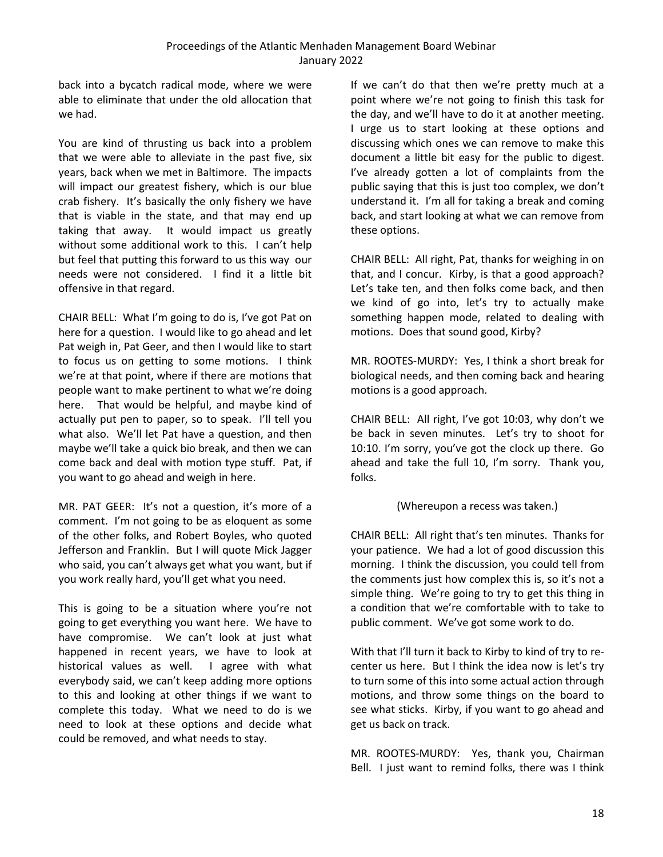back into a bycatch radical mode, where we were able to eliminate that under the old allocation that we had.

You are kind of thrusting us back into a problem that we were able to alleviate in the past five, six years, back when we met in Baltimore. The impacts will impact our greatest fishery, which is our blue crab fishery. It's basically the only fishery we have that is viable in the state, and that may end up taking that away. It would impact us greatly without some additional work to this. I can't help but feel that putting this forward to us this way our needs were not considered. I find it a little bit offensive in that regard.

CHAIR BELL: What I'm going to do is, I've got Pat on here for a question. I would like to go ahead and let Pat weigh in, Pat Geer, and then I would like to start to focus us on getting to some motions. I think we're at that point, where if there are motions that people want to make pertinent to what we're doing here. That would be helpful, and maybe kind of actually put pen to paper, so to speak. I'll tell you what also. We'll let Pat have a question, and then maybe we'll take a quick bio break, and then we can come back and deal with motion type stuff. Pat, if you want to go ahead and weigh in here.

MR. PAT GEER: It's not a question, it's more of a comment. I'm not going to be as eloquent as some of the other folks, and Robert Boyles, who quoted Jefferson and Franklin. But I will quote Mick Jagger who said, you can't always get what you want, but if you work really hard, you'll get what you need.

This is going to be a situation where you're not going to get everything you want here. We have to have compromise. We can't look at just what happened in recent years, we have to look at historical values as well. I agree with what everybody said, we can't keep adding more options to this and looking at other things if we want to complete this today. What we need to do is we need to look at these options and decide what could be removed, and what needs to stay.

If we can't do that then we're pretty much at a point where we're not going to finish this task for the day, and we'll have to do it at another meeting. I urge us to start looking at these options and discussing which ones we can remove to make this document a little bit easy for the public to digest. I've already gotten a lot of complaints from the public saying that this is just too complex, we don't understand it. I'm all for taking a break and coming back, and start looking at what we can remove from these options.

CHAIR BELL: All right, Pat, thanks for weighing in on that, and I concur. Kirby, is that a good approach? Let's take ten, and then folks come back, and then we kind of go into, let's try to actually make something happen mode, related to dealing with motions. Does that sound good, Kirby?

MR. ROOTES-MURDY: Yes, I think a short break for biological needs, and then coming back and hearing motions is a good approach.

CHAIR BELL: All right, I've got 10:03, why don't we be back in seven minutes. Let's try to shoot for 10:10. I'm sorry, you've got the clock up there. Go ahead and take the full 10, I'm sorry. Thank you, folks.

### (Whereupon a recess was taken.)

CHAIR BELL: All right that's ten minutes. Thanks for your patience. We had a lot of good discussion this morning. I think the discussion, you could tell from the comments just how complex this is, so it's not a simple thing. We're going to try to get this thing in a condition that we're comfortable with to take to public comment. We've got some work to do.

With that I'll turn it back to Kirby to kind of try to recenter us here. But I think the idea now is let's try to turn some of this into some actual action through motions, and throw some things on the board to see what sticks. Kirby, if you want to go ahead and get us back on track.

MR. ROOTES-MURDY: Yes, thank you, Chairman Bell. I just want to remind folks, there was I think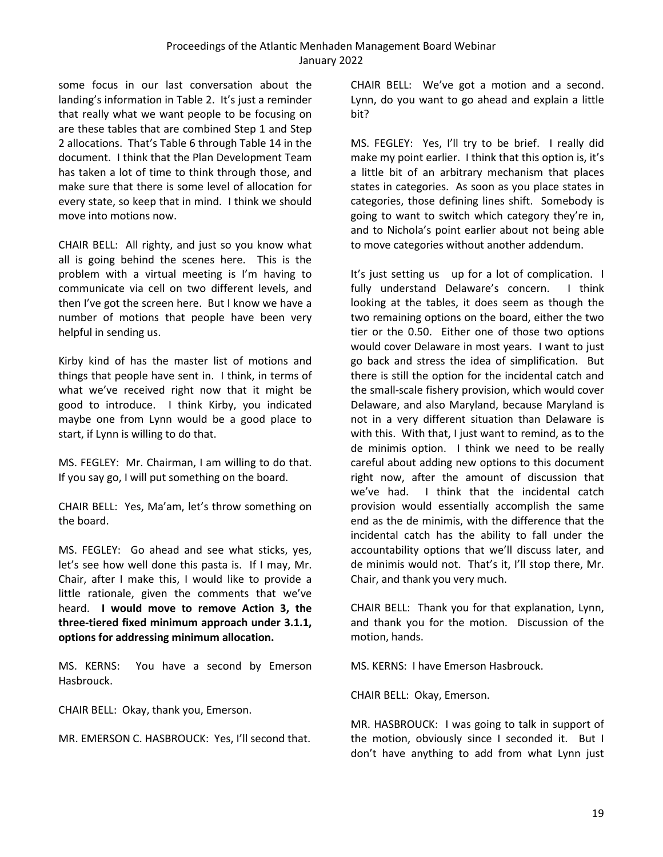some focus in our last conversation about the landing's information in Table 2. It's just a reminder that really what we want people to be focusing on are these tables that are combined Step 1 and Step 2 allocations. That's Table 6 through Table 14 in the document. I think that the Plan Development Team has taken a lot of time to think through those, and make sure that there is some level of allocation for every state, so keep that in mind. I think we should move into motions now.

CHAIR BELL: All righty, and just so you know what all is going behind the scenes here. This is the problem with a virtual meeting is I'm having to communicate via cell on two different levels, and then I've got the screen here. But I know we have a number of motions that people have been very helpful in sending us.

Kirby kind of has the master list of motions and things that people have sent in. I think, in terms of what we've received right now that it might be good to introduce. I think Kirby, you indicated maybe one from Lynn would be a good place to start, if Lynn is willing to do that.

MS. FEGLEY: Mr. Chairman, I am willing to do that. If you say go, I will put something on the board.

CHAIR BELL: Yes, Ma'am, let's throw something on the board.

MS. FEGLEY: Go ahead and see what sticks, yes, let's see how well done this pasta is. If I may, Mr. Chair, after I make this, I would like to provide a little rationale, given the comments that we've heard. **I would move to remove Action 3, the three-tiered fixed minimum approach under 3.1.1, options for addressing minimum allocation.**

MS. KERNS: You have a second by Emerson Hasbrouck.

CHAIR BELL: Okay, thank you, Emerson.

MR. EMERSON C. HASBROUCK: Yes, I'll second that.

CHAIR BELL: We've got a motion and a second. Lynn, do you want to go ahead and explain a little bit?

MS. FEGLEY: Yes, I'll try to be brief. I really did make my point earlier. I think that this option is, it's a little bit of an arbitrary mechanism that places states in categories. As soon as you place states in categories, those defining lines shift. Somebody is going to want to switch which category they're in, and to Nichola's point earlier about not being able to move categories without another addendum.

It's just setting us up for a lot of complication. I fully understand Delaware's concern. I think looking at the tables, it does seem as though the two remaining options on the board, either the two tier or the 0.50. Either one of those two options would cover Delaware in most years. I want to just go back and stress the idea of simplification. But there is still the option for the incidental catch and the small-scale fishery provision, which would cover Delaware, and also Maryland, because Maryland is not in a very different situation than Delaware is with this. With that, I just want to remind, as to the de minimis option. I think we need to be really careful about adding new options to this document right now, after the amount of discussion that we've had. I think that the incidental catch provision would essentially accomplish the same end as the de minimis, with the difference that the incidental catch has the ability to fall under the accountability options that we'll discuss later, and de minimis would not. That's it, I'll stop there, Mr. Chair, and thank you very much.

CHAIR BELL: Thank you for that explanation, Lynn, and thank you for the motion. Discussion of the motion, hands.

MS. KERNS: I have Emerson Hasbrouck.

CHAIR BELL: Okay, Emerson.

MR. HASBROUCK: I was going to talk in support of the motion, obviously since I seconded it. But I don't have anything to add from what Lynn just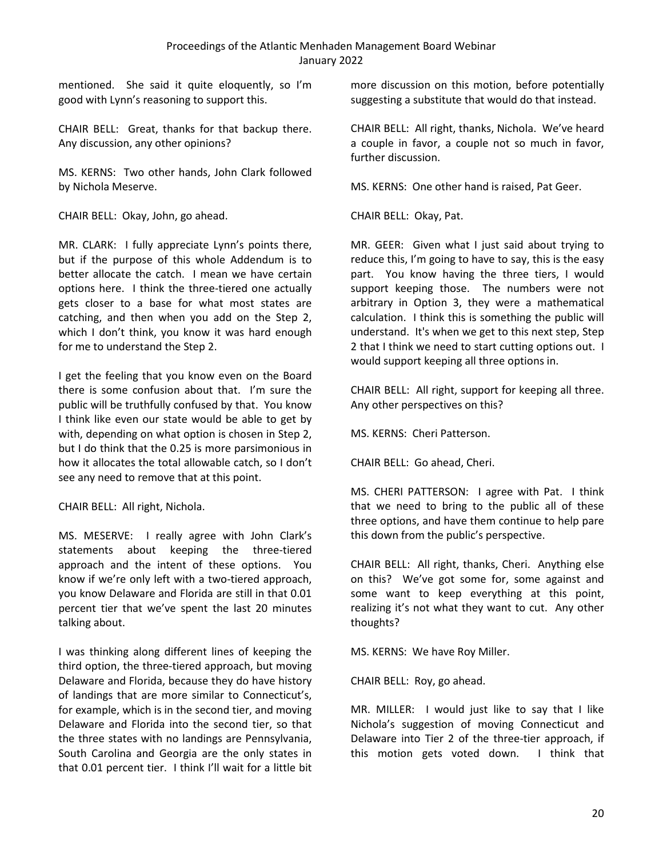mentioned. She said it quite eloquently, so I'm good with Lynn's reasoning to support this.

CHAIR BELL: Great, thanks for that backup there. Any discussion, any other opinions?

MS. KERNS: Two other hands, John Clark followed by Nichola Meserve.

CHAIR BELL: Okay, John, go ahead.

MR. CLARK: I fully appreciate Lynn's points there, but if the purpose of this whole Addendum is to better allocate the catch. I mean we have certain options here. I think the three-tiered one actually gets closer to a base for what most states are catching, and then when you add on the Step 2, which I don't think, you know it was hard enough for me to understand the Step 2.

I get the feeling that you know even on the Board there is some confusion about that. I'm sure the public will be truthfully confused by that. You know I think like even our state would be able to get by with, depending on what option is chosen in Step 2, but I do think that the 0.25 is more parsimonious in how it allocates the total allowable catch, so I don't see any need to remove that at this point.

CHAIR BELL: All right, Nichola.

MS. MESERVE: I really agree with John Clark's statements about keeping the three-tiered approach and the intent of these options. You know if we're only left with a two-tiered approach, you know Delaware and Florida are still in that 0.01 percent tier that we've spent the last 20 minutes talking about.

I was thinking along different lines of keeping the third option, the three-tiered approach, but moving Delaware and Florida, because they do have history of landings that are more similar to Connecticut's, for example, which is in the second tier, and moving Delaware and Florida into the second tier, so that the three states with no landings are Pennsylvania, South Carolina and Georgia are the only states in that 0.01 percent tier. I think I'll wait for a little bit

more discussion on this motion, before potentially suggesting a substitute that would do that instead.

CHAIR BELL: All right, thanks, Nichola. We've heard a couple in favor, a couple not so much in favor, further discussion.

MS. KERNS: One other hand is raised, Pat Geer.

CHAIR BELL: Okay, Pat.

MR. GEER: Given what I just said about trying to reduce this, I'm going to have to say, this is the easy part. You know having the three tiers, I would support keeping those. The numbers were not arbitrary in Option 3, they were a mathematical calculation. I think this is something the public will understand. It's when we get to this next step, Step 2 that I think we need to start cutting options out. I would support keeping all three options in.

CHAIR BELL: All right, support for keeping all three. Any other perspectives on this?

MS. KERNS: Cheri Patterson.

CHAIR BELL: Go ahead, Cheri.

MS. CHERI PATTERSON: I agree with Pat. I think that we need to bring to the public all of these three options, and have them continue to help pare this down from the public's perspective.

CHAIR BELL: All right, thanks, Cheri. Anything else on this? We've got some for, some against and some want to keep everything at this point, realizing it's not what they want to cut. Any other thoughts?

MS. KERNS: We have Roy Miller.

CHAIR BELL: Roy, go ahead.

MR. MILLER: I would just like to say that I like Nichola's suggestion of moving Connecticut and Delaware into Tier 2 of the three-tier approach, if this motion gets voted down. I think that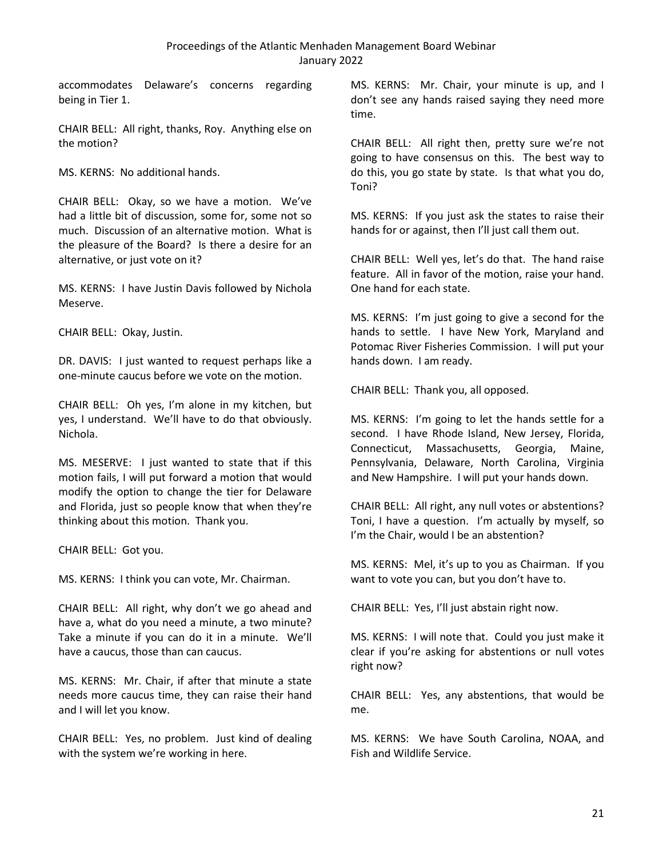accommodates Delaware's concerns regarding being in Tier 1.

CHAIR BELL: All right, thanks, Roy. Anything else on the motion?

MS. KERNS: No additional hands.

CHAIR BELL: Okay, so we have a motion. We've had a little bit of discussion, some for, some not so much. Discussion of an alternative motion. What is the pleasure of the Board? Is there a desire for an alternative, or just vote on it?

MS. KERNS: I have Justin Davis followed by Nichola Meserve.

CHAIR BELL: Okay, Justin.

DR. DAVIS: I just wanted to request perhaps like a one-minute caucus before we vote on the motion.

CHAIR BELL: Oh yes, I'm alone in my kitchen, but yes, I understand. We'll have to do that obviously. Nichola.

MS. MESERVE: I just wanted to state that if this motion fails, I will put forward a motion that would modify the option to change the tier for Delaware and Florida, just so people know that when they're thinking about this motion. Thank you.

CHAIR BELL: Got you.

MS. KERNS: I think you can vote, Mr. Chairman.

CHAIR BELL: All right, why don't we go ahead and have a, what do you need a minute, a two minute? Take a minute if you can do it in a minute. We'll have a caucus, those than can caucus.

MS. KERNS: Mr. Chair, if after that minute a state needs more caucus time, they can raise their hand and I will let you know.

CHAIR BELL: Yes, no problem. Just kind of dealing with the system we're working in here.

MS. KERNS: Mr. Chair, your minute is up, and I don't see any hands raised saying they need more time.

CHAIR BELL: All right then, pretty sure we're not going to have consensus on this. The best way to do this, you go state by state. Is that what you do, Toni?

MS. KERNS: If you just ask the states to raise their hands for or against, then I'll just call them out.

CHAIR BELL: Well yes, let's do that. The hand raise feature. All in favor of the motion, raise your hand. One hand for each state.

MS. KERNS: I'm just going to give a second for the hands to settle. I have New York, Maryland and Potomac River Fisheries Commission. I will put your hands down. I am ready.

CHAIR BELL: Thank you, all opposed.

MS. KERNS: I'm going to let the hands settle for a second. I have Rhode Island, New Jersey, Florida, Connecticut, Massachusetts, Georgia, Maine, Pennsylvania, Delaware, North Carolina, Virginia and New Hampshire. I will put your hands down.

CHAIR BELL: All right, any null votes or abstentions? Toni, I have a question. I'm actually by myself, so I'm the Chair, would I be an abstention?

MS. KERNS: Mel, it's up to you as Chairman. If you want to vote you can, but you don't have to.

CHAIR BELL: Yes, I'll just abstain right now.

MS. KERNS: I will note that. Could you just make it clear if you're asking for abstentions or null votes right now?

CHAIR BELL: Yes, any abstentions, that would be me.

MS. KERNS: We have South Carolina, NOAA, and Fish and Wildlife Service.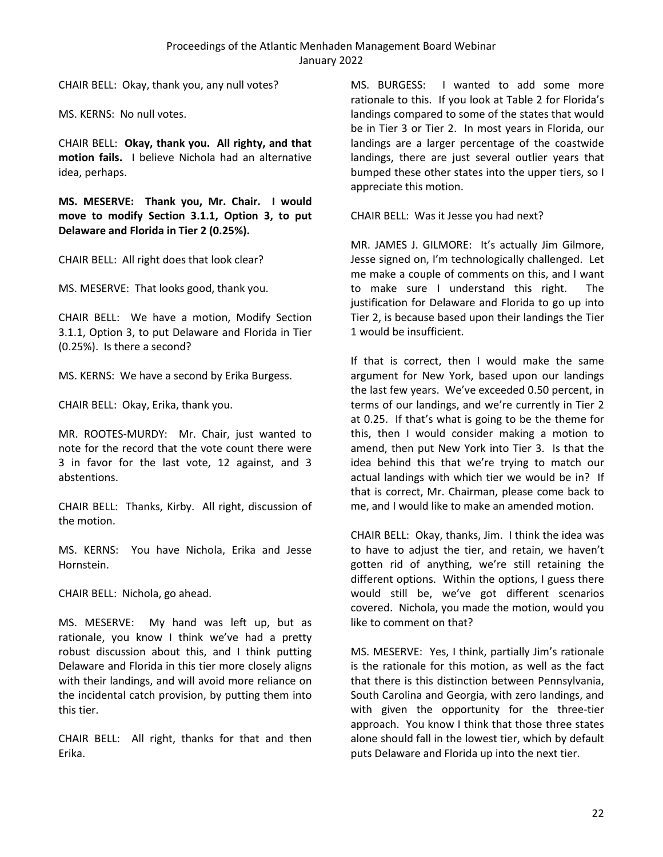CHAIR BELL: Okay, thank you, any null votes?

MS. KERNS: No null votes.

CHAIR BELL: **Okay, thank you. All righty, and that motion fails.** I believe Nichola had an alternative idea, perhaps.

**MS. MESERVE: Thank you, Mr. Chair. I would move to modify Section 3.1.1, Option 3, to put Delaware and Florida in Tier 2 (0.25%).** 

CHAIR BELL: All right does that look clear?

MS. MESERVE: That looks good, thank you.

CHAIR BELL: We have a motion, Modify Section 3.1.1, Option 3, to put Delaware and Florida in Tier (0.25%). Is there a second?

MS. KERNS: We have a second by Erika Burgess.

CHAIR BELL: Okay, Erika, thank you.

MR. ROOTES-MURDY: Mr. Chair, just wanted to note for the record that the vote count there were 3 in favor for the last vote, 12 against, and 3 abstentions.

CHAIR BELL: Thanks, Kirby. All right, discussion of the motion.

MS. KERNS: You have Nichola, Erika and Jesse Hornstein.

CHAIR BELL: Nichola, go ahead.

MS. MESERVE: My hand was left up, but as rationale, you know I think we've had a pretty robust discussion about this, and I think putting Delaware and Florida in this tier more closely aligns with their landings, and will avoid more reliance on the incidental catch provision, by putting them into this tier.

CHAIR BELL: All right, thanks for that and then Erika.

MS. BURGESS: I wanted to add some more rationale to this. If you look at Table 2 for Florida's landings compared to some of the states that would be in Tier 3 or Tier 2. In most years in Florida, our landings are a larger percentage of the coastwide landings, there are just several outlier years that bumped these other states into the upper tiers, so I appreciate this motion.

CHAIR BELL: Was it Jesse you had next?

MR. JAMES J. GILMORE: It's actually Jim Gilmore, Jesse signed on, I'm technologically challenged. Let me make a couple of comments on this, and I want to make sure I understand this right. The justification for Delaware and Florida to go up into Tier 2, is because based upon their landings the Tier 1 would be insufficient.

If that is correct, then I would make the same argument for New York, based upon our landings the last few years. We've exceeded 0.50 percent, in terms of our landings, and we're currently in Tier 2 at 0.25. If that's what is going to be the theme for this, then I would consider making a motion to amend, then put New York into Tier 3. Is that the idea behind this that we're trying to match our actual landings with which tier we would be in? If that is correct, Mr. Chairman, please come back to me, and I would like to make an amended motion.

CHAIR BELL: Okay, thanks, Jim. I think the idea was to have to adjust the tier, and retain, we haven't gotten rid of anything, we're still retaining the different options. Within the options, I guess there would still be, we've got different scenarios covered. Nichola, you made the motion, would you like to comment on that?

MS. MESERVE: Yes, I think, partially Jim's rationale is the rationale for this motion, as well as the fact that there is this distinction between Pennsylvania, South Carolina and Georgia, with zero landings, and with given the opportunity for the three-tier approach. You know I think that those three states alone should fall in the lowest tier, which by default puts Delaware and Florida up into the next tier.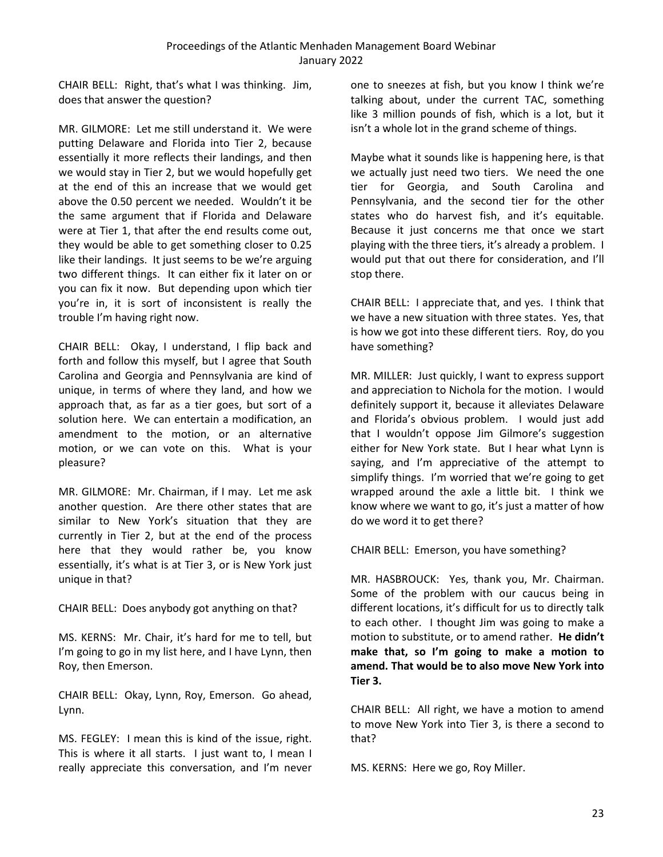CHAIR BELL: Right, that's what I was thinking. Jim, does that answer the question?

MR. GILMORE: Let me still understand it. We were putting Delaware and Florida into Tier 2, because essentially it more reflects their landings, and then we would stay in Tier 2, but we would hopefully get at the end of this an increase that we would get above the 0.50 percent we needed. Wouldn't it be the same argument that if Florida and Delaware were at Tier 1, that after the end results come out, they would be able to get something closer to 0.25 like their landings. It just seems to be we're arguing two different things. It can either fix it later on or you can fix it now. But depending upon which tier you're in, it is sort of inconsistent is really the trouble I'm having right now.

CHAIR BELL: Okay, I understand, I flip back and forth and follow this myself, but I agree that South Carolina and Georgia and Pennsylvania are kind of unique, in terms of where they land, and how we approach that, as far as a tier goes, but sort of a solution here. We can entertain a modification, an amendment to the motion, or an alternative motion, or we can vote on this. What is your pleasure?

MR. GILMORE: Mr. Chairman, if I may. Let me ask another question. Are there other states that are similar to New York's situation that they are currently in Tier 2, but at the end of the process here that they would rather be, you know essentially, it's what is at Tier 3, or is New York just unique in that?

CHAIR BELL: Does anybody got anything on that?

MS. KERNS: Mr. Chair, it's hard for me to tell, but I'm going to go in my list here, and I have Lynn, then Roy, then Emerson.

CHAIR BELL: Okay, Lynn, Roy, Emerson. Go ahead, Lynn.

MS. FEGLEY: I mean this is kind of the issue, right. This is where it all starts. I just want to, I mean I really appreciate this conversation, and I'm never one to sneezes at fish, but you know I think we're talking about, under the current TAC, something like 3 million pounds of fish, which is a lot, but it isn't a whole lot in the grand scheme of things.

Maybe what it sounds like is happening here, is that we actually just need two tiers. We need the one tier for Georgia, and South Carolina and Pennsylvania, and the second tier for the other states who do harvest fish, and it's equitable. Because it just concerns me that once we start playing with the three tiers, it's already a problem. I would put that out there for consideration, and I'll stop there.

CHAIR BELL: I appreciate that, and yes. I think that we have a new situation with three states. Yes, that is how we got into these different tiers. Roy, do you have something?

MR. MILLER: Just quickly, I want to express support and appreciation to Nichola for the motion. I would definitely support it, because it alleviates Delaware and Florida's obvious problem. I would just add that I wouldn't oppose Jim Gilmore's suggestion either for New York state. But I hear what Lynn is saying, and I'm appreciative of the attempt to simplify things. I'm worried that we're going to get wrapped around the axle a little bit. I think we know where we want to go, it's just a matter of how do we word it to get there?

CHAIR BELL: Emerson, you have something?

MR. HASBROUCK: Yes, thank you, Mr. Chairman. Some of the problem with our caucus being in different locations, it's difficult for us to directly talk to each other. I thought Jim was going to make a motion to substitute, or to amend rather. **He didn't make that, so I'm going to make a motion to amend. That would be to also move New York into Tier 3.**

CHAIR BELL: All right, we have a motion to amend to move New York into Tier 3, is there a second to that?

MS. KERNS: Here we go, Roy Miller.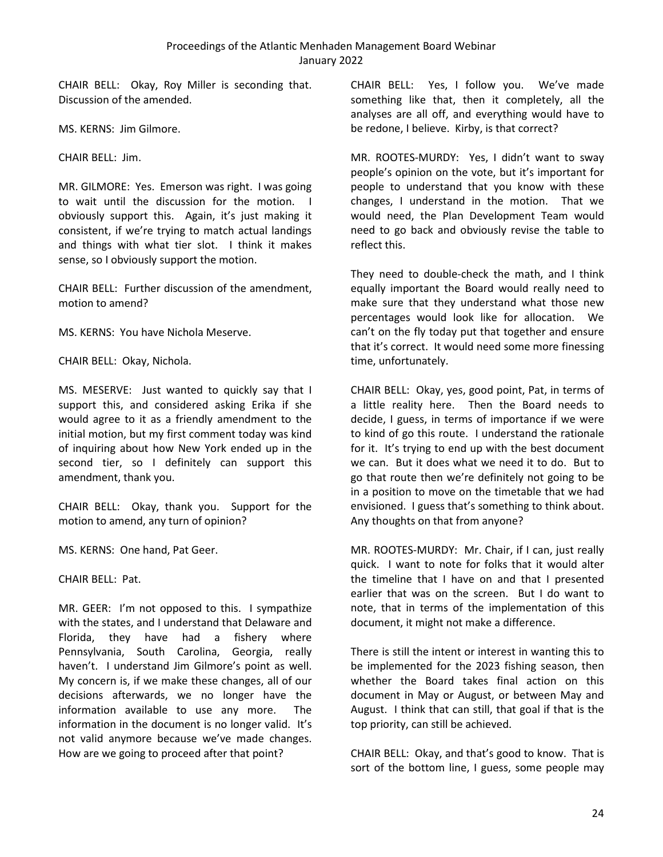CHAIR BELL: Okay, Roy Miller is seconding that. Discussion of the amended.

MS. KERNS: Jim Gilmore.

CHAIR BELL: Jim.

MR. GILMORE: Yes. Emerson was right. I was going to wait until the discussion for the motion. I obviously support this. Again, it's just making it consistent, if we're trying to match actual landings and things with what tier slot. I think it makes sense, so I obviously support the motion.

CHAIR BELL: Further discussion of the amendment, motion to amend?

MS. KERNS: You have Nichola Meserve.

CHAIR BELL: Okay, Nichola.

MS. MESERVE: Just wanted to quickly say that I support this, and considered asking Erika if she would agree to it as a friendly amendment to the initial motion, but my first comment today was kind of inquiring about how New York ended up in the second tier, so I definitely can support this amendment, thank you.

CHAIR BELL: Okay, thank you. Support for the motion to amend, any turn of opinion?

MS. KERNS: One hand, Pat Geer.

CHAIR BELL: Pat.

MR. GEER: I'm not opposed to this. I sympathize with the states, and I understand that Delaware and Florida, they have had a fishery where Pennsylvania, South Carolina, Georgia, really haven't. I understand Jim Gilmore's point as well. My concern is, if we make these changes, all of our decisions afterwards, we no longer have the information available to use any more. The information in the document is no longer valid. It's not valid anymore because we've made changes. How are we going to proceed after that point?

CHAIR BELL: Yes, I follow you. We've made something like that, then it completely, all the analyses are all off, and everything would have to be redone, I believe. Kirby, is that correct?

MR. ROOTES-MURDY: Yes, I didn't want to sway people's opinion on the vote, but it's important for people to understand that you know with these changes, I understand in the motion. That we would need, the Plan Development Team would need to go back and obviously revise the table to reflect this.

They need to double-check the math, and I think equally important the Board would really need to make sure that they understand what those new percentages would look like for allocation. We can't on the fly today put that together and ensure that it's correct. It would need some more finessing time, unfortunately.

CHAIR BELL: Okay, yes, good point, Pat, in terms of a little reality here. Then the Board needs to decide, I guess, in terms of importance if we were to kind of go this route. I understand the rationale for it. It's trying to end up with the best document we can. But it does what we need it to do. But to go that route then we're definitely not going to be in a position to move on the timetable that we had envisioned. I guess that's something to think about. Any thoughts on that from anyone?

MR. ROOTES-MURDY: Mr. Chair, if I can, just really quick. I want to note for folks that it would alter the timeline that I have on and that I presented earlier that was on the screen. But I do want to note, that in terms of the implementation of this document, it might not make a difference.

There is still the intent or interest in wanting this to be implemented for the 2023 fishing season, then whether the Board takes final action on this document in May or August, or between May and August. I think that can still, that goal if that is the top priority, can still be achieved.

CHAIR BELL: Okay, and that's good to know. That is sort of the bottom line, I guess, some people may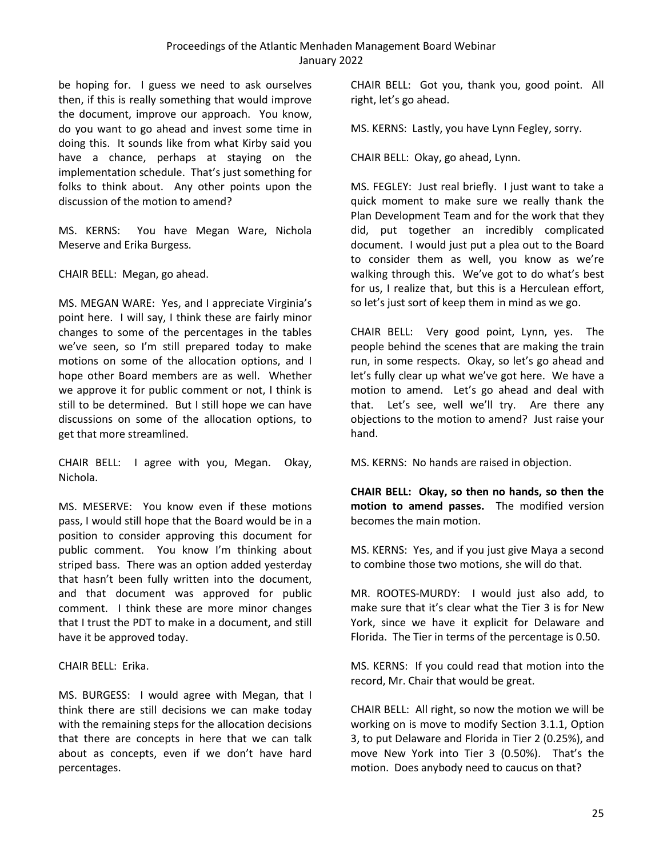be hoping for. I guess we need to ask ourselves then, if this is really something that would improve the document, improve our approach. You know, do you want to go ahead and invest some time in doing this. It sounds like from what Kirby said you have a chance, perhaps at staying on the implementation schedule. That's just something for folks to think about. Any other points upon the discussion of the motion to amend?

MS. KERNS: You have Megan Ware, Nichola Meserve and Erika Burgess.

CHAIR BELL: Megan, go ahead.

MS. MEGAN WARE: Yes, and I appreciate Virginia's point here. I will say, I think these are fairly minor changes to some of the percentages in the tables we've seen, so I'm still prepared today to make motions on some of the allocation options, and I hope other Board members are as well. Whether we approve it for public comment or not, I think is still to be determined. But I still hope we can have discussions on some of the allocation options, to get that more streamlined.

CHAIR BELL: I agree with you, Megan. Okay, Nichola.

MS. MESERVE: You know even if these motions pass, I would still hope that the Board would be in a position to consider approving this document for public comment. You know I'm thinking about striped bass. There was an option added yesterday that hasn't been fully written into the document, and that document was approved for public comment. I think these are more minor changes that I trust the PDT to make in a document, and still have it be approved today.

CHAIR BELL: Erika.

MS. BURGESS: I would agree with Megan, that I think there are still decisions we can make today with the remaining steps for the allocation decisions that there are concepts in here that we can talk about as concepts, even if we don't have hard percentages.

CHAIR BELL: Got you, thank you, good point. All right, let's go ahead.

MS. KERNS: Lastly, you have Lynn Fegley, sorry.

CHAIR BELL: Okay, go ahead, Lynn.

MS. FEGLEY: Just real briefly. I just want to take a quick moment to make sure we really thank the Plan Development Team and for the work that they did, put together an incredibly complicated document. I would just put a plea out to the Board to consider them as well, you know as we're walking through this. We've got to do what's best for us, I realize that, but this is a Herculean effort, so let's just sort of keep them in mind as we go.

CHAIR BELL: Very good point, Lynn, yes. The people behind the scenes that are making the train run, in some respects. Okay, so let's go ahead and let's fully clear up what we've got here. We have a motion to amend. Let's go ahead and deal with that. Let's see, well we'll try. Are there any objections to the motion to amend? Just raise your hand.

MS. KERNS: No hands are raised in objection.

**CHAIR BELL: Okay, so then no hands, so then the motion to amend passes.** The modified version becomes the main motion.

MS. KERNS: Yes, and if you just give Maya a second to combine those two motions, she will do that.

MR. ROOTES-MURDY: I would just also add, to make sure that it's clear what the Tier 3 is for New York, since we have it explicit for Delaware and Florida. The Tier in terms of the percentage is 0.50.

MS. KERNS: If you could read that motion into the record, Mr. Chair that would be great.

CHAIR BELL: All right, so now the motion we will be working on is move to modify Section 3.1.1, Option 3, to put Delaware and Florida in Tier 2 (0.25%), and move New York into Tier 3 (0.50%). That's the motion. Does anybody need to caucus on that?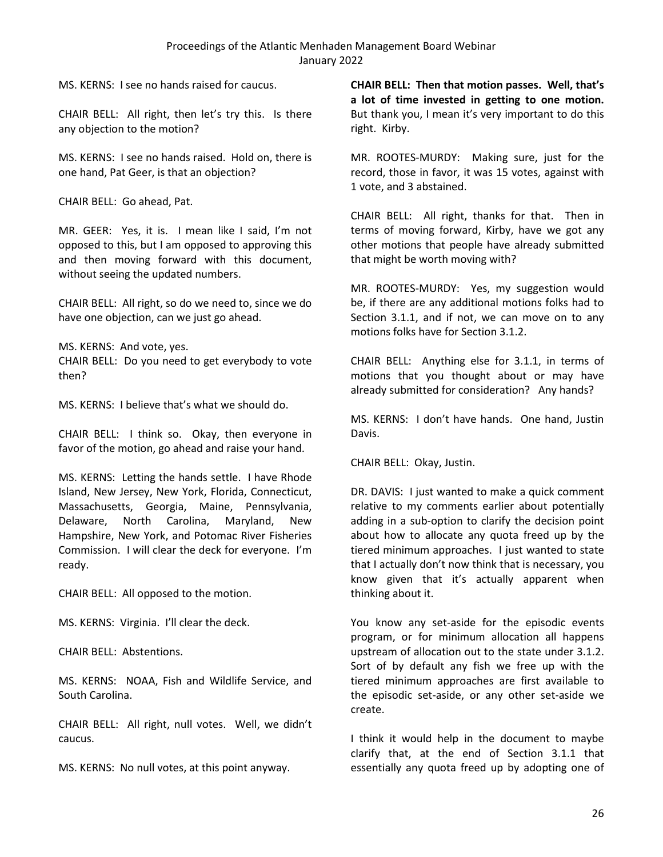MS. KERNS: I see no hands raised for caucus.

CHAIR BELL: All right, then let's try this. Is there any objection to the motion?

MS. KERNS: I see no hands raised. Hold on, there is one hand, Pat Geer, is that an objection?

CHAIR BELL: Go ahead, Pat.

MR. GEER: Yes, it is. I mean like I said, I'm not opposed to this, but I am opposed to approving this and then moving forward with this document, without seeing the updated numbers.

CHAIR BELL: All right, so do we need to, since we do have one objection, can we just go ahead.

MS. KERNS: And vote, yes. CHAIR BELL: Do you need to get everybody to vote then?

MS. KERNS: I believe that's what we should do.

CHAIR BELL: I think so. Okay, then everyone in favor of the motion, go ahead and raise your hand.

MS. KERNS: Letting the hands settle. I have Rhode Island, New Jersey, New York, Florida, Connecticut, Massachusetts, Georgia, Maine, Pennsylvania, Delaware, North Carolina, Maryland, New Hampshire, New York, and Potomac River Fisheries Commission. I will clear the deck for everyone. I'm ready.

CHAIR BELL: All opposed to the motion.

MS. KERNS: Virginia. I'll clear the deck.

CHAIR BELL: Abstentions.

MS. KERNS: NOAA, Fish and Wildlife Service, and South Carolina.

CHAIR BELL: All right, null votes. Well, we didn't caucus.

MS. KERNS: No null votes, at this point anyway.

**CHAIR BELL: Then that motion passes. Well, that's a lot of time invested in getting to one motion.** But thank you, I mean it's very important to do this right. Kirby.

MR. ROOTES-MURDY: Making sure, just for the record, those in favor, it was 15 votes, against with 1 vote, and 3 abstained.

CHAIR BELL: All right, thanks for that. Then in terms of moving forward, Kirby, have we got any other motions that people have already submitted that might be worth moving with?

MR. ROOTES-MURDY: Yes, my suggestion would be, if there are any additional motions folks had to Section 3.1.1, and if not, we can move on to any motions folks have for Section 3.1.2.

CHAIR BELL: Anything else for 3.1.1, in terms of motions that you thought about or may have already submitted for consideration? Any hands?

MS. KERNS: I don't have hands. One hand, Justin Davis.

CHAIR BELL: Okay, Justin.

DR. DAVIS: I just wanted to make a quick comment relative to my comments earlier about potentially adding in a sub-option to clarify the decision point about how to allocate any quota freed up by the tiered minimum approaches. I just wanted to state that I actually don't now think that is necessary, you know given that it's actually apparent when thinking about it.

You know any set-aside for the episodic events program, or for minimum allocation all happens upstream of allocation out to the state under 3.1.2. Sort of by default any fish we free up with the tiered minimum approaches are first available to the episodic set-aside, or any other set-aside we create.

I think it would help in the document to maybe clarify that, at the end of Section 3.1.1 that essentially any quota freed up by adopting one of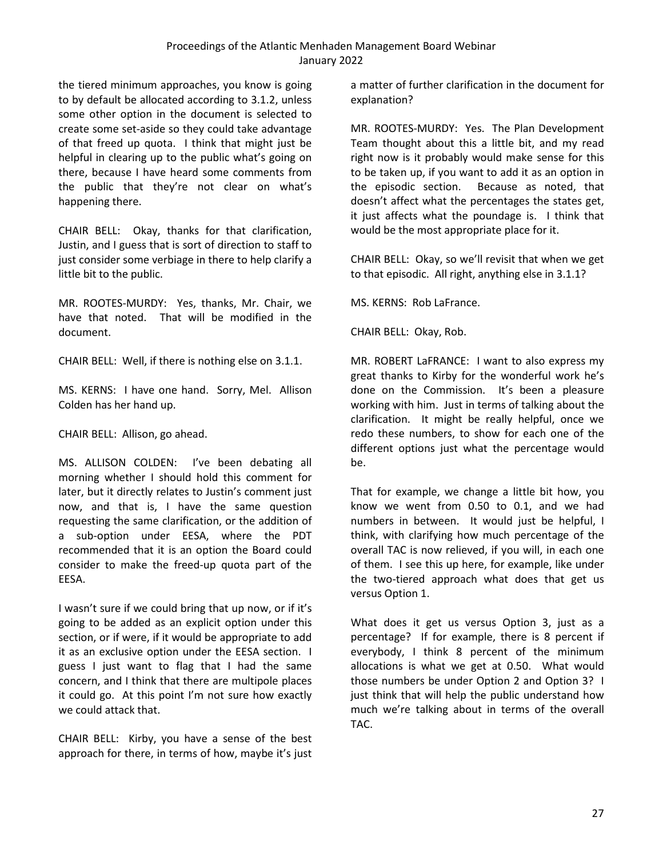the tiered minimum approaches, you know is going to by default be allocated according to 3.1.2, unless some other option in the document is selected to create some set-aside so they could take advantage of that freed up quota. I think that might just be helpful in clearing up to the public what's going on there, because I have heard some comments from the public that they're not clear on what's happening there.

CHAIR BELL: Okay, thanks for that clarification, Justin, and I guess that is sort of direction to staff to just consider some verbiage in there to help clarify a little bit to the public.

MR. ROOTES-MURDY: Yes, thanks, Mr. Chair, we have that noted. That will be modified in the document.

CHAIR BELL: Well, if there is nothing else on 3.1.1.

MS. KERNS: I have one hand. Sorry, Mel. Allison Colden has her hand up.

CHAIR BELL: Allison, go ahead.

MS. ALLISON COLDEN: I've been debating all morning whether I should hold this comment for later, but it directly relates to Justin's comment just now, and that is, I have the same question requesting the same clarification, or the addition of a sub-option under EESA, where the PDT recommended that it is an option the Board could consider to make the freed-up quota part of the EESA.

I wasn't sure if we could bring that up now, or if it's going to be added as an explicit option under this section, or if were, if it would be appropriate to add it as an exclusive option under the EESA section. I guess I just want to flag that I had the same concern, and I think that there are multipole places it could go. At this point I'm not sure how exactly we could attack that.

CHAIR BELL: Kirby, you have a sense of the best approach for there, in terms of how, maybe it's just

a matter of further clarification in the document for explanation?

MR. ROOTES-MURDY: Yes. The Plan Development Team thought about this a little bit, and my read right now is it probably would make sense for this to be taken up, if you want to add it as an option in the episodic section. Because as noted, that doesn't affect what the percentages the states get, it just affects what the poundage is. I think that would be the most appropriate place for it.

CHAIR BELL: Okay, so we'll revisit that when we get to that episodic. All right, anything else in 3.1.1?

MS. KERNS: Rob LaFrance.

CHAIR BELL: Okay, Rob.

MR. ROBERT LaFRANCE: I want to also express my great thanks to Kirby for the wonderful work he's done on the Commission. It's been a pleasure working with him. Just in terms of talking about the clarification. It might be really helpful, once we redo these numbers, to show for each one of the different options just what the percentage would be.

That for example, we change a little bit how, you know we went from 0.50 to 0.1, and we had numbers in between. It would just be helpful, I think, with clarifying how much percentage of the overall TAC is now relieved, if you will, in each one of them. I see this up here, for example, like under the two-tiered approach what does that get us versus Option 1.

What does it get us versus Option 3, just as a percentage? If for example, there is 8 percent if everybody, I think 8 percent of the minimum allocations is what we get at 0.50. What would those numbers be under Option 2 and Option 3? I just think that will help the public understand how much we're talking about in terms of the overall TAC.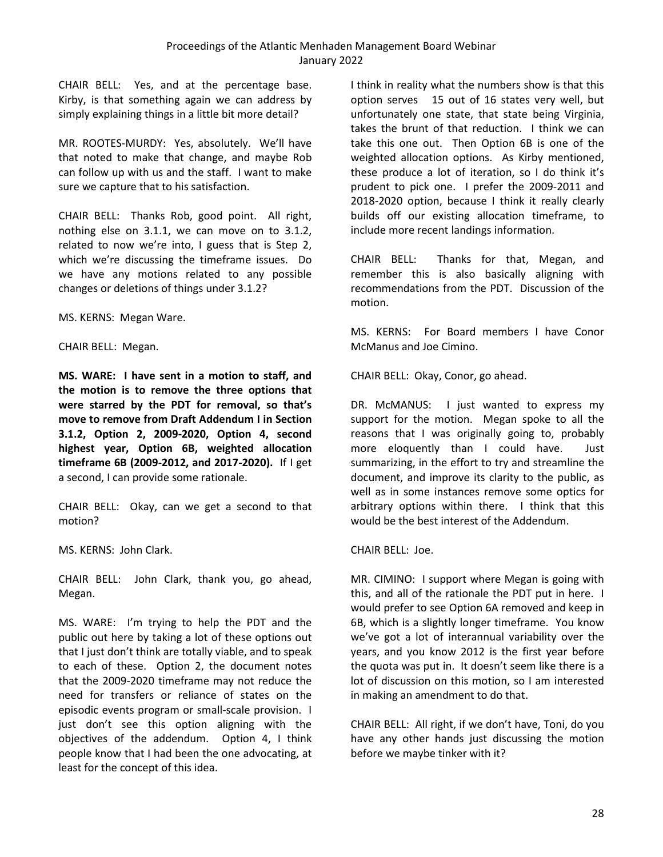CHAIR BELL: Yes, and at the percentage base. Kirby, is that something again we can address by simply explaining things in a little bit more detail?

MR. ROOTES-MURDY: Yes, absolutely. We'll have that noted to make that change, and maybe Rob can follow up with us and the staff. I want to make sure we capture that to his satisfaction.

CHAIR BELL: Thanks Rob, good point. All right, nothing else on 3.1.1, we can move on to 3.1.2, related to now we're into, I guess that is Step 2, which we're discussing the timeframe issues. Do we have any motions related to any possible changes or deletions of things under 3.1.2?

MS. KERNS: Megan Ware.

CHAIR BELL: Megan.

**MS. WARE: I have sent in a motion to staff, and the motion is to remove the three options that were starred by the PDT for removal, so that's move to remove from Draft Addendum I in Section 3.1.2, Option 2, 2009-2020, Option 4, second highest year, Option 6B, weighted allocation timeframe 6B (2009-2012, and 2017-2020).** If I get a second, I can provide some rationale.

CHAIR BELL: Okay, can we get a second to that motion?

MS. KERNS: John Clark.

CHAIR BELL: John Clark, thank you, go ahead, Megan.

MS. WARE: I'm trying to help the PDT and the public out here by taking a lot of these options out that I just don't think are totally viable, and to speak to each of these. Option 2, the document notes that the 2009-2020 timeframe may not reduce the need for transfers or reliance of states on the episodic events program or small-scale provision. I just don't see this option aligning with the objectives of the addendum. Option 4, I think people know that I had been the one advocating, at least for the concept of this idea.

I think in reality what the numbers show is that this option serves 15 out of 16 states very well, but unfortunately one state, that state being Virginia, takes the brunt of that reduction. I think we can take this one out. Then Option 6B is one of the weighted allocation options. As Kirby mentioned, these produce a lot of iteration, so I do think it's prudent to pick one. I prefer the 2009-2011 and 2018-2020 option, because I think it really clearly builds off our existing allocation timeframe, to include more recent landings information.

CHAIR BELL: Thanks for that, Megan, and remember this is also basically aligning with recommendations from the PDT. Discussion of the motion.

MS. KERNS: For Board members I have Conor McManus and Joe Cimino.

CHAIR BELL: Okay, Conor, go ahead.

DR. McMANUS: I just wanted to express my support for the motion. Megan spoke to all the reasons that I was originally going to, probably more eloquently than I could have. Just summarizing, in the effort to try and streamline the document, and improve its clarity to the public, as well as in some instances remove some optics for arbitrary options within there. I think that this would be the best interest of the Addendum.

CHAIR BELL: Joe.

MR. CIMINO: I support where Megan is going with this, and all of the rationale the PDT put in here. I would prefer to see Option 6A removed and keep in 6B, which is a slightly longer timeframe. You know we've got a lot of interannual variability over the years, and you know 2012 is the first year before the quota was put in. It doesn't seem like there is a lot of discussion on this motion, so I am interested in making an amendment to do that.

CHAIR BELL: All right, if we don't have, Toni, do you have any other hands just discussing the motion before we maybe tinker with it?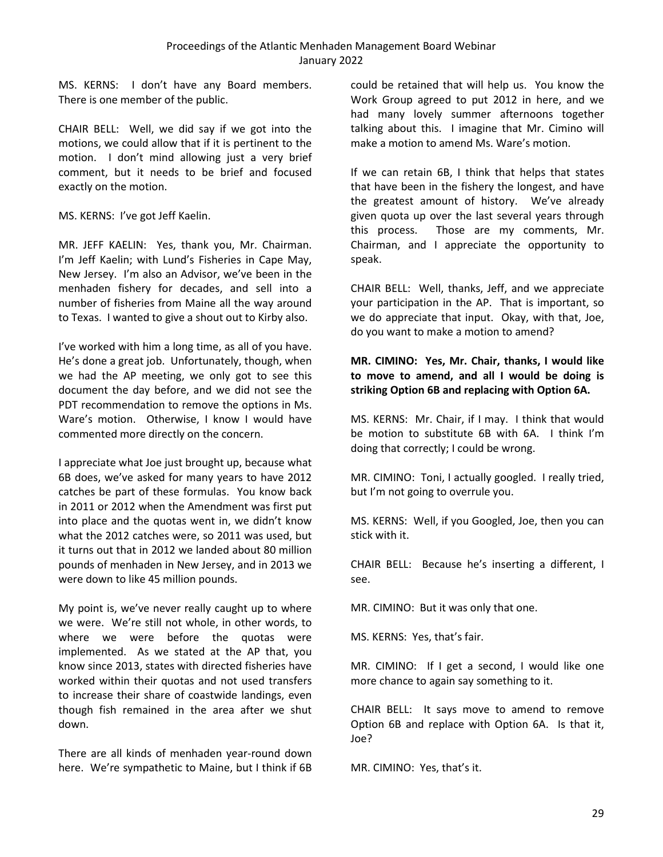MS. KERNS: I don't have any Board members. There is one member of the public.

CHAIR BELL: Well, we did say if we got into the motions, we could allow that if it is pertinent to the motion. I don't mind allowing just a very brief comment, but it needs to be brief and focused exactly on the motion.

MS. KERNS: I've got Jeff Kaelin.

MR. JEFF KAELIN: Yes, thank you, Mr. Chairman. I'm Jeff Kaelin; with Lund's Fisheries in Cape May, New Jersey. I'm also an Advisor, we've been in the menhaden fishery for decades, and sell into a number of fisheries from Maine all the way around to Texas. I wanted to give a shout out to Kirby also.

I've worked with him a long time, as all of you have. He's done a great job. Unfortunately, though, when we had the AP meeting, we only got to see this document the day before, and we did not see the PDT recommendation to remove the options in Ms. Ware's motion. Otherwise, I know I would have commented more directly on the concern.

I appreciate what Joe just brought up, because what 6B does, we've asked for many years to have 2012 catches be part of these formulas. You know back in 2011 or 2012 when the Amendment was first put into place and the quotas went in, we didn't know what the 2012 catches were, so 2011 was used, but it turns out that in 2012 we landed about 80 million pounds of menhaden in New Jersey, and in 2013 we were down to like 45 million pounds.

My point is, we've never really caught up to where we were. We're still not whole, in other words, to where we were before the quotas were implemented. As we stated at the AP that, you know since 2013, states with directed fisheries have worked within their quotas and not used transfers to increase their share of coastwide landings, even though fish remained in the area after we shut down.

There are all kinds of menhaden year-round down here. We're sympathetic to Maine, but I think if 6B could be retained that will help us. You know the Work Group agreed to put 2012 in here, and we had many lovely summer afternoons together talking about this. I imagine that Mr. Cimino will make a motion to amend Ms. Ware's motion.

If we can retain 6B, I think that helps that states that have been in the fishery the longest, and have the greatest amount of history. We've already given quota up over the last several years through this process. Those are my comments, Mr. Chairman, and I appreciate the opportunity to speak.

CHAIR BELL: Well, thanks, Jeff, and we appreciate your participation in the AP. That is important, so we do appreciate that input. Okay, with that, Joe, do you want to make a motion to amend?

# **MR. CIMINO: Yes, Mr. Chair, thanks, I would like to move to amend, and all I would be doing is striking Option 6B and replacing with Option 6A.**

MS. KERNS: Mr. Chair, if I may. I think that would be motion to substitute 6B with 6A. I think I'm doing that correctly; I could be wrong.

MR. CIMINO: Toni, I actually googled. I really tried, but I'm not going to overrule you.

MS. KERNS: Well, if you Googled, Joe, then you can stick with it.

CHAIR BELL: Because he's inserting a different, I see.

MR. CIMINO: But it was only that one.

MS. KERNS: Yes, that's fair.

MR. CIMINO: If I get a second, I would like one more chance to again say something to it.

CHAIR BELL: It says move to amend to remove Option 6B and replace with Option 6A. Is that it, Joe?

MR. CIMINO: Yes, that's it.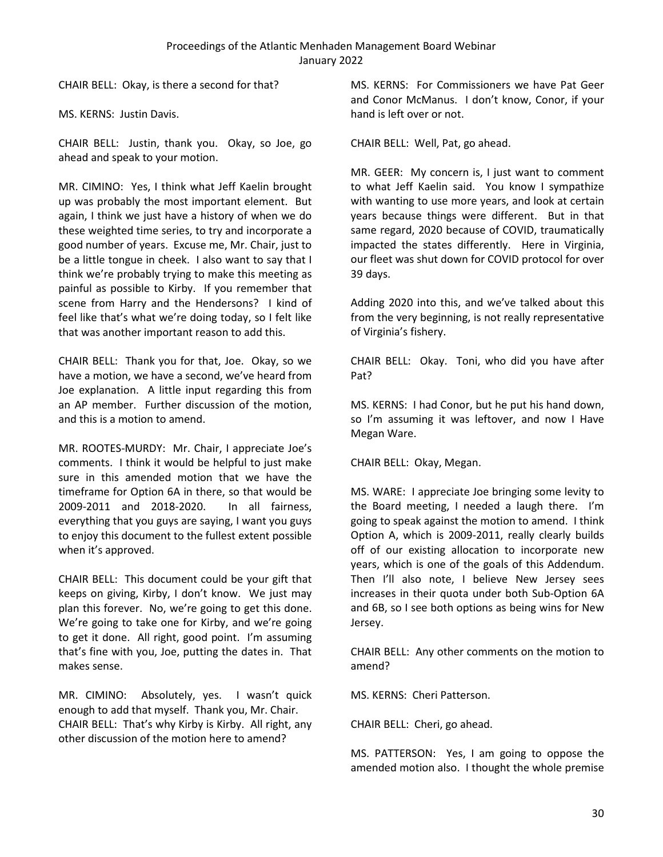CHAIR BELL: Okay, is there a second for that?

MS. KERNS: Justin Davis.

CHAIR BELL: Justin, thank you. Okay, so Joe, go ahead and speak to your motion.

MR. CIMINO: Yes, I think what Jeff Kaelin brought up was probably the most important element. But again, I think we just have a history of when we do these weighted time series, to try and incorporate a good number of years. Excuse me, Mr. Chair, just to be a little tongue in cheek. I also want to say that I think we're probably trying to make this meeting as painful as possible to Kirby. If you remember that scene from Harry and the Hendersons? I kind of feel like that's what we're doing today, so I felt like that was another important reason to add this.

CHAIR BELL: Thank you for that, Joe. Okay, so we have a motion, we have a second, we've heard from Joe explanation. A little input regarding this from an AP member. Further discussion of the motion, and this is a motion to amend.

MR. ROOTES-MURDY: Mr. Chair, I appreciate Joe's comments. I think it would be helpful to just make sure in this amended motion that we have the timeframe for Option 6A in there, so that would be 2009-2011 and 2018-2020. In all fairness, everything that you guys are saying, I want you guys to enjoy this document to the fullest extent possible when it's approved.

CHAIR BELL: This document could be your gift that keeps on giving, Kirby, I don't know. We just may plan this forever. No, we're going to get this done. We're going to take one for Kirby, and we're going to get it done. All right, good point. I'm assuming that's fine with you, Joe, putting the dates in. That makes sense.

MR. CIMINO: Absolutely, yes. I wasn't quick enough to add that myself. Thank you, Mr. Chair. CHAIR BELL: That's why Kirby is Kirby. All right, any other discussion of the motion here to amend?

MS. KERNS: For Commissioners we have Pat Geer and Conor McManus. I don't know, Conor, if your hand is left over or not.

CHAIR BELL: Well, Pat, go ahead.

MR. GEER: My concern is, I just want to comment to what Jeff Kaelin said. You know I sympathize with wanting to use more years, and look at certain years because things were different. But in that same regard, 2020 because of COVID, traumatically impacted the states differently. Here in Virginia, our fleet was shut down for COVID protocol for over 39 days.

Adding 2020 into this, and we've talked about this from the very beginning, is not really representative of Virginia's fishery.

CHAIR BELL: Okay. Toni, who did you have after Pat?

MS. KERNS: I had Conor, but he put his hand down, so I'm assuming it was leftover, and now I Have Megan Ware.

CHAIR BELL: Okay, Megan.

MS. WARE: I appreciate Joe bringing some levity to the Board meeting, I needed a laugh there. I'm going to speak against the motion to amend. I think Option A, which is 2009-2011, really clearly builds off of our existing allocation to incorporate new years, which is one of the goals of this Addendum. Then I'll also note, I believe New Jersey sees increases in their quota under both Sub-Option 6A and 6B, so I see both options as being wins for New Jersey.

CHAIR BELL: Any other comments on the motion to amend?

MS. KERNS: Cheri Patterson.

CHAIR BELL: Cheri, go ahead.

MS. PATTERSON: Yes, I am going to oppose the amended motion also. I thought the whole premise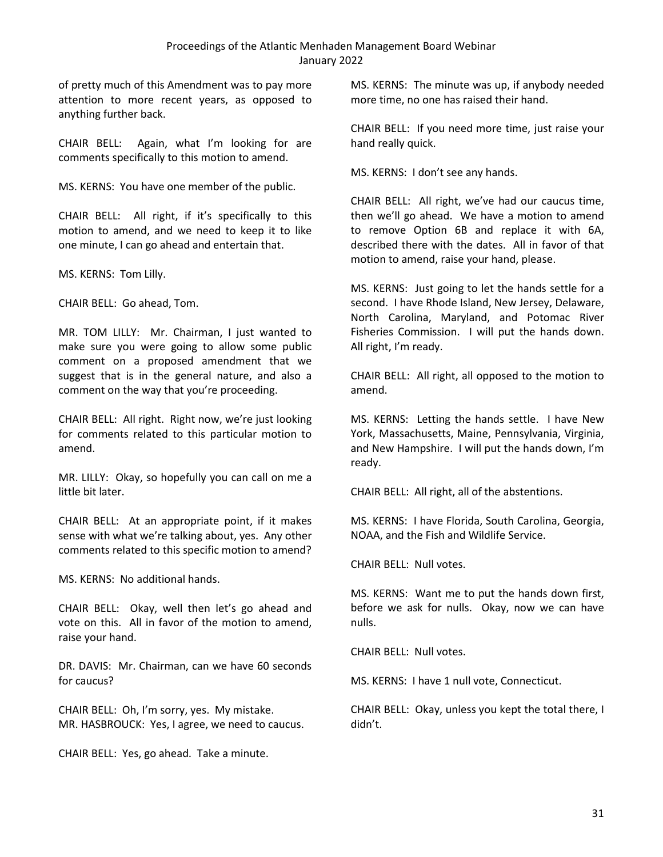of pretty much of this Amendment was to pay more attention to more recent years, as opposed to anything further back.

CHAIR BELL: Again, what I'm looking for are comments specifically to this motion to amend.

MS. KERNS: You have one member of the public.

CHAIR BELL: All right, if it's specifically to this motion to amend, and we need to keep it to like one minute, I can go ahead and entertain that.

MS. KERNS: Tom Lilly.

CHAIR BELL: Go ahead, Tom.

MR. TOM LILLY: Mr. Chairman, I just wanted to make sure you were going to allow some public comment on a proposed amendment that we suggest that is in the general nature, and also a comment on the way that you're proceeding.

CHAIR BELL: All right. Right now, we're just looking for comments related to this particular motion to amend.

MR. LILLY: Okay, so hopefully you can call on me a little bit later.

CHAIR BELL: At an appropriate point, if it makes sense with what we're talking about, yes. Any other comments related to this specific motion to amend?

MS. KERNS: No additional hands.

CHAIR BELL: Okay, well then let's go ahead and vote on this. All in favor of the motion to amend, raise your hand.

DR. DAVIS: Mr. Chairman, can we have 60 seconds for caucus?

CHAIR BELL: Oh, I'm sorry, yes. My mistake. MR. HASBROUCK: Yes, I agree, we need to caucus.

CHAIR BELL: Yes, go ahead. Take a minute.

MS. KERNS: The minute was up, if anybody needed more time, no one has raised their hand.

CHAIR BELL: If you need more time, just raise your hand really quick.

MS. KERNS: I don't see any hands.

CHAIR BELL: All right, we've had our caucus time, then we'll go ahead. We have a motion to amend to remove Option 6B and replace it with 6A, described there with the dates. All in favor of that motion to amend, raise your hand, please.

MS. KERNS: Just going to let the hands settle for a second. I have Rhode Island, New Jersey, Delaware, North Carolina, Maryland, and Potomac River Fisheries Commission. I will put the hands down. All right, I'm ready.

CHAIR BELL: All right, all opposed to the motion to amend.

MS. KERNS: Letting the hands settle. I have New York, Massachusetts, Maine, Pennsylvania, Virginia, and New Hampshire. I will put the hands down, I'm ready.

CHAIR BELL: All right, all of the abstentions.

MS. KERNS: I have Florida, South Carolina, Georgia, NOAA, and the Fish and Wildlife Service.

CHAIR BELL: Null votes.

MS. KERNS: Want me to put the hands down first, before we ask for nulls. Okay, now we can have nulls.

CHAIR BELL: Null votes.

MS. KERNS: I have 1 null vote, Connecticut.

CHAIR BELL: Okay, unless you kept the total there, I didn't.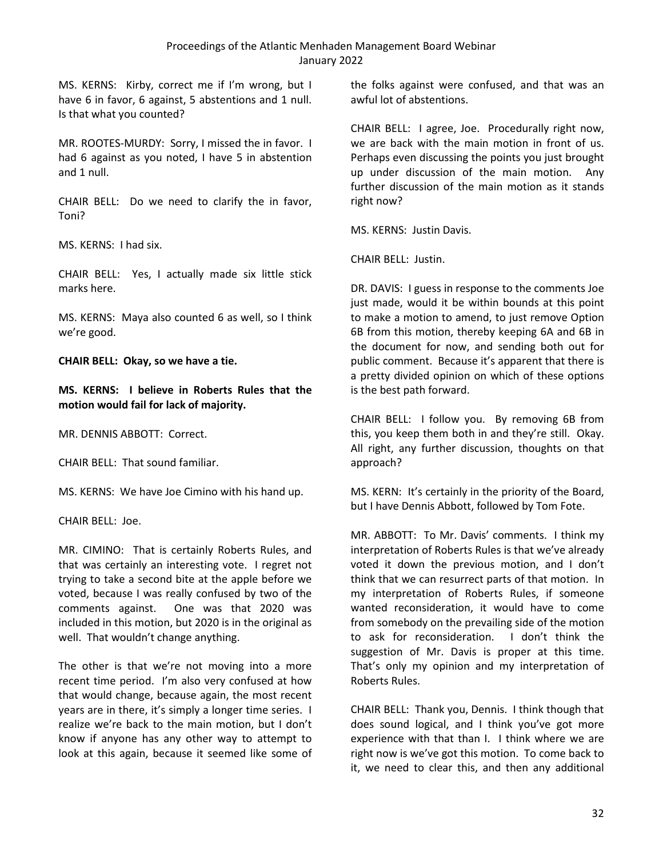MS. KERNS: Kirby, correct me if I'm wrong, but I have 6 in favor, 6 against, 5 abstentions and 1 null. Is that what you counted?

MR. ROOTES-MURDY: Sorry, I missed the in favor. I had 6 against as you noted, I have 5 in abstention and 1 null.

CHAIR BELL: Do we need to clarify the in favor, Toni?

MS. KERNS: I had six.

CHAIR BELL: Yes, I actually made six little stick marks here.

MS. KERNS: Maya also counted 6 as well, so I think we're good.

**CHAIR BELL: Okay, so we have a tie.**

**MS. KERNS: I believe in Roberts Rules that the motion would fail for lack of majority.**

MR. DENNIS ABBOTT: Correct.

CHAIR BELL: That sound familiar.

MS. KERNS: We have Joe Cimino with his hand up.

CHAIR BELL: Joe.

MR. CIMINO: That is certainly Roberts Rules, and that was certainly an interesting vote. I regret not trying to take a second bite at the apple before we voted, because I was really confused by two of the comments against. One was that 2020 was included in this motion, but 2020 is in the original as well. That wouldn't change anything.

The other is that we're not moving into a more recent time period. I'm also very confused at how that would change, because again, the most recent years are in there, it's simply a longer time series. I realize we're back to the main motion, but I don't know if anyone has any other way to attempt to look at this again, because it seemed like some of the folks against were confused, and that was an awful lot of abstentions.

CHAIR BELL: I agree, Joe. Procedurally right now, we are back with the main motion in front of us. Perhaps even discussing the points you just brought up under discussion of the main motion. Any further discussion of the main motion as it stands right now?

MS. KERNS: Justin Davis.

CHAIR BELL: Justin.

DR. DAVIS: I guess in response to the comments Joe just made, would it be within bounds at this point to make a motion to amend, to just remove Option 6B from this motion, thereby keeping 6A and 6B in the document for now, and sending both out for public comment. Because it's apparent that there is a pretty divided opinion on which of these options is the best path forward.

CHAIR BELL: I follow you. By removing 6B from this, you keep them both in and they're still. Okay. All right, any further discussion, thoughts on that approach?

MS. KERN: It's certainly in the priority of the Board, but I have Dennis Abbott, followed by Tom Fote.

MR. ABBOTT: To Mr. Davis' comments. I think my interpretation of Roberts Rules is that we've already voted it down the previous motion, and I don't think that we can resurrect parts of that motion. In my interpretation of Roberts Rules, if someone wanted reconsideration, it would have to come from somebody on the prevailing side of the motion to ask for reconsideration. I don't think the suggestion of Mr. Davis is proper at this time. That's only my opinion and my interpretation of Roberts Rules.

CHAIR BELL: Thank you, Dennis. I think though that does sound logical, and I think you've got more experience with that than I. I think where we are right now is we've got this motion. To come back to it, we need to clear this, and then any additional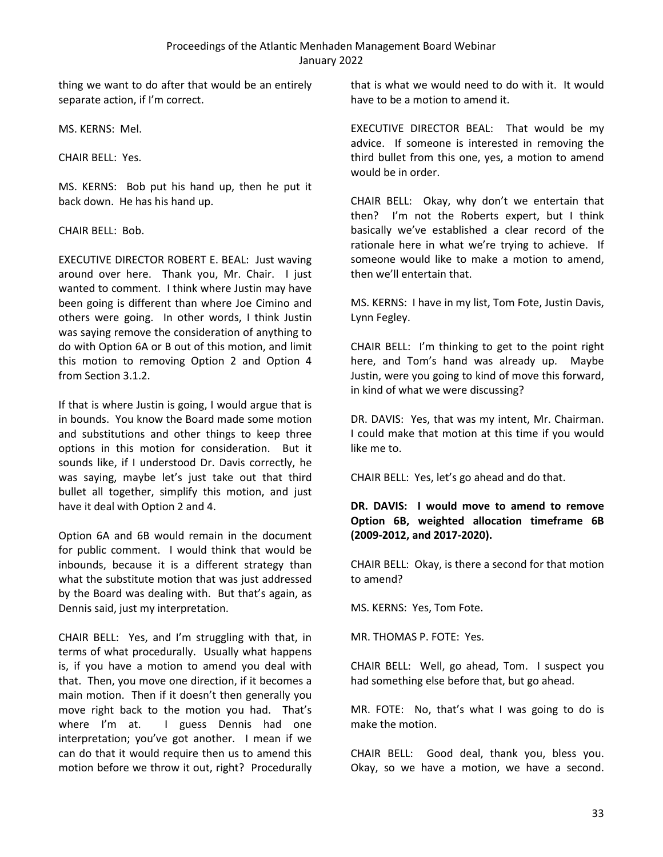thing we want to do after that would be an entirely separate action, if I'm correct.

MS. KERNS: Mel.

CHAIR BELL: Yes.

MS. KERNS: Bob put his hand up, then he put it back down. He has his hand up.

#### CHAIR BELL: Bob.

EXECUTIVE DIRECTOR ROBERT E. BEAL: Just waving around over here. Thank you, Mr. Chair. I just wanted to comment. I think where Justin may have been going is different than where Joe Cimino and others were going. In other words, I think Justin was saying remove the consideration of anything to do with Option 6A or B out of this motion, and limit this motion to removing Option 2 and Option 4 from Section 3.1.2.

If that is where Justin is going, I would argue that is in bounds. You know the Board made some motion and substitutions and other things to keep three options in this motion for consideration. But it sounds like, if I understood Dr. Davis correctly, he was saying, maybe let's just take out that third bullet all together, simplify this motion, and just have it deal with Option 2 and 4.

Option 6A and 6B would remain in the document for public comment. I would think that would be inbounds, because it is a different strategy than what the substitute motion that was just addressed by the Board was dealing with. But that's again, as Dennis said, just my interpretation.

CHAIR BELL: Yes, and I'm struggling with that, in terms of what procedurally. Usually what happens is, if you have a motion to amend you deal with that. Then, you move one direction, if it becomes a main motion. Then if it doesn't then generally you move right back to the motion you had. That's where I'm at. I guess Dennis had one interpretation; you've got another. I mean if we can do that it would require then us to amend this motion before we throw it out, right? Procedurally

that is what we would need to do with it. It would have to be a motion to amend it.

EXECUTIVE DIRECTOR BEAL: That would be my advice. If someone is interested in removing the third bullet from this one, yes, a motion to amend would be in order.

CHAIR BELL: Okay, why don't we entertain that then? I'm not the Roberts expert, but I think basically we've established a clear record of the rationale here in what we're trying to achieve. If someone would like to make a motion to amend, then we'll entertain that.

MS. KERNS: I have in my list, Tom Fote, Justin Davis, Lynn Fegley.

CHAIR BELL: I'm thinking to get to the point right here, and Tom's hand was already up. Maybe Justin, were you going to kind of move this forward, in kind of what we were discussing?

DR. DAVIS: Yes, that was my intent, Mr. Chairman. I could make that motion at this time if you would like me to.

CHAIR BELL: Yes, let's go ahead and do that.

# **DR. DAVIS: I would move to amend to remove Option 6B, weighted allocation timeframe 6B (2009-2012, and 2017-2020).**

CHAIR BELL: Okay, is there a second for that motion to amend?

MS. KERNS: Yes, Tom Fote.

MR. THOMAS P. FOTE: Yes.

CHAIR BELL: Well, go ahead, Tom. I suspect you had something else before that, but go ahead.

MR. FOTE: No, that's what I was going to do is make the motion.

CHAIR BELL: Good deal, thank you, bless you. Okay, so we have a motion, we have a second.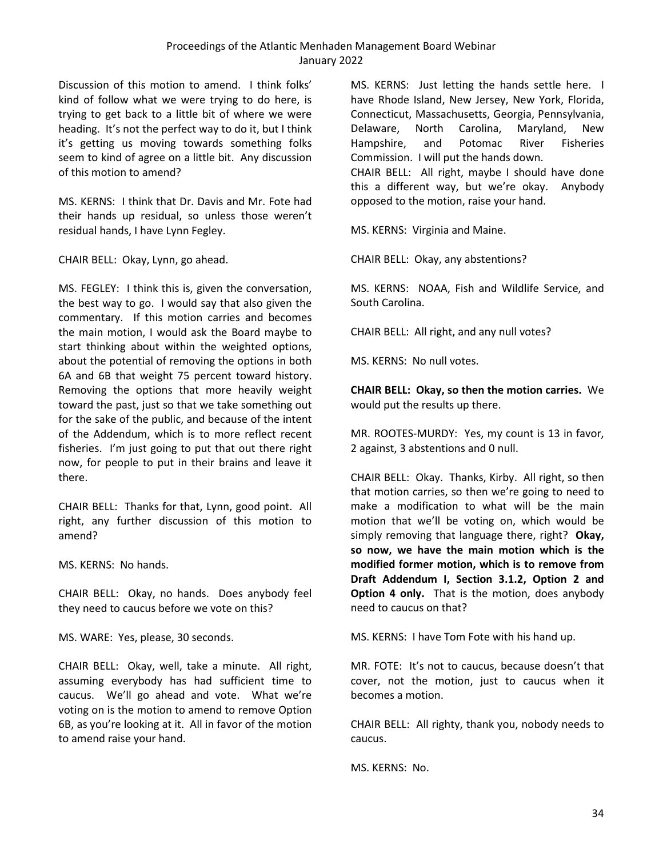Discussion of this motion to amend. I think folks' kind of follow what we were trying to do here, is trying to get back to a little bit of where we were heading. It's not the perfect way to do it, but I think it's getting us moving towards something folks seem to kind of agree on a little bit. Any discussion of this motion to amend?

MS. KERNS: I think that Dr. Davis and Mr. Fote had their hands up residual, so unless those weren't residual hands, I have Lynn Fegley.

CHAIR BELL: Okay, Lynn, go ahead.

MS. FEGLEY: I think this is, given the conversation, the best way to go. I would say that also given the commentary. If this motion carries and becomes the main motion, I would ask the Board maybe to start thinking about within the weighted options, about the potential of removing the options in both 6A and 6B that weight 75 percent toward history. Removing the options that more heavily weight toward the past, just so that we take something out for the sake of the public, and because of the intent of the Addendum, which is to more reflect recent fisheries. I'm just going to put that out there right now, for people to put in their brains and leave it there.

CHAIR BELL: Thanks for that, Lynn, good point. All right, any further discussion of this motion to amend?

MS. KERNS: No hands.

CHAIR BELL: Okay, no hands. Does anybody feel they need to caucus before we vote on this?

MS. WARE: Yes, please, 30 seconds.

CHAIR BELL: Okay, well, take a minute. All right, assuming everybody has had sufficient time to caucus. We'll go ahead and vote. What we're voting on is the motion to amend to remove Option 6B, as you're looking at it. All in favor of the motion to amend raise your hand.

MS. KERNS: Just letting the hands settle here. I have Rhode Island, New Jersey, New York, Florida, Connecticut, Massachusetts, Georgia, Pennsylvania, Delaware, North Carolina, Maryland, New Hampshire, and Potomac River Fisheries Commission. I will put the hands down. CHAIR BELL: All right, maybe I should have done this a different way, but we're okay. Anybody opposed to the motion, raise your hand.

MS. KERNS: Virginia and Maine.

CHAIR BELL: Okay, any abstentions?

MS. KERNS: NOAA, Fish and Wildlife Service, and South Carolina.

CHAIR BELL: All right, and any null votes?

MS. KERNS: No null votes.

**CHAIR BELL: Okay, so then the motion carries.** We would put the results up there.

MR. ROOTES-MURDY: Yes, my count is 13 in favor, 2 against, 3 abstentions and 0 null.

CHAIR BELL: Okay. Thanks, Kirby. All right, so then that motion carries, so then we're going to need to make a modification to what will be the main motion that we'll be voting on, which would be simply removing that language there, right? **Okay, so now, we have the main motion which is the modified former motion, which is to remove from Draft Addendum I, Section 3.1.2, Option 2 and Option 4 only.** That is the motion, does anybody need to caucus on that?

MS. KERNS: I have Tom Fote with his hand up.

MR. FOTE: It's not to caucus, because doesn't that cover, not the motion, just to caucus when it becomes a motion.

CHAIR BELL: All righty, thank you, nobody needs to caucus.

MS. KERNS: No.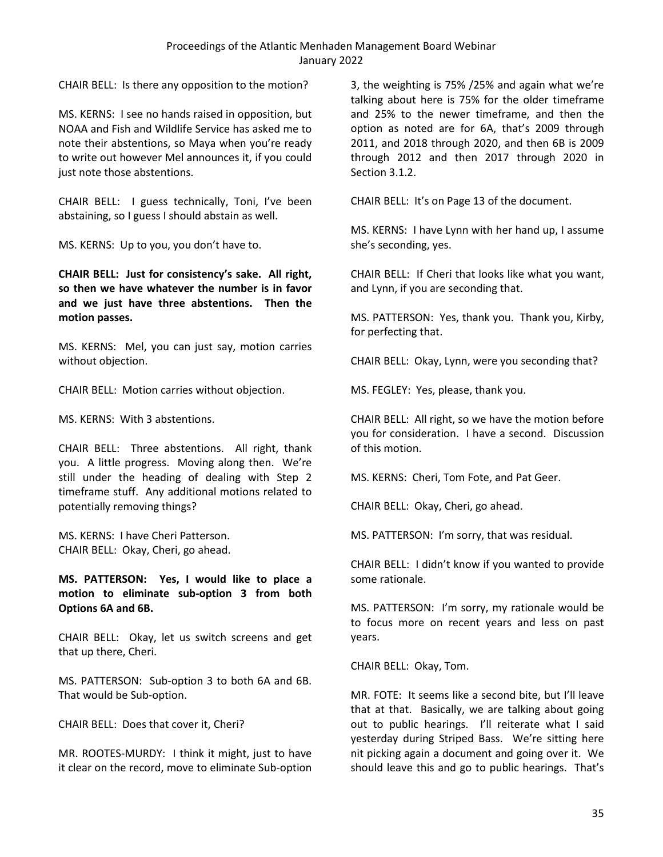CHAIR BELL: Is there any opposition to the motion?

MS. KERNS: I see no hands raised in opposition, but NOAA and Fish and Wildlife Service has asked me to note their abstentions, so Maya when you're ready to write out however Mel announces it, if you could just note those abstentions.

CHAIR BELL: I guess technically, Toni, I've been abstaining, so I guess I should abstain as well.

MS. KERNS: Up to you, you don't have to.

**CHAIR BELL: Just for consistency's sake. All right, so then we have whatever the number is in favor and we just have three abstentions. Then the motion passes.**

MS. KERNS: Mel, you can just say, motion carries without objection.

CHAIR BELL: Motion carries without objection.

MS. KERNS: With 3 abstentions.

CHAIR BELL: Three abstentions. All right, thank you. A little progress. Moving along then. We're still under the heading of dealing with Step 2 timeframe stuff. Any additional motions related to potentially removing things?

MS. KERNS: I have Cheri Patterson. CHAIR BELL: Okay, Cheri, go ahead.

**MS. PATTERSON: Yes, I would like to place a motion to eliminate sub-option 3 from both Options 6A and 6B.**

CHAIR BELL: Okay, let us switch screens and get that up there, Cheri.

MS. PATTERSON: Sub-option 3 to both 6A and 6B. That would be Sub-option.

CHAIR BELL: Does that cover it, Cheri?

MR. ROOTES-MURDY: I think it might, just to have it clear on the record, move to eliminate Sub-option

3, the weighting is 75% /25% and again what we're talking about here is 75% for the older timeframe and 25% to the newer timeframe, and then the option as noted are for 6A, that's 2009 through 2011, and 2018 through 2020, and then 6B is 2009 through 2012 and then 2017 through 2020 in Section 3.1.2.

CHAIR BELL: It's on Page 13 of the document.

MS. KERNS: I have Lynn with her hand up, I assume she's seconding, yes.

CHAIR BELL: If Cheri that looks like what you want, and Lynn, if you are seconding that.

MS. PATTERSON: Yes, thank you. Thank you, Kirby, for perfecting that.

CHAIR BELL: Okay, Lynn, were you seconding that?

MS. FEGLEY: Yes, please, thank you.

CHAIR BELL: All right, so we have the motion before you for consideration. I have a second. Discussion of this motion.

MS. KERNS: Cheri, Tom Fote, and Pat Geer.

CHAIR BELL: Okay, Cheri, go ahead.

MS. PATTERSON: I'm sorry, that was residual.

CHAIR BELL: I didn't know if you wanted to provide some rationale.

MS. PATTERSON: I'm sorry, my rationale would be to focus more on recent years and less on past years.

CHAIR BELL: Okay, Tom.

MR. FOTE: It seems like a second bite, but I'll leave that at that. Basically, we are talking about going out to public hearings. I'll reiterate what I said yesterday during Striped Bass. We're sitting here nit picking again a document and going over it. We should leave this and go to public hearings. That's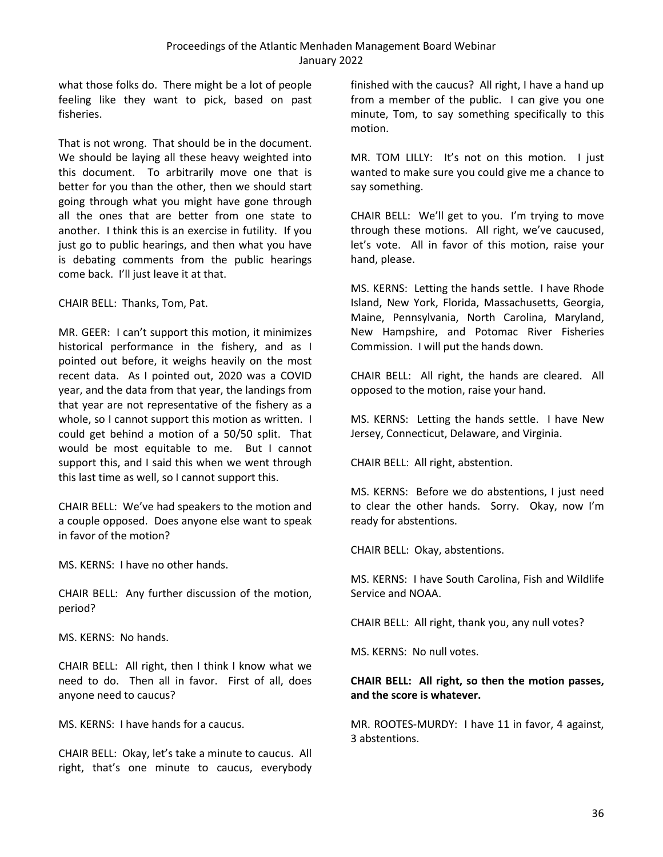what those folks do. There might be a lot of people feeling like they want to pick, based on past fisheries.

That is not wrong. That should be in the document. We should be laying all these heavy weighted into this document. To arbitrarily move one that is better for you than the other, then we should start going through what you might have gone through all the ones that are better from one state to another. I think this is an exercise in futility. If you just go to public hearings, and then what you have is debating comments from the public hearings come back. I'll just leave it at that.

CHAIR BELL: Thanks, Tom, Pat.

MR. GEER: I can't support this motion, it minimizes historical performance in the fishery, and as I pointed out before, it weighs heavily on the most recent data. As I pointed out, 2020 was a COVID year, and the data from that year, the landings from that year are not representative of the fishery as a whole, so I cannot support this motion as written. I could get behind a motion of a 50/50 split. That would be most equitable to me. But I cannot support this, and I said this when we went through this last time as well, so I cannot support this.

CHAIR BELL: We've had speakers to the motion and a couple opposed. Does anyone else want to speak in favor of the motion?

MS. KERNS: I have no other hands.

CHAIR BELL: Any further discussion of the motion, period?

MS. KERNS: No hands.

CHAIR BELL: All right, then I think I know what we need to do. Then all in favor. First of all, does anyone need to caucus?

MS. KERNS: I have hands for a caucus.

CHAIR BELL: Okay, let's take a minute to caucus. All right, that's one minute to caucus, everybody finished with the caucus? All right, I have a hand up from a member of the public. I can give you one minute, Tom, to say something specifically to this motion.

MR. TOM LILLY: It's not on this motion. I just wanted to make sure you could give me a chance to say something.

CHAIR BELL: We'll get to you. I'm trying to move through these motions. All right, we've caucused, let's vote. All in favor of this motion, raise your hand, please.

MS. KERNS: Letting the hands settle. I have Rhode Island, New York, Florida, Massachusetts, Georgia, Maine, Pennsylvania, North Carolina, Maryland, New Hampshire, and Potomac River Fisheries Commission. I will put the hands down.

CHAIR BELL: All right, the hands are cleared. All opposed to the motion, raise your hand.

MS. KERNS: Letting the hands settle. I have New Jersey, Connecticut, Delaware, and Virginia.

CHAIR BELL: All right, abstention.

MS. KERNS: Before we do abstentions, I just need to clear the other hands. Sorry. Okay, now I'm ready for abstentions.

CHAIR BELL: Okay, abstentions.

MS. KERNS: I have South Carolina, Fish and Wildlife Service and NOAA.

CHAIR BELL: All right, thank you, any null votes?

MS. KERNS: No null votes.

### **CHAIR BELL: All right, so then the motion passes, and the score is whatever.**

MR. ROOTES-MURDY: I have 11 in favor, 4 against, 3 abstentions.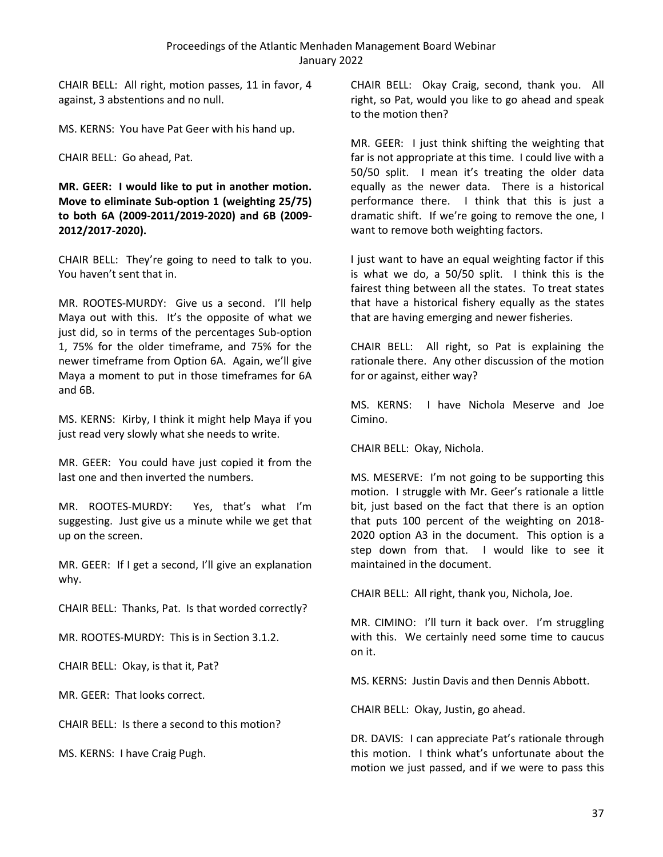CHAIR BELL: All right, motion passes, 11 in favor, 4 against, 3 abstentions and no null.

MS. KERNS: You have Pat Geer with his hand up.

CHAIR BELL: Go ahead, Pat.

**MR. GEER: I would like to put in another motion. Move to eliminate Sub-option 1 (weighting 25/75) to both 6A (2009-2011/2019-2020) and 6B (2009- 2012/2017-2020).**

CHAIR BELL: They're going to need to talk to you. You haven't sent that in.

MR. ROOTES-MURDY: Give us a second. I'll help Maya out with this. It's the opposite of what we just did, so in terms of the percentages Sub-option 1, 75% for the older timeframe, and 75% for the newer timeframe from Option 6A. Again, we'll give Maya a moment to put in those timeframes for 6A and 6B.

MS. KERNS: Kirby, I think it might help Maya if you just read very slowly what she needs to write.

MR. GEER: You could have just copied it from the last one and then inverted the numbers.

MR. ROOTES-MURDY: Yes, that's what I'm suggesting. Just give us a minute while we get that up on the screen.

MR. GEER: If I get a second, I'll give an explanation why.

CHAIR BELL: Thanks, Pat. Is that worded correctly?

MR. ROOTES-MURDY: This is in Section 3.1.2.

CHAIR BELL: Okay, is that it, Pat?

MR. GEER: That looks correct.

CHAIR BELL: Is there a second to this motion?

MS. KERNS: I have Craig Pugh.

CHAIR BELL: Okay Craig, second, thank you. All right, so Pat, would you like to go ahead and speak to the motion then?

MR. GEER: I just think shifting the weighting that far is not appropriate at this time. I could live with a 50/50 split. I mean it's treating the older data equally as the newer data. There is a historical performance there. I think that this is just a dramatic shift. If we're going to remove the one, I want to remove both weighting factors.

I just want to have an equal weighting factor if this is what we do, a 50/50 split. I think this is the fairest thing between all the states. To treat states that have a historical fishery equally as the states that are having emerging and newer fisheries.

CHAIR BELL: All right, so Pat is explaining the rationale there. Any other discussion of the motion for or against, either way?

MS. KERNS: I have Nichola Meserve and Joe Cimino.

CHAIR BELL: Okay, Nichola.

MS. MESERVE: I'm not going to be supporting this motion. I struggle with Mr. Geer's rationale a little bit, just based on the fact that there is an option that puts 100 percent of the weighting on 2018- 2020 option A3 in the document. This option is a step down from that. I would like to see it maintained in the document.

CHAIR BELL: All right, thank you, Nichola, Joe.

MR. CIMINO: I'll turn it back over. I'm struggling with this. We certainly need some time to caucus on it.

MS. KERNS: Justin Davis and then Dennis Abbott.

CHAIR BELL: Okay, Justin, go ahead.

DR. DAVIS: I can appreciate Pat's rationale through this motion. I think what's unfortunate about the motion we just passed, and if we were to pass this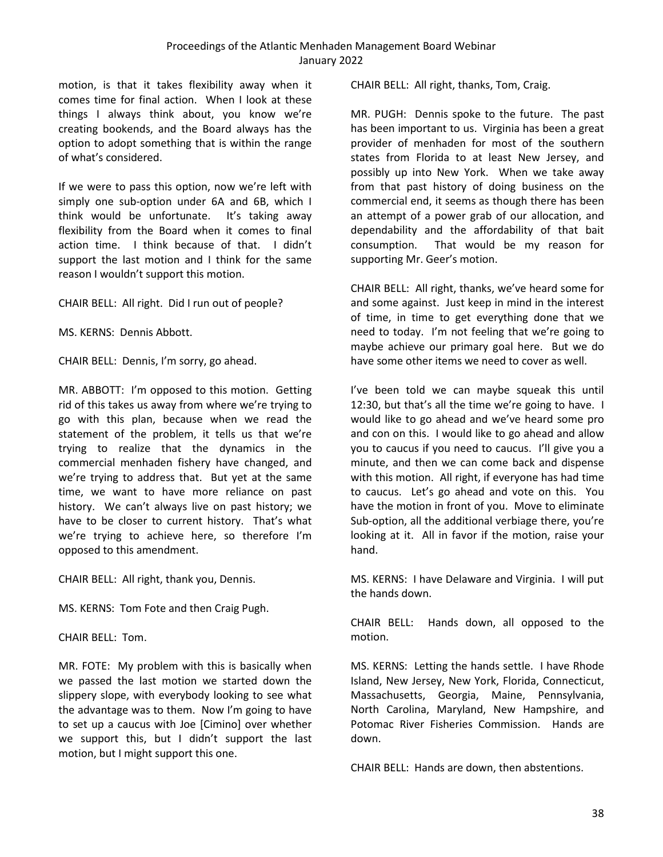motion, is that it takes flexibility away when it comes time for final action. When I look at these things I always think about, you know we're creating bookends, and the Board always has the option to adopt something that is within the range of what's considered.

If we were to pass this option, now we're left with simply one sub-option under 6A and 6B, which I think would be unfortunate. It's taking away flexibility from the Board when it comes to final action time. I think because of that. I didn't support the last motion and I think for the same reason I wouldn't support this motion.

CHAIR BELL: All right. Did I run out of people?

MS. KERNS: Dennis Abbott.

CHAIR BELL: Dennis, I'm sorry, go ahead.

MR. ABBOTT: I'm opposed to this motion. Getting rid of this takes us away from where we're trying to go with this plan, because when we read the statement of the problem, it tells us that we're trying to realize that the dynamics in the commercial menhaden fishery have changed, and we're trying to address that. But yet at the same time, we want to have more reliance on past history. We can't always live on past history; we have to be closer to current history. That's what we're trying to achieve here, so therefore I'm opposed to this amendment.

CHAIR BELL: All right, thank you, Dennis.

MS. KERNS: Tom Fote and then Craig Pugh.

CHAIR BELL: Tom.

MR. FOTE: My problem with this is basically when we passed the last motion we started down the slippery slope, with everybody looking to see what the advantage was to them. Now I'm going to have to set up a caucus with Joe [Cimino] over whether we support this, but I didn't support the last motion, but I might support this one.

CHAIR BELL: All right, thanks, Tom, Craig.

MR. PUGH: Dennis spoke to the future. The past has been important to us. Virginia has been a great provider of menhaden for most of the southern states from Florida to at least New Jersey, and possibly up into New York. When we take away from that past history of doing business on the commercial end, it seems as though there has been an attempt of a power grab of our allocation, and dependability and the affordability of that bait consumption. That would be my reason for supporting Mr. Geer's motion.

CHAIR BELL: All right, thanks, we've heard some for and some against. Just keep in mind in the interest of time, in time to get everything done that we need to today. I'm not feeling that we're going to maybe achieve our primary goal here. But we do have some other items we need to cover as well.

I've been told we can maybe squeak this until 12:30, but that's all the time we're going to have. I would like to go ahead and we've heard some pro and con on this. I would like to go ahead and allow you to caucus if you need to caucus. I'll give you a minute, and then we can come back and dispense with this motion. All right, if everyone has had time to caucus. Let's go ahead and vote on this. You have the motion in front of you. Move to eliminate Sub-option, all the additional verbiage there, you're looking at it. All in favor if the motion, raise your hand.

MS. KERNS: I have Delaware and Virginia. I will put the hands down.

CHAIR BELL: Hands down, all opposed to the motion.

MS. KERNS: Letting the hands settle. I have Rhode Island, New Jersey, New York, Florida, Connecticut, Massachusetts, Georgia, Maine, Pennsylvania, North Carolina, Maryland, New Hampshire, and Potomac River Fisheries Commission. Hands are down.

CHAIR BELL: Hands are down, then abstentions.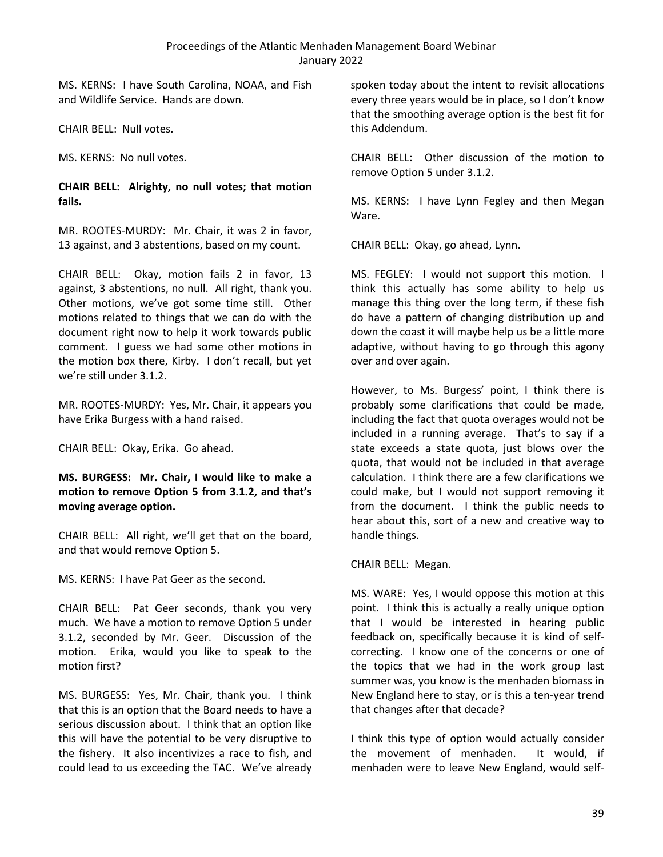MS. KERNS: I have South Carolina, NOAA, and Fish and Wildlife Service. Hands are down.

CHAIR BELL: Null votes.

MS. KERNS: No null votes.

### **CHAIR BELL: Alrighty, no null votes; that motion fails.**

MR. ROOTES-MURDY: Mr. Chair, it was 2 in favor, 13 against, and 3 abstentions, based on my count.

CHAIR BELL: Okay, motion fails 2 in favor, 13 against, 3 abstentions, no null. All right, thank you. Other motions, we've got some time still. Other motions related to things that we can do with the document right now to help it work towards public comment. I guess we had some other motions in the motion box there, Kirby. I don't recall, but yet we're still under 3.1.2.

MR. ROOTES-MURDY: Yes, Mr. Chair, it appears you have Erika Burgess with a hand raised.

CHAIR BELL: Okay, Erika. Go ahead.

**MS. BURGESS: Mr. Chair, I would like to make a motion to remove Option 5 from 3.1.2, and that's moving average option.**

CHAIR BELL: All right, we'll get that on the board, and that would remove Option 5.

MS. KERNS: I have Pat Geer as the second.

CHAIR BELL: Pat Geer seconds, thank you very much. We have a motion to remove Option 5 under 3.1.2, seconded by Mr. Geer. Discussion of the motion. Erika, would you like to speak to the motion first?

MS. BURGESS: Yes, Mr. Chair, thank you. I think that this is an option that the Board needs to have a serious discussion about. I think that an option like this will have the potential to be very disruptive to the fishery. It also incentivizes a race to fish, and could lead to us exceeding the TAC. We've already spoken today about the intent to revisit allocations every three years would be in place, so I don't know that the smoothing average option is the best fit for this Addendum.

CHAIR BELL: Other discussion of the motion to remove Option 5 under 3.1.2.

MS. KERNS: I have Lynn Fegley and then Megan Ware.

CHAIR BELL: Okay, go ahead, Lynn.

MS. FEGLEY: I would not support this motion. I think this actually has some ability to help us manage this thing over the long term, if these fish do have a pattern of changing distribution up and down the coast it will maybe help us be a little more adaptive, without having to go through this agony over and over again.

However, to Ms. Burgess' point, I think there is probably some clarifications that could be made, including the fact that quota overages would not be included in a running average. That's to say if a state exceeds a state quota, just blows over the quota, that would not be included in that average calculation. I think there are a few clarifications we could make, but I would not support removing it from the document. I think the public needs to hear about this, sort of a new and creative way to handle things.

CHAIR BELL: Megan.

MS. WARE: Yes, I would oppose this motion at this point. I think this is actually a really unique option that I would be interested in hearing public feedback on, specifically because it is kind of selfcorrecting. I know one of the concerns or one of the topics that we had in the work group last summer was, you know is the menhaden biomass in New England here to stay, or is this a ten-year trend that changes after that decade?

I think this type of option would actually consider the movement of menhaden. It would, if menhaden were to leave New England, would self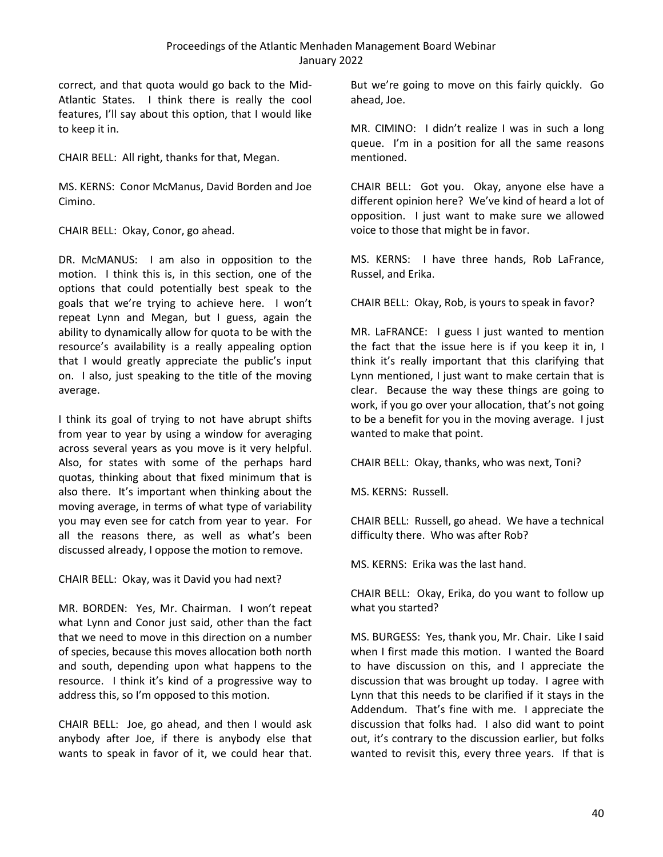correct, and that quota would go back to the Mid-Atlantic States. I think there is really the cool features, I'll say about this option, that I would like to keep it in.

CHAIR BELL: All right, thanks for that, Megan.

MS. KERNS: Conor McManus, David Borden and Joe Cimino.

CHAIR BELL: Okay, Conor, go ahead.

DR. McMANUS: I am also in opposition to the motion. I think this is, in this section, one of the options that could potentially best speak to the goals that we're trying to achieve here. I won't repeat Lynn and Megan, but I guess, again the ability to dynamically allow for quota to be with the resource's availability is a really appealing option that I would greatly appreciate the public's input on. I also, just speaking to the title of the moving average.

I think its goal of trying to not have abrupt shifts from year to year by using a window for averaging across several years as you move is it very helpful. Also, for states with some of the perhaps hard quotas, thinking about that fixed minimum that is also there. It's important when thinking about the moving average, in terms of what type of variability you may even see for catch from year to year. For all the reasons there, as well as what's been discussed already, I oppose the motion to remove.

CHAIR BELL: Okay, was it David you had next?

MR. BORDEN: Yes, Mr. Chairman. I won't repeat what Lynn and Conor just said, other than the fact that we need to move in this direction on a number of species, because this moves allocation both north and south, depending upon what happens to the resource. I think it's kind of a progressive way to address this, so I'm opposed to this motion.

CHAIR BELL: Joe, go ahead, and then I would ask anybody after Joe, if there is anybody else that wants to speak in favor of it, we could hear that. But we're going to move on this fairly quickly. Go ahead, Joe.

MR. CIMINO: I didn't realize I was in such a long queue. I'm in a position for all the same reasons mentioned.

CHAIR BELL: Got you. Okay, anyone else have a different opinion here? We've kind of heard a lot of opposition. I just want to make sure we allowed voice to those that might be in favor.

MS. KERNS: I have three hands, Rob LaFrance, Russel, and Erika.

CHAIR BELL: Okay, Rob, is yours to speak in favor?

MR. LaFRANCE: I guess I just wanted to mention the fact that the issue here is if you keep it in, I think it's really important that this clarifying that Lynn mentioned, I just want to make certain that is clear. Because the way these things are going to work, if you go over your allocation, that's not going to be a benefit for you in the moving average. I just wanted to make that point.

CHAIR BELL: Okay, thanks, who was next, Toni?

MS. KERNS: Russell.

CHAIR BELL: Russell, go ahead. We have a technical difficulty there. Who was after Rob?

MS. KERNS: Erika was the last hand.

CHAIR BELL: Okay, Erika, do you want to follow up what you started?

MS. BURGESS: Yes, thank you, Mr. Chair. Like I said when I first made this motion. I wanted the Board to have discussion on this, and I appreciate the discussion that was brought up today. I agree with Lynn that this needs to be clarified if it stays in the Addendum. That's fine with me. I appreciate the discussion that folks had. I also did want to point out, it's contrary to the discussion earlier, but folks wanted to revisit this, every three years. If that is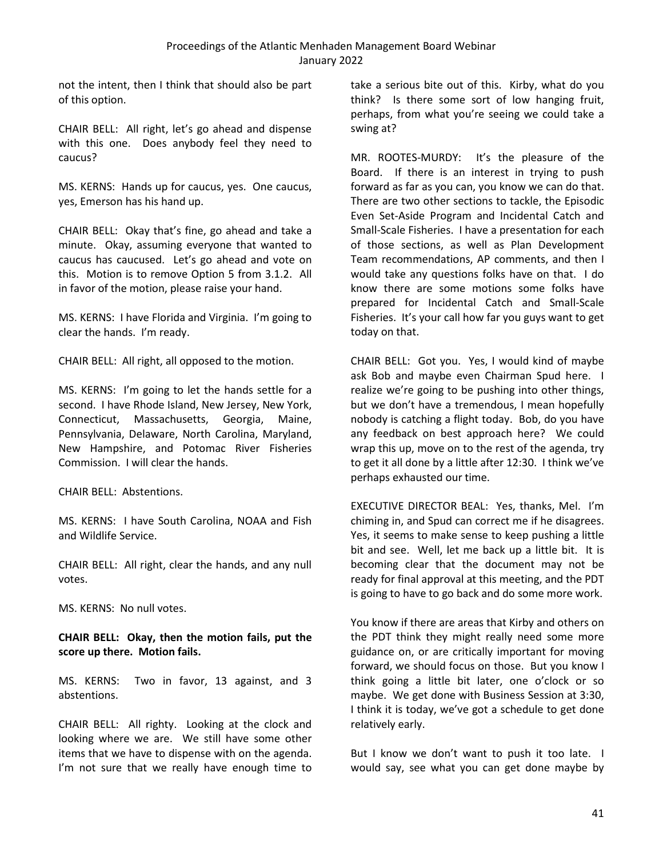not the intent, then I think that should also be part of this option.

CHAIR BELL: All right, let's go ahead and dispense with this one. Does anybody feel they need to caucus?

MS. KERNS: Hands up for caucus, yes. One caucus, yes, Emerson has his hand up.

CHAIR BELL: Okay that's fine, go ahead and take a minute. Okay, assuming everyone that wanted to caucus has caucused. Let's go ahead and vote on this. Motion is to remove Option 5 from 3.1.2. All in favor of the motion, please raise your hand.

MS. KERNS: I have Florida and Virginia. I'm going to clear the hands. I'm ready.

CHAIR BELL: All right, all opposed to the motion.

MS. KERNS: I'm going to let the hands settle for a second. I have Rhode Island, New Jersey, New York, Connecticut, Massachusetts, Georgia, Maine, Pennsylvania, Delaware, North Carolina, Maryland, New Hampshire, and Potomac River Fisheries Commission. I will clear the hands.

CHAIR BELL: Abstentions.

MS. KERNS: I have South Carolina, NOAA and Fish and Wildlife Service.

CHAIR BELL: All right, clear the hands, and any null votes.

MS. KERNS: No null votes.

**CHAIR BELL: Okay, then the motion fails, put the score up there. Motion fails.**

MS. KERNS: Two in favor, 13 against, and 3 abstentions.

CHAIR BELL: All righty. Looking at the clock and looking where we are. We still have some other items that we have to dispense with on the agenda. I'm not sure that we really have enough time to take a serious bite out of this. Kirby, what do you think? Is there some sort of low hanging fruit, perhaps, from what you're seeing we could take a swing at?

MR. ROOTES-MURDY: It's the pleasure of the Board. If there is an interest in trying to push forward as far as you can, you know we can do that. There are two other sections to tackle, the Episodic Even Set-Aside Program and Incidental Catch and Small-Scale Fisheries. I have a presentation for each of those sections, as well as Plan Development Team recommendations, AP comments, and then I would take any questions folks have on that. I do know there are some motions some folks have prepared for Incidental Catch and Small-Scale Fisheries. It's your call how far you guys want to get today on that.

CHAIR BELL: Got you. Yes, I would kind of maybe ask Bob and maybe even Chairman Spud here. I realize we're going to be pushing into other things, but we don't have a tremendous, I mean hopefully nobody is catching a flight today. Bob, do you have any feedback on best approach here? We could wrap this up, move on to the rest of the agenda, try to get it all done by a little after 12:30. I think we've perhaps exhausted our time.

EXECUTIVE DIRECTOR BEAL: Yes, thanks, Mel. I'm chiming in, and Spud can correct me if he disagrees. Yes, it seems to make sense to keep pushing a little bit and see. Well, let me back up a little bit. It is becoming clear that the document may not be ready for final approval at this meeting, and the PDT is going to have to go back and do some more work.

You know if there are areas that Kirby and others on the PDT think they might really need some more guidance on, or are critically important for moving forward, we should focus on those. But you know I think going a little bit later, one o'clock or so maybe. We get done with Business Session at 3:30, I think it is today, we've got a schedule to get done relatively early.

But I know we don't want to push it too late. I would say, see what you can get done maybe by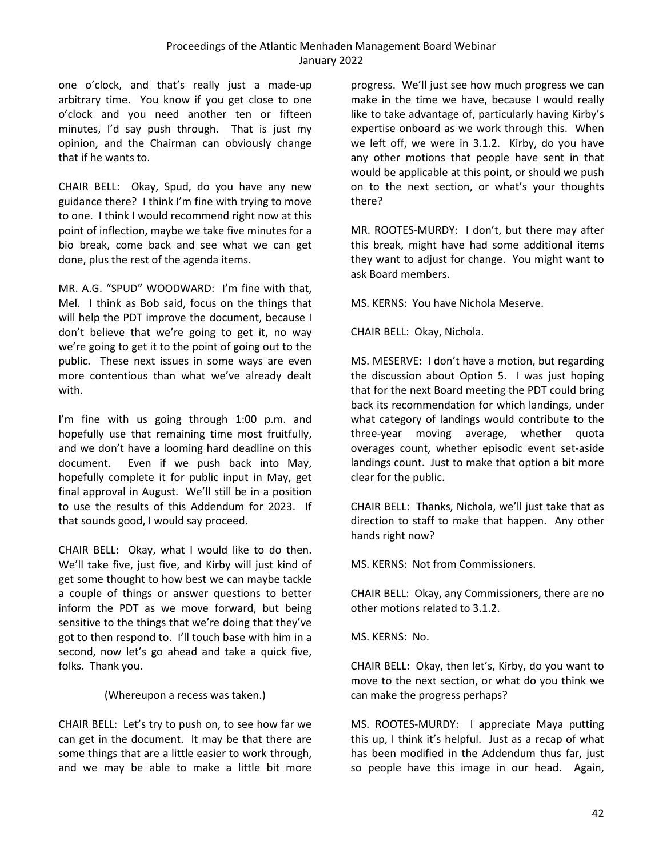one o'clock, and that's really just a made-up arbitrary time. You know if you get close to one o'clock and you need another ten or fifteen minutes, I'd say push through. That is just my opinion, and the Chairman can obviously change that if he wants to.

CHAIR BELL: Okay, Spud, do you have any new guidance there? I think I'm fine with trying to move to one. I think I would recommend right now at this point of inflection, maybe we take five minutes for a bio break, come back and see what we can get done, plus the rest of the agenda items.

MR. A.G. "SPUD" WOODWARD: I'm fine with that, Mel. I think as Bob said, focus on the things that will help the PDT improve the document, because I don't believe that we're going to get it, no way we're going to get it to the point of going out to the public. These next issues in some ways are even more contentious than what we've already dealt with.

I'm fine with us going through 1:00 p.m. and hopefully use that remaining time most fruitfully, and we don't have a looming hard deadline on this document. Even if we push back into May, hopefully complete it for public input in May, get final approval in August. We'll still be in a position to use the results of this Addendum for 2023. If that sounds good, I would say proceed.

CHAIR BELL: Okay, what I would like to do then. We'll take five, just five, and Kirby will just kind of get some thought to how best we can maybe tackle a couple of things or answer questions to better inform the PDT as we move forward, but being sensitive to the things that we're doing that they've got to then respond to. I'll touch base with him in a second, now let's go ahead and take a quick five, folks. Thank you.

### (Whereupon a recess was taken.)

CHAIR BELL: Let's try to push on, to see how far we can get in the document. It may be that there are some things that are a little easier to work through, and we may be able to make a little bit more

progress. We'll just see how much progress we can make in the time we have, because I would really like to take advantage of, particularly having Kirby's expertise onboard as we work through this. When we left off, we were in 3.1.2. Kirby, do you have any other motions that people have sent in that would be applicable at this point, or should we push on to the next section, or what's your thoughts there?

MR. ROOTES-MURDY: I don't, but there may after this break, might have had some additional items they want to adjust for change. You might want to ask Board members.

MS. KERNS: You have Nichola Meserve.

CHAIR BELL: Okay, Nichola.

MS. MESERVE: I don't have a motion, but regarding the discussion about Option 5. I was just hoping that for the next Board meeting the PDT could bring back its recommendation for which landings, under what category of landings would contribute to the three-year moving average, whether quota overages count, whether episodic event set-aside landings count. Just to make that option a bit more clear for the public.

CHAIR BELL: Thanks, Nichola, we'll just take that as direction to staff to make that happen. Any other hands right now?

MS. KERNS: Not from Commissioners.

CHAIR BELL: Okay, any Commissioners, there are no other motions related to 3.1.2.

MS. KERNS: No.

CHAIR BELL: Okay, then let's, Kirby, do you want to move to the next section, or what do you think we can make the progress perhaps?

MS. ROOTES-MURDY: I appreciate Maya putting this up, I think it's helpful. Just as a recap of what has been modified in the Addendum thus far, just so people have this image in our head. Again,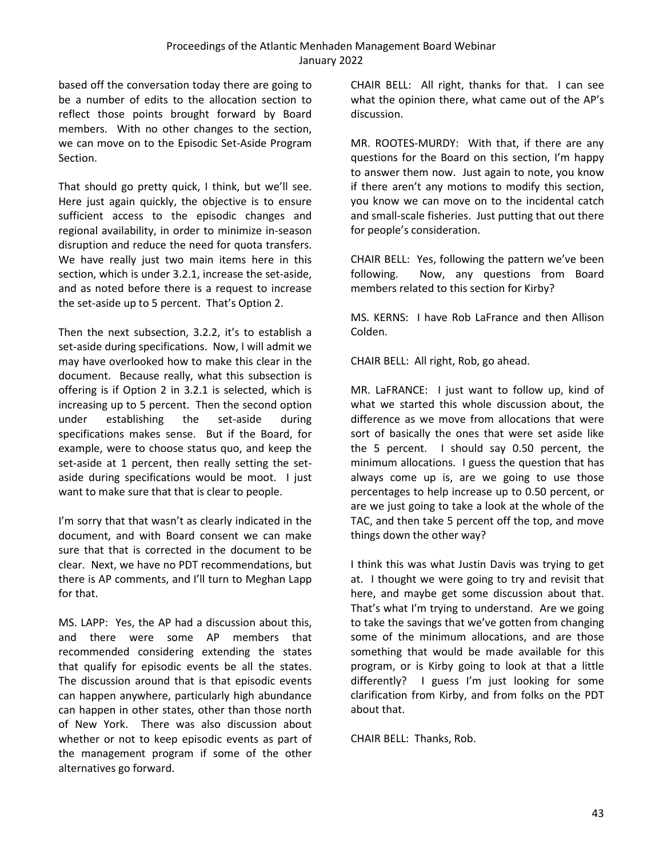based off the conversation today there are going to be a number of edits to the allocation section to reflect those points brought forward by Board members. With no other changes to the section, we can move on to the Episodic Set-Aside Program Section.

That should go pretty quick, I think, but we'll see. Here just again quickly, the objective is to ensure sufficient access to the episodic changes and regional availability, in order to minimize in-season disruption and reduce the need for quota transfers. We have really just two main items here in this section, which is under 3.2.1, increase the set-aside, and as noted before there is a request to increase the set-aside up to 5 percent. That's Option 2.

Then the next subsection, 3.2.2, it's to establish a set-aside during specifications. Now, I will admit we may have overlooked how to make this clear in the document. Because really, what this subsection is offering is if Option 2 in 3.2.1 is selected, which is increasing up to 5 percent. Then the second option under establishing the set-aside during specifications makes sense. But if the Board, for example, were to choose status quo, and keep the set-aside at 1 percent, then really setting the setaside during specifications would be moot. I just want to make sure that that is clear to people.

I'm sorry that that wasn't as clearly indicated in the document, and with Board consent we can make sure that that is corrected in the document to be clear. Next, we have no PDT recommendations, but there is AP comments, and I'll turn to Meghan Lapp for that.

MS. LAPP: Yes, the AP had a discussion about this, and there were some AP members that recommended considering extending the states that qualify for episodic events be all the states. The discussion around that is that episodic events can happen anywhere, particularly high abundance can happen in other states, other than those north of New York. There was also discussion about whether or not to keep episodic events as part of the management program if some of the other alternatives go forward.

CHAIR BELL: All right, thanks for that. I can see what the opinion there, what came out of the AP's discussion.

MR. ROOTES-MURDY: With that, if there are any questions for the Board on this section, I'm happy to answer them now. Just again to note, you know if there aren't any motions to modify this section, you know we can move on to the incidental catch and small-scale fisheries. Just putting that out there for people's consideration.

CHAIR BELL: Yes, following the pattern we've been following. Now, any questions from Board members related to this section for Kirby?

MS. KERNS: I have Rob LaFrance and then Allison Colden.

CHAIR BELL: All right, Rob, go ahead.

MR. LaFRANCE: I just want to follow up, kind of what we started this whole discussion about, the difference as we move from allocations that were sort of basically the ones that were set aside like the 5 percent. I should say 0.50 percent, the minimum allocations. I guess the question that has always come up is, are we going to use those percentages to help increase up to 0.50 percent, or are we just going to take a look at the whole of the TAC, and then take 5 percent off the top, and move things down the other way?

I think this was what Justin Davis was trying to get at. I thought we were going to try and revisit that here, and maybe get some discussion about that. That's what I'm trying to understand. Are we going to take the savings that we've gotten from changing some of the minimum allocations, and are those something that would be made available for this program, or is Kirby going to look at that a little differently? I guess I'm just looking for some clarification from Kirby, and from folks on the PDT about that.

CHAIR BELL: Thanks, Rob.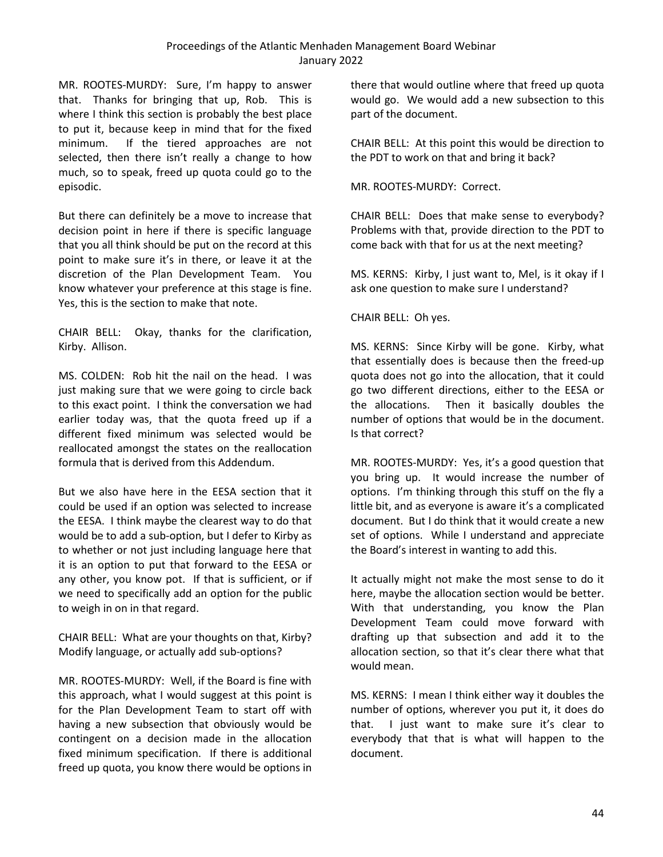MR. ROOTES-MURDY: Sure, I'm happy to answer that. Thanks for bringing that up, Rob. This is where I think this section is probably the best place to put it, because keep in mind that for the fixed minimum. If the tiered approaches are not selected, then there isn't really a change to how much, so to speak, freed up quota could go to the episodic.

But there can definitely be a move to increase that decision point in here if there is specific language that you all think should be put on the record at this point to make sure it's in there, or leave it at the discretion of the Plan Development Team. You know whatever your preference at this stage is fine. Yes, this is the section to make that note.

CHAIR BELL: Okay, thanks for the clarification, Kirby. Allison.

MS. COLDEN: Rob hit the nail on the head. I was just making sure that we were going to circle back to this exact point. I think the conversation we had earlier today was, that the quota freed up if a different fixed minimum was selected would be reallocated amongst the states on the reallocation formula that is derived from this Addendum.

But we also have here in the EESA section that it could be used if an option was selected to increase the EESA. I think maybe the clearest way to do that would be to add a sub-option, but I defer to Kirby as to whether or not just including language here that it is an option to put that forward to the EESA or any other, you know pot. If that is sufficient, or if we need to specifically add an option for the public to weigh in on in that regard.

CHAIR BELL: What are your thoughts on that, Kirby? Modify language, or actually add sub-options?

MR. ROOTES-MURDY: Well, if the Board is fine with this approach, what I would suggest at this point is for the Plan Development Team to start off with having a new subsection that obviously would be contingent on a decision made in the allocation fixed minimum specification. If there is additional freed up quota, you know there would be options in

there that would outline where that freed up quota would go. We would add a new subsection to this part of the document.

CHAIR BELL: At this point this would be direction to the PDT to work on that and bring it back?

MR. ROOTES-MURDY: Correct.

CHAIR BELL: Does that make sense to everybody? Problems with that, provide direction to the PDT to come back with that for us at the next meeting?

MS. KERNS: Kirby, I just want to, Mel, is it okay if I ask one question to make sure I understand?

CHAIR BELL: Oh yes.

MS. KERNS: Since Kirby will be gone. Kirby, what that essentially does is because then the freed-up quota does not go into the allocation, that it could go two different directions, either to the EESA or the allocations. Then it basically doubles the number of options that would be in the document. Is that correct?

MR. ROOTES-MURDY: Yes, it's a good question that you bring up. It would increase the number of options. I'm thinking through this stuff on the fly a little bit, and as everyone is aware it's a complicated document. But I do think that it would create a new set of options. While I understand and appreciate the Board's interest in wanting to add this.

It actually might not make the most sense to do it here, maybe the allocation section would be better. With that understanding, you know the Plan Development Team could move forward with drafting up that subsection and add it to the allocation section, so that it's clear there what that would mean.

MS. KERNS: I mean I think either way it doubles the number of options, wherever you put it, it does do that. I just want to make sure it's clear to everybody that that is what will happen to the document.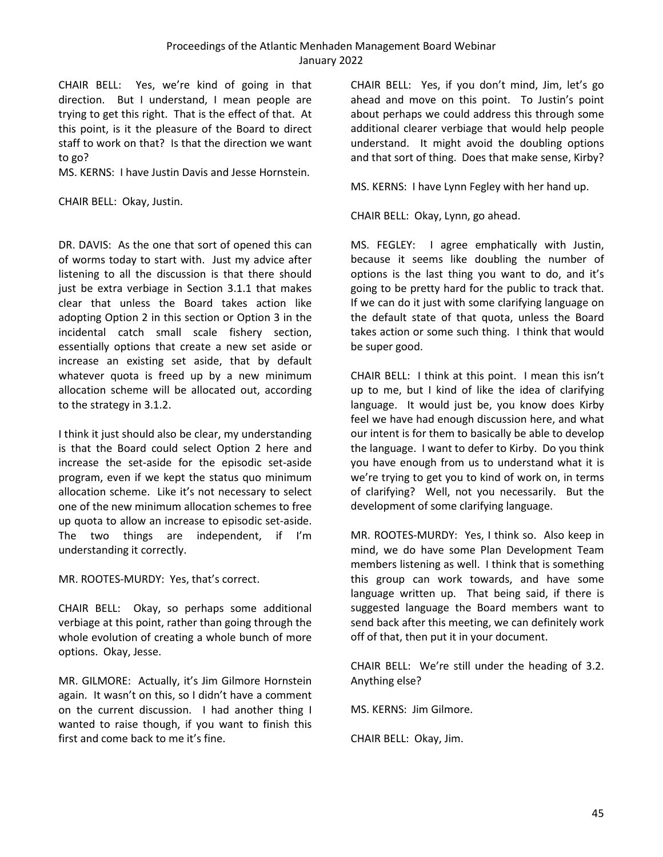CHAIR BELL: Yes, we're kind of going in that direction. But I understand, I mean people are trying to get this right. That is the effect of that. At this point, is it the pleasure of the Board to direct staff to work on that? Is that the direction we want to go?

MS. KERNS: I have Justin Davis and Jesse Hornstein.

CHAIR BELL: Okay, Justin.

DR. DAVIS: As the one that sort of opened this can of worms today to start with. Just my advice after listening to all the discussion is that there should just be extra verbiage in Section 3.1.1 that makes clear that unless the Board takes action like adopting Option 2 in this section or Option 3 in the incidental catch small scale fishery section, essentially options that create a new set aside or increase an existing set aside, that by default whatever quota is freed up by a new minimum allocation scheme will be allocated out, according to the strategy in 3.1.2.

I think it just should also be clear, my understanding is that the Board could select Option 2 here and increase the set-aside for the episodic set-aside program, even if we kept the status quo minimum allocation scheme. Like it's not necessary to select one of the new minimum allocation schemes to free up quota to allow an increase to episodic set-aside. The two things are independent, if I'm understanding it correctly.

MR. ROOTES-MURDY: Yes, that's correct.

CHAIR BELL: Okay, so perhaps some additional verbiage at this point, rather than going through the whole evolution of creating a whole bunch of more options. Okay, Jesse.

MR. GILMORE: Actually, it's Jim Gilmore Hornstein again. It wasn't on this, so I didn't have a comment on the current discussion. I had another thing I wanted to raise though, if you want to finish this first and come back to me it's fine.

CHAIR BELL: Yes, if you don't mind, Jim, let's go ahead and move on this point. To Justin's point about perhaps we could address this through some additional clearer verbiage that would help people understand. It might avoid the doubling options and that sort of thing. Does that make sense, Kirby?

MS. KERNS: I have Lynn Fegley with her hand up.

CHAIR BELL: Okay, Lynn, go ahead.

MS. FEGLEY: I agree emphatically with Justin, because it seems like doubling the number of options is the last thing you want to do, and it's going to be pretty hard for the public to track that. If we can do it just with some clarifying language on the default state of that quota, unless the Board takes action or some such thing. I think that would be super good.

CHAIR BELL: I think at this point. I mean this isn't up to me, but I kind of like the idea of clarifying language. It would just be, you know does Kirby feel we have had enough discussion here, and what our intent is for them to basically be able to develop the language. I want to defer to Kirby. Do you think you have enough from us to understand what it is we're trying to get you to kind of work on, in terms of clarifying? Well, not you necessarily. But the development of some clarifying language.

MR. ROOTES-MURDY: Yes, I think so. Also keep in mind, we do have some Plan Development Team members listening as well. I think that is something this group can work towards, and have some language written up. That being said, if there is suggested language the Board members want to send back after this meeting, we can definitely work off of that, then put it in your document.

CHAIR BELL: We're still under the heading of 3.2. Anything else?

MS. KERNS: Jim Gilmore.

CHAIR BELL: Okay, Jim.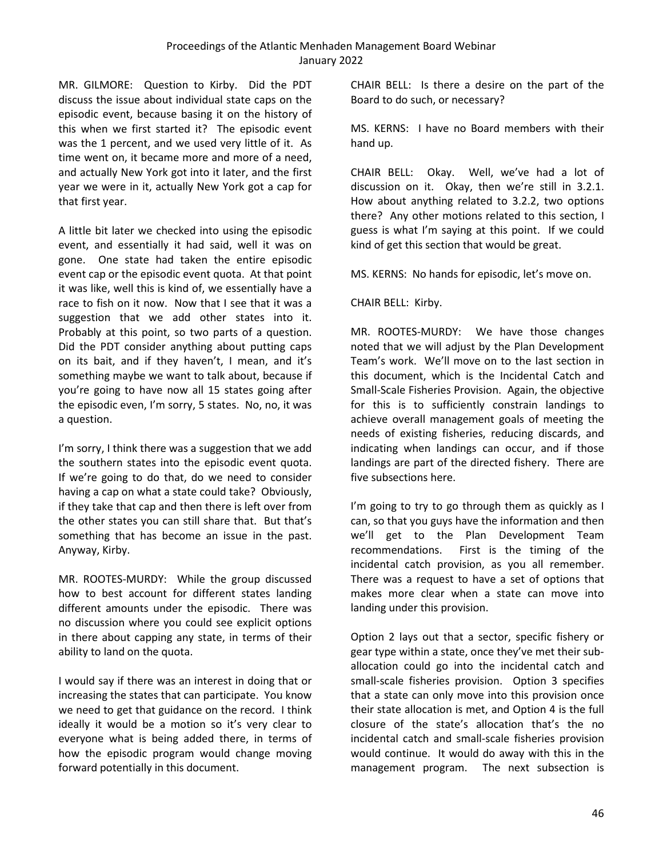MR. GILMORE: Question to Kirby. Did the PDT discuss the issue about individual state caps on the episodic event, because basing it on the history of this when we first started it? The episodic event was the 1 percent, and we used very little of it. As time went on, it became more and more of a need, and actually New York got into it later, and the first year we were in it, actually New York got a cap for that first year.

A little bit later we checked into using the episodic event, and essentially it had said, well it was on gone. One state had taken the entire episodic event cap or the episodic event quota. At that point it was like, well this is kind of, we essentially have a race to fish on it now. Now that I see that it was a suggestion that we add other states into it. Probably at this point, so two parts of a question. Did the PDT consider anything about putting caps on its bait, and if they haven't, I mean, and it's something maybe we want to talk about, because if you're going to have now all 15 states going after the episodic even, I'm sorry, 5 states. No, no, it was a question.

I'm sorry, I think there was a suggestion that we add the southern states into the episodic event quota. If we're going to do that, do we need to consider having a cap on what a state could take? Obviously, if they take that cap and then there is left over from the other states you can still share that. But that's something that has become an issue in the past. Anyway, Kirby.

MR. ROOTES-MURDY: While the group discussed how to best account for different states landing different amounts under the episodic. There was no discussion where you could see explicit options in there about capping any state, in terms of their ability to land on the quota.

I would say if there was an interest in doing that or increasing the states that can participate. You know we need to get that guidance on the record. I think ideally it would be a motion so it's very clear to everyone what is being added there, in terms of how the episodic program would change moving forward potentially in this document.

CHAIR BELL: Is there a desire on the part of the Board to do such, or necessary?

MS. KERNS: I have no Board members with their hand up.

CHAIR BELL: Okay. Well, we've had a lot of discussion on it. Okay, then we're still in 3.2.1. How about anything related to 3.2.2, two options there? Any other motions related to this section, I guess is what I'm saying at this point. If we could kind of get this section that would be great.

MS. KERNS: No hands for episodic, let's move on.

# CHAIR BELL: Kirby.

MR. ROOTES-MURDY: We have those changes noted that we will adjust by the Plan Development Team's work. We'll move on to the last section in this document, which is the Incidental Catch and Small-Scale Fisheries Provision. Again, the objective for this is to sufficiently constrain landings to achieve overall management goals of meeting the needs of existing fisheries, reducing discards, and indicating when landings can occur, and if those landings are part of the directed fishery. There are five subsections here.

I'm going to try to go through them as quickly as I can, so that you guys have the information and then we'll get to the Plan Development Team recommendations. First is the timing of the incidental catch provision, as you all remember. There was a request to have a set of options that makes more clear when a state can move into landing under this provision.

Option 2 lays out that a sector, specific fishery or gear type within a state, once they've met their suballocation could go into the incidental catch and small-scale fisheries provision. Option 3 specifies that a state can only move into this provision once their state allocation is met, and Option 4 is the full closure of the state's allocation that's the no incidental catch and small-scale fisheries provision would continue. It would do away with this in the management program. The next subsection is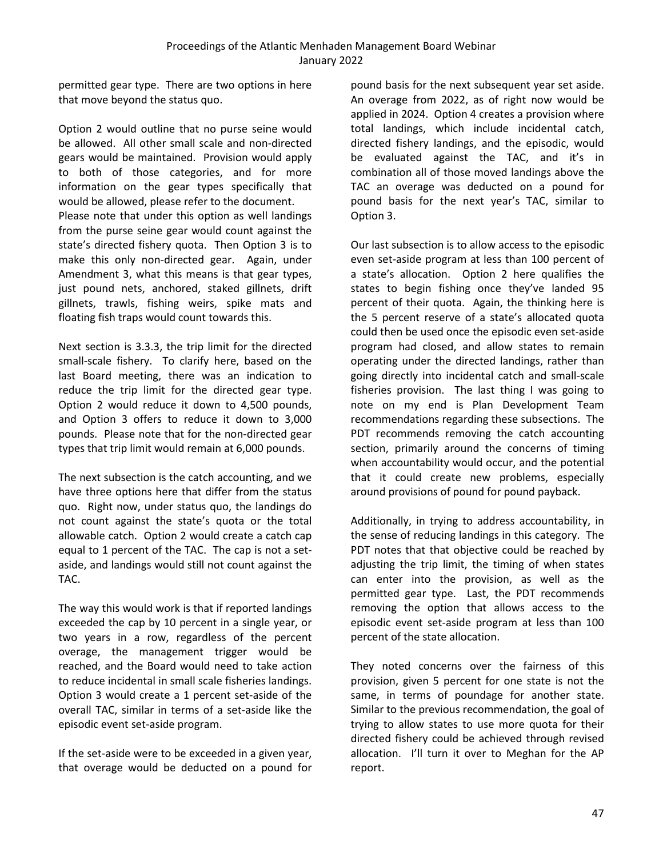permitted gear type. There are two options in here that move beyond the status quo.

Option 2 would outline that no purse seine would be allowed. All other small scale and non-directed gears would be maintained. Provision would apply to both of those categories, and for more information on the gear types specifically that would be allowed, please refer to the document. Please note that under this option as well landings from the purse seine gear would count against the state's directed fishery quota. Then Option 3 is to make this only non-directed gear. Again, under Amendment 3, what this means is that gear types, just pound nets, anchored, staked gillnets, drift gillnets, trawls, fishing weirs, spike mats and floating fish traps would count towards this.

Next section is 3.3.3, the trip limit for the directed small-scale fishery. To clarify here, based on the last Board meeting, there was an indication to reduce the trip limit for the directed gear type. Option 2 would reduce it down to 4,500 pounds, and Option 3 offers to reduce it down to 3,000 pounds. Please note that for the non-directed gear types that trip limit would remain at 6,000 pounds.

The next subsection is the catch accounting, and we have three options here that differ from the status quo. Right now, under status quo, the landings do not count against the state's quota or the total allowable catch. Option 2 would create a catch cap equal to 1 percent of the TAC. The cap is not a setaside, and landings would still not count against the TAC.

The way this would work is that if reported landings exceeded the cap by 10 percent in a single year, or two years in a row, regardless of the percent overage, the management trigger would be reached, and the Board would need to take action to reduce incidental in small scale fisheries landings. Option 3 would create a 1 percent set-aside of the overall TAC, similar in terms of a set-aside like the episodic event set-aside program.

If the set-aside were to be exceeded in a given year, that overage would be deducted on a pound for

pound basis for the next subsequent year set aside. An overage from 2022, as of right now would be applied in 2024. Option 4 creates a provision where total landings, which include incidental catch, directed fishery landings, and the episodic, would be evaluated against the TAC, and it's in combination all of those moved landings above the TAC an overage was deducted on a pound for pound basis for the next year's TAC, similar to Option 3.

Our last subsection is to allow access to the episodic even set-aside program at less than 100 percent of a state's allocation. Option 2 here qualifies the states to begin fishing once they've landed 95 percent of their quota. Again, the thinking here is the 5 percent reserve of a state's allocated quota could then be used once the episodic even set-aside program had closed, and allow states to remain operating under the directed landings, rather than going directly into incidental catch and small-scale fisheries provision. The last thing I was going to note on my end is Plan Development Team recommendations regarding these subsections. The PDT recommends removing the catch accounting section, primarily around the concerns of timing when accountability would occur, and the potential that it could create new problems, especially around provisions of pound for pound payback.

Additionally, in trying to address accountability, in the sense of reducing landings in this category. The PDT notes that that objective could be reached by adjusting the trip limit, the timing of when states can enter into the provision, as well as the permitted gear type. Last, the PDT recommends removing the option that allows access to the episodic event set-aside program at less than 100 percent of the state allocation.

They noted concerns over the fairness of this provision, given 5 percent for one state is not the same, in terms of poundage for another state. Similar to the previous recommendation, the goal of trying to allow states to use more quota for their directed fishery could be achieved through revised allocation. I'll turn it over to Meghan for the AP report.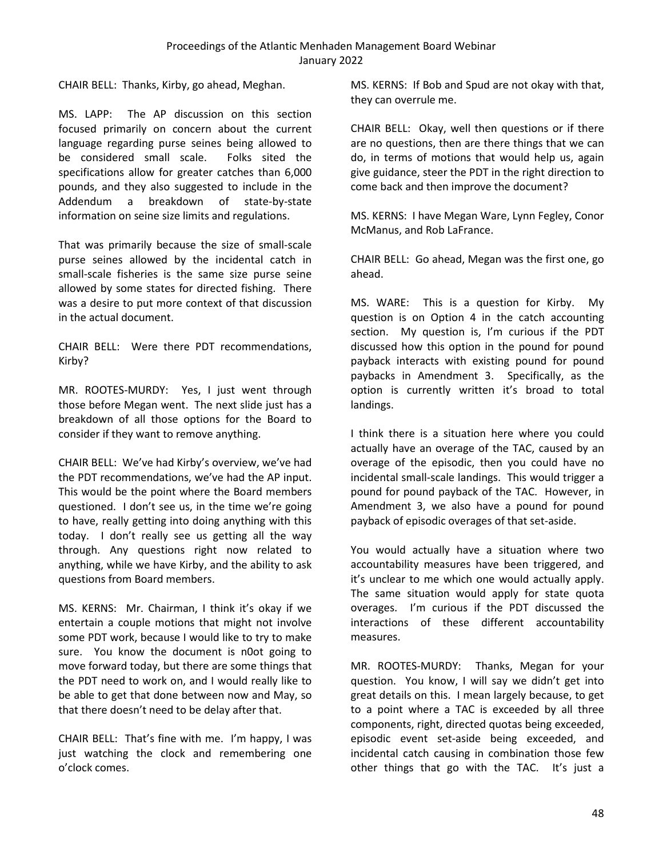CHAIR BELL: Thanks, Kirby, go ahead, Meghan.

MS. LAPP: The AP discussion on this section focused primarily on concern about the current language regarding purse seines being allowed to be considered small scale. Folks sited the specifications allow for greater catches than 6,000 pounds, and they also suggested to include in the Addendum a breakdown of state-by-state information on seine size limits and regulations.

That was primarily because the size of small-scale purse seines allowed by the incidental catch in small-scale fisheries is the same size purse seine allowed by some states for directed fishing. There was a desire to put more context of that discussion in the actual document.

CHAIR BELL: Were there PDT recommendations, Kirby?

MR. ROOTES-MURDY: Yes, I just went through those before Megan went. The next slide just has a breakdown of all those options for the Board to consider if they want to remove anything.

CHAIR BELL: We've had Kirby's overview, we've had the PDT recommendations, we've had the AP input. This would be the point where the Board members questioned. I don't see us, in the time we're going to have, really getting into doing anything with this today. I don't really see us getting all the way through. Any questions right now related to anything, while we have Kirby, and the ability to ask questions from Board members.

MS. KERNS: Mr. Chairman, I think it's okay if we entertain a couple motions that might not involve some PDT work, because I would like to try to make sure. You know the document is n0ot going to move forward today, but there are some things that the PDT need to work on, and I would really like to be able to get that done between now and May, so that there doesn't need to be delay after that.

CHAIR BELL: That's fine with me. I'm happy, I was just watching the clock and remembering one o'clock comes.

MS. KERNS: If Bob and Spud are not okay with that, they can overrule me.

CHAIR BELL: Okay, well then questions or if there are no questions, then are there things that we can do, in terms of motions that would help us, again give guidance, steer the PDT in the right direction to come back and then improve the document?

MS. KERNS: I have Megan Ware, Lynn Fegley, Conor McManus, and Rob LaFrance.

CHAIR BELL: Go ahead, Megan was the first one, go ahead.

MS. WARE: This is a question for Kirby. My question is on Option 4 in the catch accounting section. My question is, I'm curious if the PDT discussed how this option in the pound for pound payback interacts with existing pound for pound paybacks in Amendment 3. Specifically, as the option is currently written it's broad to total landings.

I think there is a situation here where you could actually have an overage of the TAC, caused by an overage of the episodic, then you could have no incidental small-scale landings. This would trigger a pound for pound payback of the TAC. However, in Amendment 3, we also have a pound for pound payback of episodic overages of that set-aside.

You would actually have a situation where two accountability measures have been triggered, and it's unclear to me which one would actually apply. The same situation would apply for state quota overages. I'm curious if the PDT discussed the interactions of these different accountability measures.

MR. ROOTES-MURDY: Thanks, Megan for your question. You know, I will say we didn't get into great details on this. I mean largely because, to get to a point where a TAC is exceeded by all three components, right, directed quotas being exceeded, episodic event set-aside being exceeded, and incidental catch causing in combination those few other things that go with the TAC. It's just a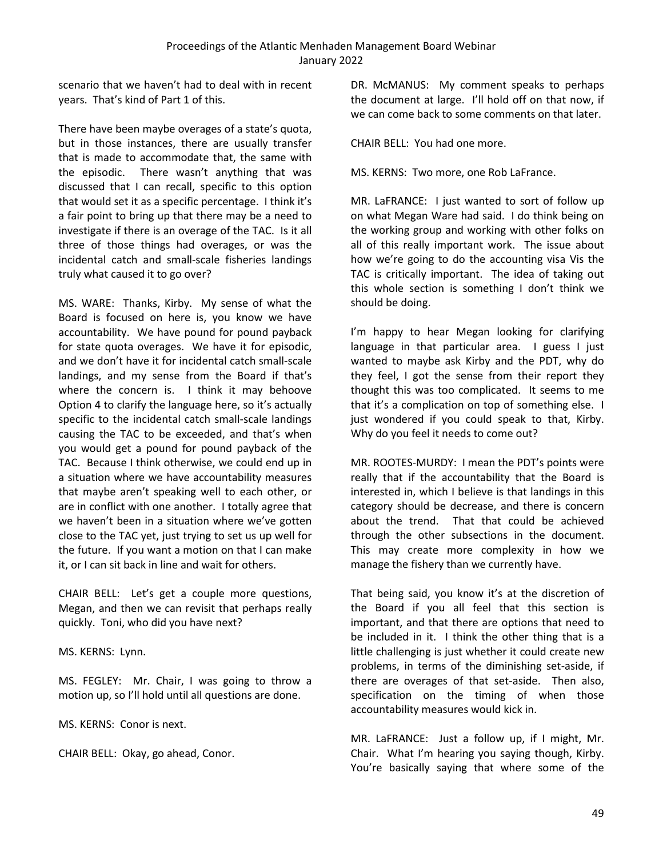scenario that we haven't had to deal with in recent years. That's kind of Part 1 of this.

There have been maybe overages of a state's quota, but in those instances, there are usually transfer that is made to accommodate that, the same with the episodic. There wasn't anything that was discussed that I can recall, specific to this option that would set it as a specific percentage. I think it's a fair point to bring up that there may be a need to investigate if there is an overage of the TAC. Is it all three of those things had overages, or was the incidental catch and small-scale fisheries landings truly what caused it to go over?

MS. WARE: Thanks, Kirby. My sense of what the Board is focused on here is, you know we have accountability. We have pound for pound payback for state quota overages. We have it for episodic, and we don't have it for incidental catch small-scale landings, and my sense from the Board if that's where the concern is. I think it may behoove Option 4 to clarify the language here, so it's actually specific to the incidental catch small-scale landings causing the TAC to be exceeded, and that's when you would get a pound for pound payback of the TAC. Because I think otherwise, we could end up in a situation where we have accountability measures that maybe aren't speaking well to each other, or are in conflict with one another. I totally agree that we haven't been in a situation where we've gotten close to the TAC yet, just trying to set us up well for the future. If you want a motion on that I can make it, or I can sit back in line and wait for others.

CHAIR BELL: Let's get a couple more questions, Megan, and then we can revisit that perhaps really quickly. Toni, who did you have next?

MS. KERNS: Lynn.

MS. FEGLEY: Mr. Chair, I was going to throw a motion up, so I'll hold until all questions are done.

MS. KERNS: Conor is next.

CHAIR BELL: Okay, go ahead, Conor.

DR. McMANUS: My comment speaks to perhaps the document at large. I'll hold off on that now, if we can come back to some comments on that later.

CHAIR BELL: You had one more.

MS. KERNS: Two more, one Rob LaFrance.

MR. LaFRANCE: I just wanted to sort of follow up on what Megan Ware had said. I do think being on the working group and working with other folks on all of this really important work. The issue about how we're going to do the accounting visa Vis the TAC is critically important. The idea of taking out this whole section is something I don't think we should be doing.

I'm happy to hear Megan looking for clarifying language in that particular area. I guess I just wanted to maybe ask Kirby and the PDT, why do they feel, I got the sense from their report they thought this was too complicated. It seems to me that it's a complication on top of something else. I just wondered if you could speak to that, Kirby. Why do you feel it needs to come out?

MR. ROOTES-MURDY: I mean the PDT's points were really that if the accountability that the Board is interested in, which I believe is that landings in this category should be decrease, and there is concern about the trend. That that could be achieved through the other subsections in the document. This may create more complexity in how we manage the fishery than we currently have.

That being said, you know it's at the discretion of the Board if you all feel that this section is important, and that there are options that need to be included in it. I think the other thing that is a little challenging is just whether it could create new problems, in terms of the diminishing set-aside, if there are overages of that set-aside. Then also, specification on the timing of when those accountability measures would kick in.

MR. LaFRANCE: Just a follow up, if I might, Mr. Chair. What I'm hearing you saying though, Kirby. You're basically saying that where some of the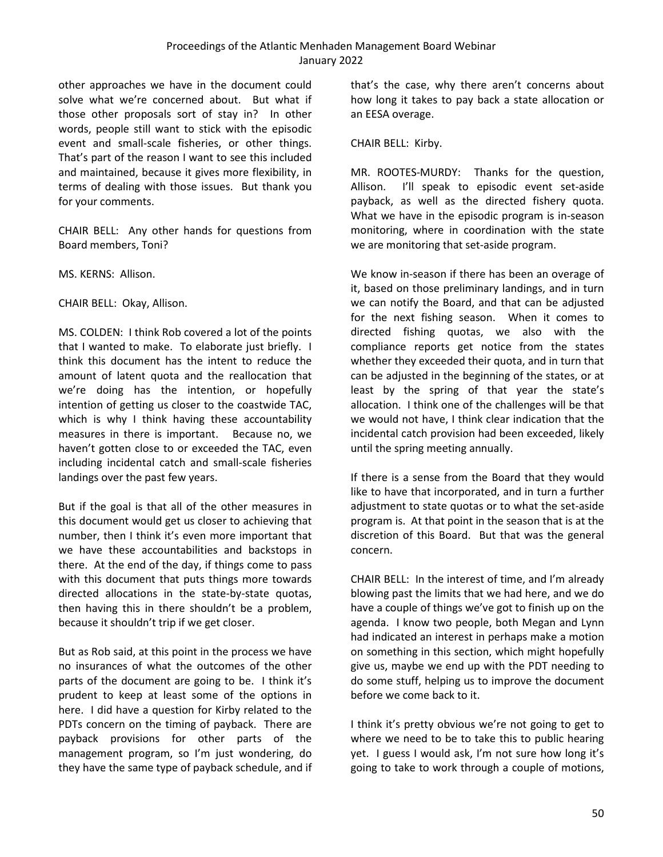other approaches we have in the document could solve what we're concerned about. But what if those other proposals sort of stay in? In other words, people still want to stick with the episodic event and small-scale fisheries, or other things. That's part of the reason I want to see this included and maintained, because it gives more flexibility, in terms of dealing with those issues. But thank you for your comments.

CHAIR BELL: Any other hands for questions from Board members, Toni?

MS. KERNS: Allison.

CHAIR BELL: Okay, Allison.

MS. COLDEN: I think Rob covered a lot of the points that I wanted to make. To elaborate just briefly. I think this document has the intent to reduce the amount of latent quota and the reallocation that we're doing has the intention, or hopefully intention of getting us closer to the coastwide TAC, which is why I think having these accountability measures in there is important. Because no, we haven't gotten close to or exceeded the TAC, even including incidental catch and small-scale fisheries landings over the past few years.

But if the goal is that all of the other measures in this document would get us closer to achieving that number, then I think it's even more important that we have these accountabilities and backstops in there. At the end of the day, if things come to pass with this document that puts things more towards directed allocations in the state-by-state quotas, then having this in there shouldn't be a problem, because it shouldn't trip if we get closer.

But as Rob said, at this point in the process we have no insurances of what the outcomes of the other parts of the document are going to be. I think it's prudent to keep at least some of the options in here. I did have a question for Kirby related to the PDTs concern on the timing of payback. There are payback provisions for other parts of the management program, so I'm just wondering, do they have the same type of payback schedule, and if

that's the case, why there aren't concerns about how long it takes to pay back a state allocation or an EESA overage.

#### CHAIR BELL: Kirby.

MR. ROOTES-MURDY: Thanks for the question, Allison. I'll speak to episodic event set-aside payback, as well as the directed fishery quota. What we have in the episodic program is in-season monitoring, where in coordination with the state we are monitoring that set-aside program.

We know in-season if there has been an overage of it, based on those preliminary landings, and in turn we can notify the Board, and that can be adjusted for the next fishing season. When it comes to directed fishing quotas, we also with the compliance reports get notice from the states whether they exceeded their quota, and in turn that can be adjusted in the beginning of the states, or at least by the spring of that year the state's allocation. I think one of the challenges will be that we would not have, I think clear indication that the incidental catch provision had been exceeded, likely until the spring meeting annually.

If there is a sense from the Board that they would like to have that incorporated, and in turn a further adjustment to state quotas or to what the set-aside program is. At that point in the season that is at the discretion of this Board. But that was the general concern.

CHAIR BELL: In the interest of time, and I'm already blowing past the limits that we had here, and we do have a couple of things we've got to finish up on the agenda. I know two people, both Megan and Lynn had indicated an interest in perhaps make a motion on something in this section, which might hopefully give us, maybe we end up with the PDT needing to do some stuff, helping us to improve the document before we come back to it.

I think it's pretty obvious we're not going to get to where we need to be to take this to public hearing yet. I guess I would ask, I'm not sure how long it's going to take to work through a couple of motions,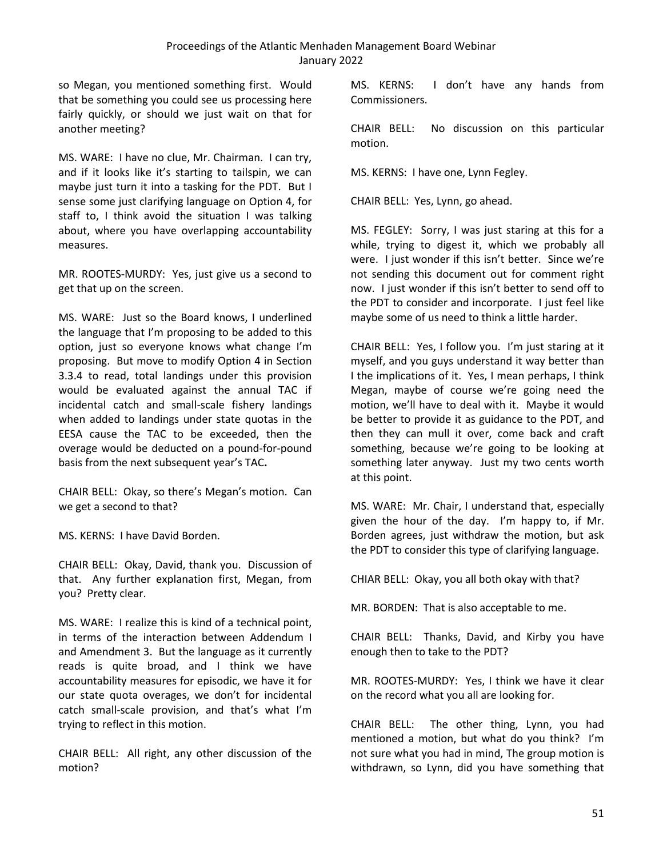so Megan, you mentioned something first. Would that be something you could see us processing here fairly quickly, or should we just wait on that for another meeting?

MS. WARE: I have no clue, Mr. Chairman. I can try, and if it looks like it's starting to tailspin, we can maybe just turn it into a tasking for the PDT. But I sense some just clarifying language on Option 4, for staff to, I think avoid the situation I was talking about, where you have overlapping accountability measures.

MR. ROOTES-MURDY: Yes, just give us a second to get that up on the screen.

MS. WARE: Just so the Board knows, I underlined the language that I'm proposing to be added to this option, just so everyone knows what change I'm proposing. But move to modify Option 4 in Section 3.3.4 to read, total landings under this provision would be evaluated against the annual TAC if incidental catch and small-scale fishery landings when added to landings under state quotas in the EESA cause the TAC to be exceeded, then the overage would be deducted on a pound-for-pound basis from the next subsequent year's TAC**.**

CHAIR BELL: Okay, so there's Megan's motion. Can we get a second to that?

MS. KERNS: I have David Borden.

CHAIR BELL: Okay, David, thank you. Discussion of that. Any further explanation first, Megan, from you? Pretty clear.

MS. WARE: I realize this is kind of a technical point, in terms of the interaction between Addendum I and Amendment 3. But the language as it currently reads is quite broad, and I think we have accountability measures for episodic, we have it for our state quota overages, we don't for incidental catch small-scale provision, and that's what I'm trying to reflect in this motion.

CHAIR BELL: All right, any other discussion of the motion?

MS. KERNS: I don't have any hands from Commissioners.

CHAIR BELL: No discussion on this particular motion.

MS. KERNS: I have one, Lynn Fegley.

CHAIR BELL: Yes, Lynn, go ahead.

MS. FEGLEY: Sorry, I was just staring at this for a while, trying to digest it, which we probably all were. I just wonder if this isn't better. Since we're not sending this document out for comment right now. I just wonder if this isn't better to send off to the PDT to consider and incorporate. I just feel like maybe some of us need to think a little harder.

CHAIR BELL: Yes, I follow you. I'm just staring at it myself, and you guys understand it way better than I the implications of it. Yes, I mean perhaps, I think Megan, maybe of course we're going need the motion, we'll have to deal with it. Maybe it would be better to provide it as guidance to the PDT, and then they can mull it over, come back and craft something, because we're going to be looking at something later anyway. Just my two cents worth at this point.

MS. WARE: Mr. Chair, I understand that, especially given the hour of the day. I'm happy to, if Mr. Borden agrees, just withdraw the motion, but ask the PDT to consider this type of clarifying language.

CHIAR BELL: Okay, you all both okay with that?

MR. BORDEN: That is also acceptable to me.

CHAIR BELL: Thanks, David, and Kirby you have enough then to take to the PDT?

MR. ROOTES-MURDY: Yes, I think we have it clear on the record what you all are looking for.

CHAIR BELL: The other thing, Lynn, you had mentioned a motion, but what do you think? I'm not sure what you had in mind, The group motion is withdrawn, so Lynn, did you have something that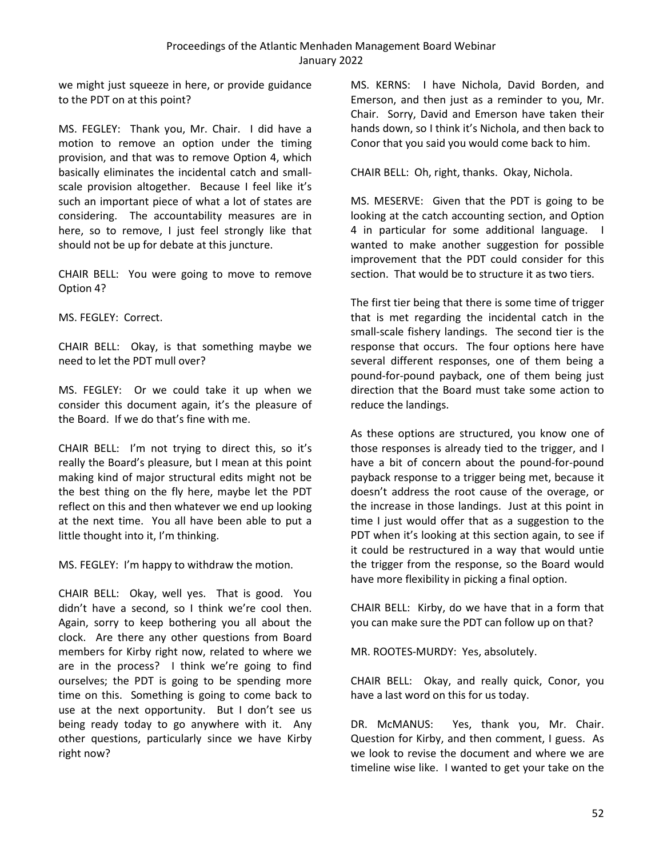we might just squeeze in here, or provide guidance to the PDT on at this point?

MS. FEGLEY: Thank you, Mr. Chair. I did have a motion to remove an option under the timing provision, and that was to remove Option 4, which basically eliminates the incidental catch and smallscale provision altogether. Because I feel like it's such an important piece of what a lot of states are considering. The accountability measures are in here, so to remove, I just feel strongly like that should not be up for debate at this juncture.

CHAIR BELL: You were going to move to remove Option 4?

MS. FEGLEY: Correct.

CHAIR BELL: Okay, is that something maybe we need to let the PDT mull over?

MS. FEGLEY: Or we could take it up when we consider this document again, it's the pleasure of the Board. If we do that's fine with me.

CHAIR BELL: I'm not trying to direct this, so it's really the Board's pleasure, but I mean at this point making kind of major structural edits might not be the best thing on the fly here, maybe let the PDT reflect on this and then whatever we end up looking at the next time. You all have been able to put a little thought into it, I'm thinking.

MS. FEGLEY: I'm happy to withdraw the motion.

CHAIR BELL: Okay, well yes. That is good. You didn't have a second, so I think we're cool then. Again, sorry to keep bothering you all about the clock. Are there any other questions from Board members for Kirby right now, related to where we are in the process? I think we're going to find ourselves; the PDT is going to be spending more time on this. Something is going to come back to use at the next opportunity. But I don't see us being ready today to go anywhere with it. Any other questions, particularly since we have Kirby right now?

MS. KERNS: I have Nichola, David Borden, and Emerson, and then just as a reminder to you, Mr. Chair. Sorry, David and Emerson have taken their hands down, so I think it's Nichola, and then back to Conor that you said you would come back to him.

CHAIR BELL: Oh, right, thanks. Okay, Nichola.

MS. MESERVE: Given that the PDT is going to be looking at the catch accounting section, and Option 4 in particular for some additional language. I wanted to make another suggestion for possible improvement that the PDT could consider for this section. That would be to structure it as two tiers.

The first tier being that there is some time of trigger that is met regarding the incidental catch in the small-scale fishery landings. The second tier is the response that occurs. The four options here have several different responses, one of them being a pound-for-pound payback, one of them being just direction that the Board must take some action to reduce the landings.

As these options are structured, you know one of those responses is already tied to the trigger, and I have a bit of concern about the pound-for-pound payback response to a trigger being met, because it doesn't address the root cause of the overage, or the increase in those landings. Just at this point in time I just would offer that as a suggestion to the PDT when it's looking at this section again, to see if it could be restructured in a way that would untie the trigger from the response, so the Board would have more flexibility in picking a final option.

CHAIR BELL: Kirby, do we have that in a form that you can make sure the PDT can follow up on that?

MR. ROOTES-MURDY: Yes, absolutely.

CHAIR BELL: Okay, and really quick, Conor, you have a last word on this for us today.

DR. McMANUS: Yes, thank you, Mr. Chair. Question for Kirby, and then comment, I guess. As we look to revise the document and where we are timeline wise like. I wanted to get your take on the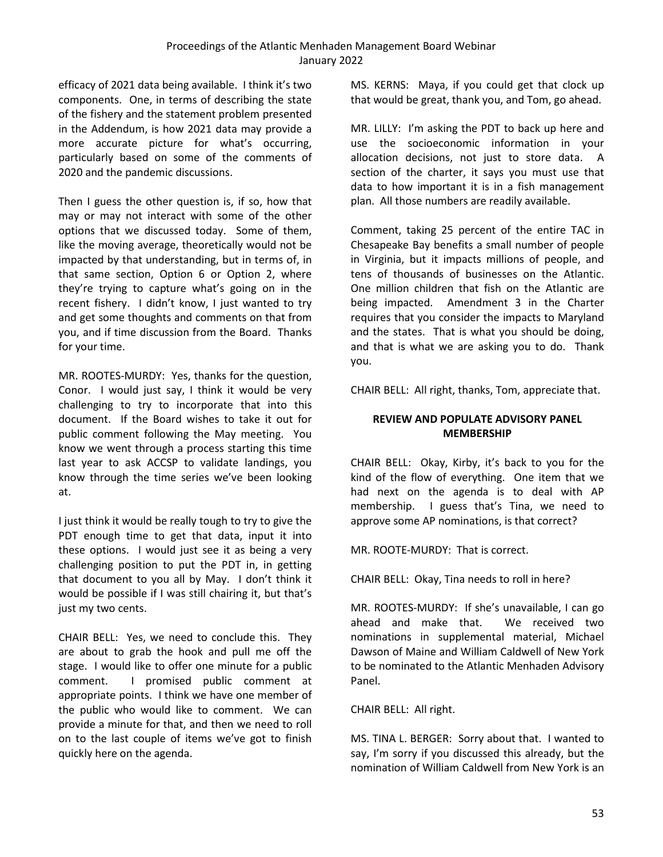efficacy of 2021 data being available. I think it's two components. One, in terms of describing the state of the fishery and the statement problem presented in the Addendum, is how 2021 data may provide a more accurate picture for what's occurring, particularly based on some of the comments of 2020 and the pandemic discussions.

Then I guess the other question is, if so, how that may or may not interact with some of the other options that we discussed today. Some of them, like the moving average, theoretically would not be impacted by that understanding, but in terms of, in that same section, Option 6 or Option 2, where they're trying to capture what's going on in the recent fishery. I didn't know, I just wanted to try and get some thoughts and comments on that from you, and if time discussion from the Board. Thanks for your time.

MR. ROOTES-MURDY: Yes, thanks for the question, Conor. I would just say, I think it would be very challenging to try to incorporate that into this document. If the Board wishes to take it out for public comment following the May meeting. You know we went through a process starting this time last year to ask ACCSP to validate landings, you know through the time series we've been looking at.

I just think it would be really tough to try to give the PDT enough time to get that data, input it into these options. I would just see it as being a very challenging position to put the PDT in, in getting that document to you all by May. I don't think it would be possible if I was still chairing it, but that's just my two cents.

CHAIR BELL: Yes, we need to conclude this. They are about to grab the hook and pull me off the stage. I would like to offer one minute for a public comment. I promised public comment at appropriate points. I think we have one member of the public who would like to comment. We can provide a minute for that, and then we need to roll on to the last couple of items we've got to finish quickly here on the agenda.

MS. KERNS: Maya, if you could get that clock up that would be great, thank you, and Tom, go ahead.

MR. LILLY: I'm asking the PDT to back up here and use the socioeconomic information in your allocation decisions, not just to store data. A section of the charter, it says you must use that data to how important it is in a fish management plan. All those numbers are readily available.

Comment, taking 25 percent of the entire TAC in Chesapeake Bay benefits a small number of people in Virginia, but it impacts millions of people, and tens of thousands of businesses on the Atlantic. One million children that fish on the Atlantic are being impacted. Amendment 3 in the Charter requires that you consider the impacts to Maryland and the states. That is what you should be doing, and that is what we are asking you to do. Thank you.

CHAIR BELL: All right, thanks, Tom, appreciate that.

# <span id="page-58-0"></span>**REVIEW AND POPULATE ADVISORY PANEL MEMBERSHIP**

CHAIR BELL: Okay, Kirby, it's back to you for the kind of the flow of everything. One item that we had next on the agenda is to deal with AP membership. I guess that's Tina, we need to approve some AP nominations, is that correct?

MR. ROOTE-MURDY: That is correct.

CHAIR BELL: Okay, Tina needs to roll in here?

MR. ROOTES-MURDY: If she's unavailable, I can go ahead and make that. We received two nominations in supplemental material, Michael Dawson of Maine and William Caldwell of New York to be nominated to the Atlantic Menhaden Advisory Panel.

CHAIR BELL: All right.

MS. TINA L. BERGER: Sorry about that. I wanted to say, I'm sorry if you discussed this already, but the nomination of William Caldwell from New York is an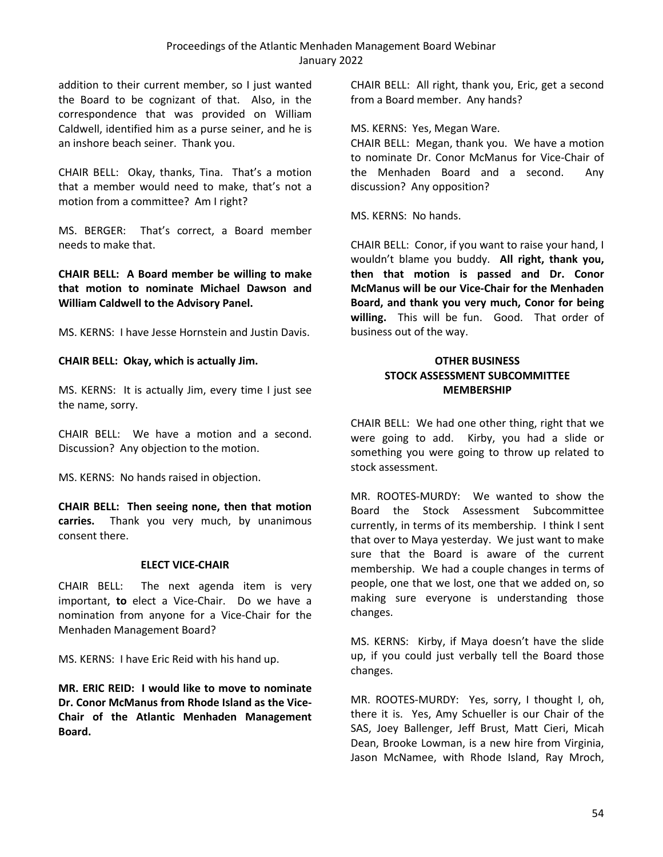addition to their current member, so I just wanted the Board to be cognizant of that. Also, in the correspondence that was provided on William Caldwell, identified him as a purse seiner, and he is an inshore beach seiner. Thank you.

CHAIR BELL: Okay, thanks, Tina. That's a motion that a member would need to make, that's not a motion from a committee? Am I right?

MS. BERGER: That's correct, a Board member needs to make that.

**CHAIR BELL: A Board member be willing to make that motion to nominate Michael Dawson and William Caldwell to the Advisory Panel.**

MS. KERNS: I have Jesse Hornstein and Justin Davis.

### **CHAIR BELL: Okay, which is actually Jim.**

MS. KERNS: It is actually Jim, every time I just see the name, sorry.

CHAIR BELL: We have a motion and a second. Discussion? Any objection to the motion.

MS. KERNS: No hands raised in objection.

**CHAIR BELL: Then seeing none, then that motion carries.** Thank you very much, by unanimous consent there.

### **ELECT VICE-CHAIR**

<span id="page-59-0"></span>CHAIR BELL: The next agenda item is very important, **to** elect a Vice-Chair. Do we have a nomination from anyone for a Vice-Chair for the Menhaden Management Board?

MS. KERNS: I have Eric Reid with his hand up.

**MR. ERIC REID: I would like to move to nominate Dr. Conor McManus from Rhode Island as the Vice-Chair of the Atlantic Menhaden Management Board.**

CHAIR BELL: All right, thank you, Eric, get a second from a Board member. Any hands?

MS. KERNS: Yes, Megan Ware.

CHAIR BELL: Megan, thank you. We have a motion to nominate Dr. Conor McManus for Vice-Chair of the Menhaden Board and a second. Any discussion? Any opposition?

MS. KERNS: No hands.

CHAIR BELL: Conor, if you want to raise your hand, I wouldn't blame you buddy. **All right, thank you, then that motion is passed and Dr. Conor McManus will be our Vice-Chair for the Menhaden Board, and thank you very much, Conor for being willing.** This will be fun. Good. That order of business out of the way.

### <span id="page-59-2"></span><span id="page-59-1"></span>**OTHER BUSINESS STOCK ASSESSMENT SUBCOMMITTEE MEMBERSHIP**

CHAIR BELL: We had one other thing, right that we were going to add. Kirby, you had a slide or something you were going to throw up related to stock assessment.

MR. ROOTES-MURDY: We wanted to show the Board the Stock Assessment Subcommittee currently, in terms of its membership. I think I sent that over to Maya yesterday. We just want to make sure that the Board is aware of the current membership. We had a couple changes in terms of people, one that we lost, one that we added on, so making sure everyone is understanding those changes.

MS. KERNS: Kirby, if Maya doesn't have the slide up, if you could just verbally tell the Board those changes.

MR. ROOTES-MURDY: Yes, sorry, I thought I, oh, there it is. Yes, Amy Schueller is our Chair of the SAS, Joey Ballenger, Jeff Brust, Matt Cieri, Micah Dean, Brooke Lowman, is a new hire from Virginia, Jason McNamee, with Rhode Island, Ray Mroch,